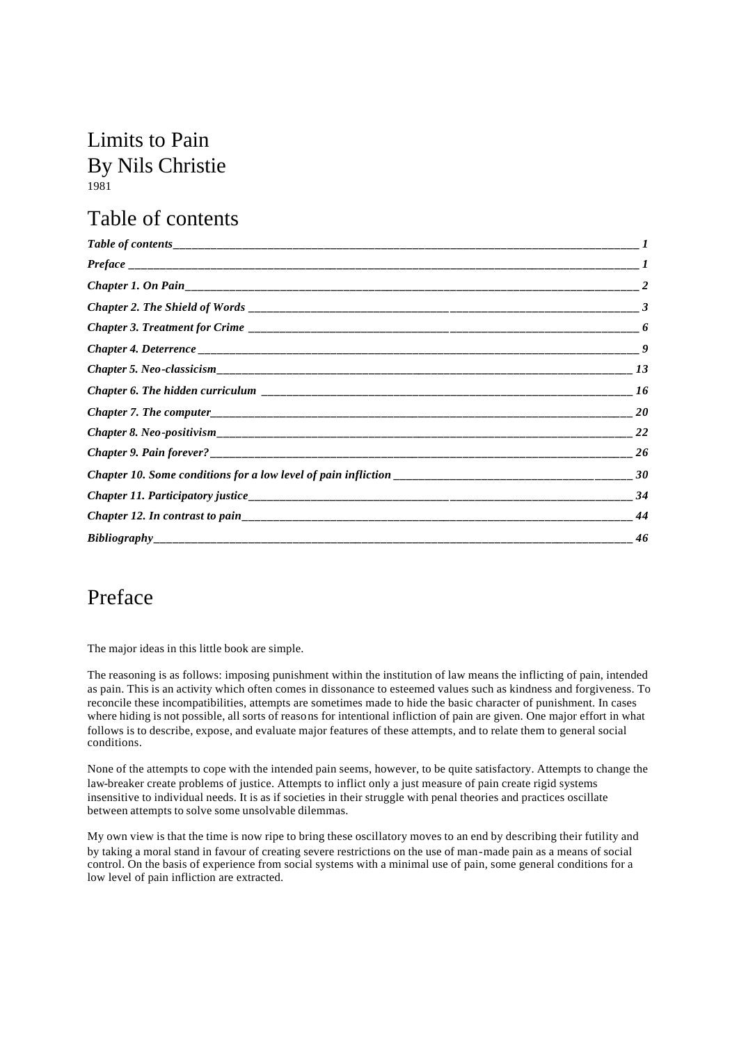# Limits to Pain By Nils Christie 1981

# Table of contents

| 13        |
|-----------|
| 16        |
| <b>20</b> |
|           |
| 26        |
|           |
| 34        |
|           |
|           |

# Preface

The major ideas in this little book are simple.

The reasoning is as follows: imposing punishment within the institution of law means the inflicting of pain, intended as pain. This is an activity which often comes in dissonance to esteemed values such as kindness and forgiveness. To reconcile these incompatibilities, attempts are sometimes made to hide the basic character of punishment. In cases where hiding is not possible, all sorts of reasons for intentional infliction of pain are given. One major effort in what follows is to describe, expose, and evaluate major features of these attempts, and to relate them to general social conditions.

None of the attempts to cope with the intended pain seems, however, to be quite satisfactory. Attempts to change the law-breaker create problems of justice. Attempts to inflict only a just measure of pain create rigid systems insensitive to individual needs. It is as if societies in their struggle with penal theories and practices oscillate between attempts to solve some unsolvable dilemmas.

My own view is that the time is now ripe to bring these oscillatory moves to an end by describing their futility and by taking a moral stand in favour of creating severe restrictions on the use of man-made pain as a means of social control. On the basis of experience from social systems with a minimal use of pain, some general conditions for a low level of pain infliction are extracted.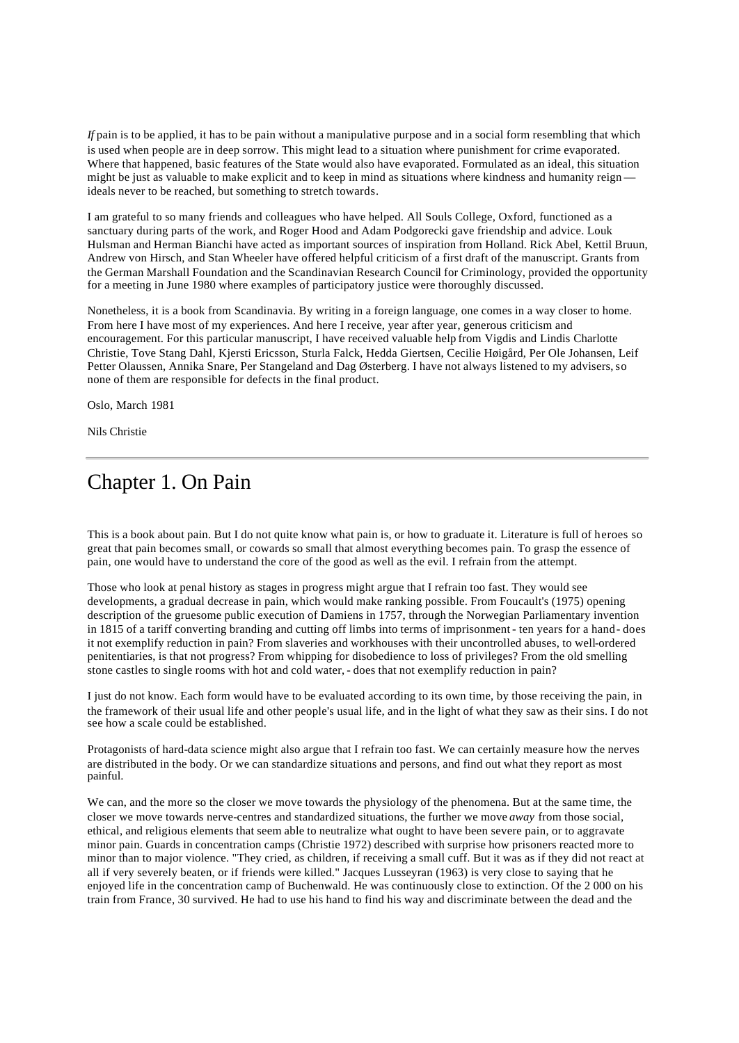*If* pain is to be applied, it has to be pain without a manipulative purpose and in a social form resembling that which is used when people are in deep sorrow. This might lead to a situation where punishment for crime evaporated. Where that happened, basic features of the State would also have evaporated. Formulated as an ideal, this situation might be just as valuable to make explicit and to keep in mind as situations where kindness and humanity reignideals never to be reached, but something to stretch towards.

I am grateful to so many friends and colleagues who have helped. All Souls College, Oxford, functioned as a sanctuary during parts of the work, and Roger Hood and Adam Podgorecki gave friendship and advice. Louk Hulsman and Herman Bianchi have acted as important sources of inspiration from Holland. Rick Abel, Kettil Bruun, Andrew von Hirsch, and Stan Wheeler have offered helpful criticism of a first draft of the manuscript. Grants from the German Marshall Foundation and the Scandinavian Research Council for Criminology, provided the opportunity for a meeting in June 1980 where examples of participatory justice were thoroughly discussed.

Nonetheless, it is a book from Scandinavia. By writing in a foreign language, one comes in a way closer to home. From here I have most of my experiences. And here I receive, year after year, generous criticism and encouragement. For this particular manuscript, I have received valuable help from Vigdis and Lindis Charlotte Christie, Tove Stang Dahl, Kjersti Ericsson, Sturla Falck, Hedda Giertsen, Cecilie Høigård, Per Ole Johansen, Leif Petter Olaussen, Annika Snare, Per Stangeland and Dag Østerberg. I have not always listened to my advisers, so none of them are responsible for defects in the final product.

Oslo, March 1981

Nils Christie

# Chapter 1. On Pain

This is a book about pain. But I do not quite know what pain is, or how to graduate it. Literature is full of heroes so great that pain becomes small, or cowards so small that almost everything becomes pain. To grasp the essence of pain, one would have to understand the core of the good as well as the evil. I refrain from the attempt.

Those who look at penal history as stages in progress might argue that I refrain too fast. They would see developments, a gradual decrease in pain, which would make ranking possible. From Foucault's (1975) opening description of the gruesome public execution of Damiens in 1757, through the Norwegian Parliamentary invention in 1815 of a tariff converting branding and cutting off limbs into terms of imprisonment - ten years for a hand - does it not exemplify reduction in pain? From slaveries and workhouses with their uncontrolled abuses, to well-ordered penitentiaries, is that not progress? From whipping for disobedience to loss of privileges? From the old smelling stone castles to single rooms with hot and cold water, - does that not exemplify reduction in pain?

I just do not know. Each form would have to be evaluated according to its own time, by those receiving the pain, in the framework of their usual life and other people's usual life, and in the light of what they saw as their sins. I do not see how a scale could be established.

Protagonists of hard-data science might also argue that I refrain too fast. We can certainly measure how the nerves are distributed in the body. Or we can standardize situations and persons, and find out what they report as most painful.

We can, and the more so the closer we move towards the physiology of the phenomena. But at the same time, the closer we move towards nerve-centres and standardized situations, the further we move *away* from those social, ethical, and religious elements that seem able to neutralize what ought to have been severe pain, or to aggravate minor pain. Guards in concentration camps (Christie 1972) described with surprise how prisoners reacted more to minor than to major violence. "They cried, as children, if receiving a small cuff. But it was as if they did not react at all if very severely beaten, or if friends were killed." Jacques Lusseyran (1963) is very close to saying that he enjoyed life in the concentration camp of Buchenwald. He was continuously close to extinction. Of the 2 000 on his train from France, 30 survived. He had to use his hand to find his way and discriminate between the dead and the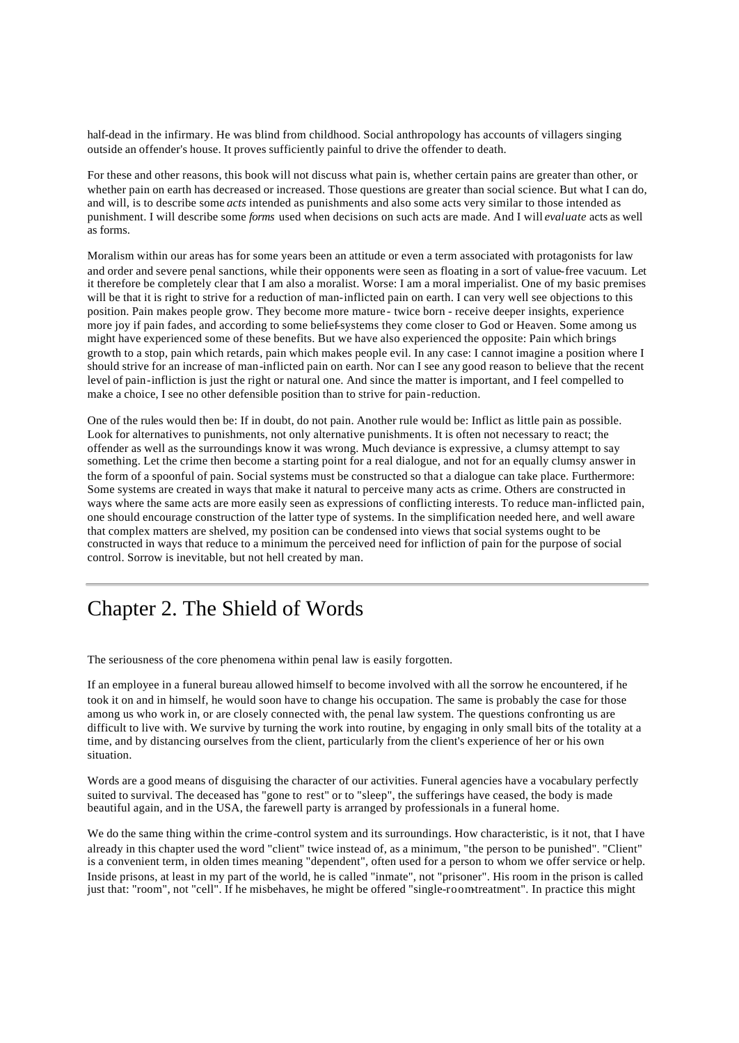half-dead in the infirmary. He was blind from childhood. Social anthropology has accounts of villagers singing outside an offender's house. It proves sufficiently painful to drive the offender to death.

For these and other reasons, this book will not discuss what pain is, whether certain pains are greater than other, or whether pain on earth has decreased or increased. Those questions are greater than social science. But what I can do, and will, is to describe some *acts* intended as punishments and also some acts very similar to those intended as punishment. I will describe some *forms* used when decisions on such acts are made. And I will *evaluate* acts as well as forms.

Moralism within our areas has for some years been an attitude or even a term associated with protagonists for law and order and severe penal sanctions, while their opponents were seen as floating in a sort of value-free vacuum. Let it therefore be completely clear that I am also a moralist. Worse: I am a moral imperialist. One of my basic premises will be that it is right to strive for a reduction of man-inflicted pain on earth. I can very well see objections to this position. Pain makes people grow. They become more mature - twice born - receive deeper insights, experience more joy if pain fades, and according to some belief-systems they come closer to God or Heaven. Some among us might have experienced some of these benefits. But we have also experienced the opposite: Pain which brings growth to a stop, pain which retards, pain which makes people evil. In any case: I cannot imagine a position where I should strive for an increase of man-inflicted pain on earth. Nor can I see any good reason to believe that the recent level of pain-infliction is just the right or natural one. And since the matter is important, and I feel compelled to make a choice, I see no other defensible position than to strive for pain-reduction.

One of the rules would then be: If in doubt, do not pain. Another rule would be: Inflict as little pain as possible. Look for alternatives to punishments, not only alternative punishments. It is often not necessary to react; the offender as well as the surroundings know it was wrong. Much deviance is expressive, a clumsy attempt to say something. Let the crime then become a starting point for a real dialogue, and not for an equally clumsy answer in the form of a spoonful of pain. Social systems must be constructed so that a dialogue can take place. Furthermore: Some systems are created in ways that make it natural to perceive many acts as crime. Others are constructed in ways where the same acts are more easily seen as expressions of conflicting interests. To reduce man-inflicted pain, one should encourage construction of the latter type of systems. In the simplification needed here, and well aware that complex matters are shelved, my position can be condensed into views that social systems ought to be constructed in ways that reduce to a minimum the perceived need for infliction of pain for the purpose of social control. Sorrow is inevitable, but not hell created by man.

# Chapter 2. The Shield of Words

The seriousness of the core phenomena within penal law is easily forgotten.

If an employee in a funeral bureau allowed himself to become involved with all the sorrow he encountered, if he took it on and in himself, he would soon have to change his occupation. The same is probably the case for those among us who work in, or are closely connected with, the penal law system. The questions confronting us are difficult to live with. We survive by turning the work into routine, by engaging in only small bits of the totality at a time, and by distancing ourselves from the client, particularly from the client's experience of her or his own situation.

Words are a good means of disguising the character of our activities. Funeral agencies have a vocabulary perfectly suited to survival. The deceased has "gone to rest" or to "sleep", the sufferings have ceased, the body is made beautiful again, and in the USA, the farewell party is arranged by professionals in a funeral home.

We do the same thing within the crime-control system and its surroundings. How characteristic, is it not, that I have already in this chapter used the word "client" twice instead of, as a minimum, "the person to be punished". "Client" is a convenient term, in olden times meaning "dependent", often used for a person to whom we offer service or help. Inside prisons, at least in my part of the world, he is called "inmate", not "prisoner". His room in the prison is called just that: "room", not "cell". If he misbehaves, he might be offered "single-room-treatment". In practice this might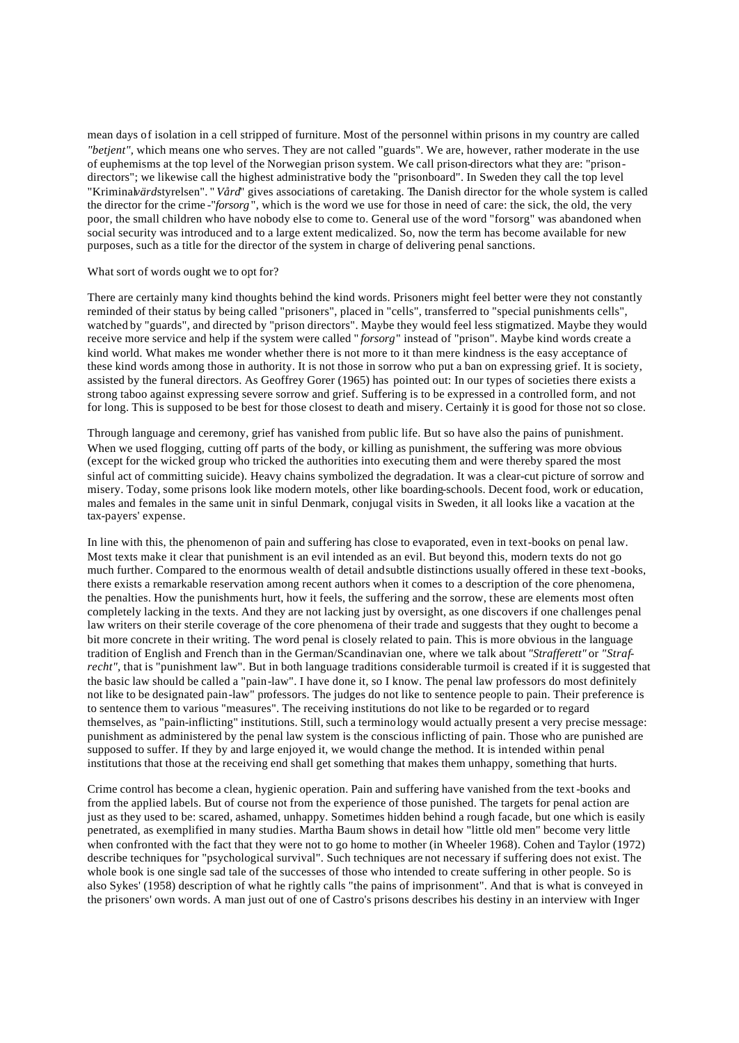mean days of isolation in a cell stripped of furniture. Most of the personnel within prisons in my country are called *"betjent",* which means one who serves. They are not called "guards". We are, however, rather moderate in the use of euphemisms at the top level of the Norwegian prison system. We call prison-directors what they are: "prisondirectors"; we likewise call the highest administrative body the "prisonboard". In Sweden they call the top level "Kriminal*värd*styrelsen". " *Vård*" gives associations of caretaking. The Danish director for the whole system is called the director for the crime -"*forsorg* ", which is the word we use for those in need of care: the sick, the old, the very poor, the small children who have nobody else to come to. General use of the word "forsorg" was abandoned when social security was introduced and to a large extent medicalized. So, now the term has become available for new purposes, such as a title for the director of the system in charge of delivering penal sanctions.

#### What sort of words ought we to opt for?

There are certainly many kind thoughts behind the kind words. Prisoners might feel better were they not constantly reminded of their status by being called "prisoners", placed in "cells", transferred to "special punishments cells", watched by "guards", and directed by "prison directors". Maybe they would feel less stigmatized. Maybe they would receive more service and help if the system were called " *forsorg*" instead of "prison". Maybe kind words create a kind world. What makes me wonder whether there is not more to it than mere kindness is the easy acceptance of these kind words among those in authority. It is not those in sorrow who put a ban on expressing grief. It is society, assisted by the funeral directors. As Geoffrey Gorer (1965) has pointed out: In our types of societies there exists a strong taboo against expressing severe sorrow and grief. Suffering is to be expressed in a controlled form, and not for long. This is supposed to be best for those closest to death and misery. Certainly it is good for those not so close.

Through language and ceremony, grief has vanished from public life. But so have also the pains of punishment. When we used flogging, cutting off parts of the body, or killing as punishment, the suffering was more obvious (except for the wicked group who tricked the authorities into executing them and were thereby spared the most sinful act of committing suicide). Heavy chains symbolized the degradation. It was a clear-cut picture of sorrow and misery. Today, some prisons look like modern motels, other like boarding-schools. Decent food, work or education, males and females in the same unit in sinful Denmark, conjugal visits in Sweden, it all looks like a vacation at the tax-payers' expense.

In line with this, the phenomenon of pain and suffering has close to evaporated, even in text-books on penal law. Most texts make it clear that punishment is an evil intended as an evil. But beyond this, modern texts do not go much further. Compared to the enormous wealth of detail and subtle distinctions usually offered in these text -books, there exists a remarkable reservation among recent authors when it comes to a description of the core phenomena, the penalties. How the punishments hurt, how it feels, the suffering and the sorrow, these are elements most often completely lacking in the texts. And they are not lacking just by oversight, as one discovers if one challenges penal law writers on their sterile coverage of the core phenomena of their trade and suggests that they ought to become a bit more concrete in their writing. The word penal is closely related to pain. This is more obvious in the language tradition of English and French than in the German/Scandinavian one, where we talk about *"Strafferett"* or *"Strafrecht"*, that is "punishment law". But in both language traditions considerable turmoil is created if it is suggested that the basic law should be called a "pain-law". I have done it, so I know. The penal law professors do most definitely not like to be designated pain-law" professors. The judges do not like to sentence people to pain. Their preference is to sentence them to various "measures". The receiving institutions do not like to be regarded or to regard themselves, as "pain-inflicting" institutions. Still, such a terminology would actually present a very precise message: punishment as administered by the penal law system is the conscious inflicting of pain. Those who are punished are supposed to suffer. If they by and large enjoyed it, we would change the method. It is intended within penal institutions that those at the receiving end shall get something that makes them unhappy, something that hurts.

Crime control has become a clean, hygienic operation. Pain and suffering have vanished from the text -books and from the applied labels. But of course not from the experience of those punished. The targets for penal action are just as they used to be: scared, ashamed, unhappy. Sometimes hidden behind a rough facade, but one which is easily penetrated, as exemplified in many studies. Martha Baum shows in detail how "little old men" become very little when confronted with the fact that they were not to go home to mother (in Wheeler 1968). Cohen and Taylor (1972) describe techniques for "psychological survival". Such techniques are not necessary if suffering does not exist. The whole book is one single sad tale of the successes of those who intended to create suffering in other people. So is also Sykes' (1958) description of what he rightly calls "the pains of imprisonment". And that is what is conveyed in the prisoners' own words. A man just out of one of Castro's prisons describes his destiny in an interview with Inger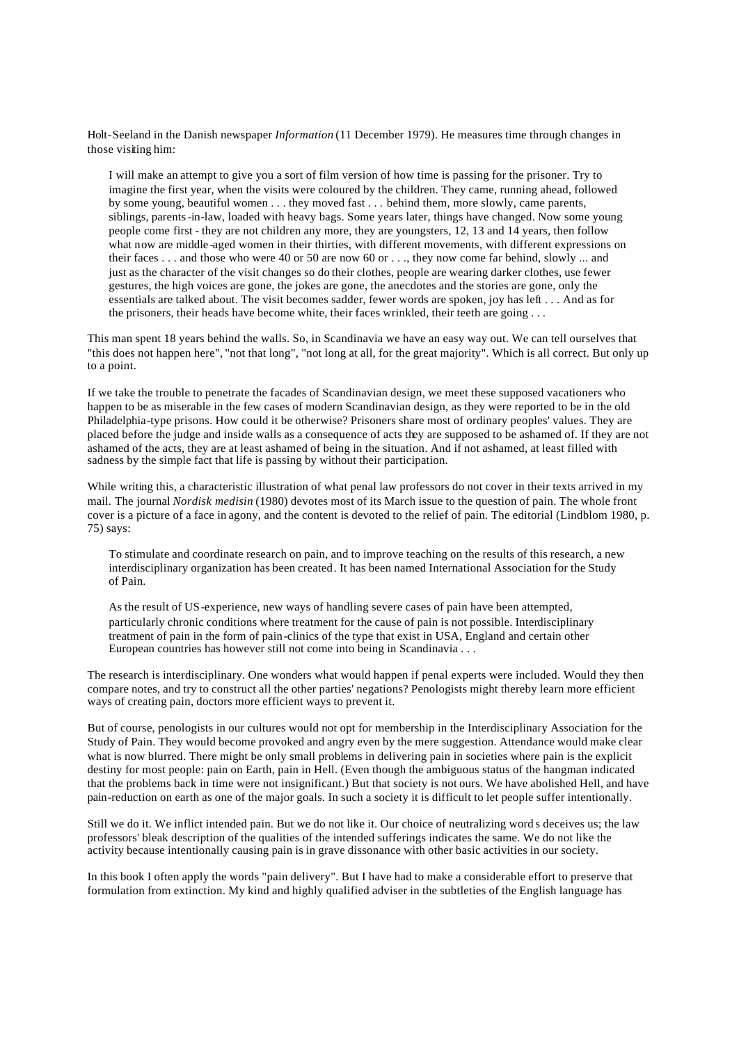Holt-Seeland in the Danish newspaper *Information* (11 December 1979). He measures time through changes in those visiting him:

I will make an attempt to give you a sort of film version of how time is passing for the prisoner. Try to imagine the first year, when the visits were coloured by the children. They came, running ahead, followed by some young, beautiful women . . . they moved fast . . . behind them, more slowly, came parents, siblings, parents-in-law, loaded with heavy bags. Some years later, things have changed. Now some young people come first - they are not children any more, they are youngsters, 12, 13 and 14 years, then follow what now are middle -aged women in their thirties, with different movements, with different expressions on their faces . . . and those who were 40 or 50 are now 60 or . . ., they now come far behind, slowly ... and just as the character of the visit changes so do their clothes, people are wearing darker clothes, use fewer gestures, the high voices are gone, the jokes are gone, the anecdotes and the stories are gone, only the essentials are talked about. The visit becomes sadder, fewer words are spoken, joy has left . . . And as for the prisoners, their heads have become white, their faces wrinkled, their teeth are going . . .

This man spent 18 years behind the walls. So, in Scandinavia we have an easy way out. We can tell ourselves that "this does not happen here", "not that long", "not long at all, for the great majority". Which is all correct. But only up to a point.

If we take the trouble to penetrate the facades of Scandinavian design, we meet these supposed vacationers who happen to be as miserable in the few cases of modern Scandinavian design, as they were reported to be in the old Philadelphia-type prisons. How could it be otherwise? Prisoners share most of ordinary peoples' values. They are placed before the judge and inside walls as a consequence of acts they are supposed to be ashamed of. If they are not ashamed of the acts, they are at least ashamed of being in the situation. And if not ashamed, at least filled with sadness by the simple fact that life is passing by without their participation.

While writing this, a characteristic illustration of what penal law professors do not cover in their texts arrived in my mail. The journal *Nordisk medisin* (1980) devotes most of its March issue to the question of pain. The whole front cover is a picture of a face in agony, and the content is devoted to the relief of pain. The editorial (Lindblom 1980, p. 75) says:

To stimulate and coordinate research on pain, and to improve teaching on the results of this research, a new interdisciplinary organization has been created. It has been named International Association for the Study of Pain.

As the result of US-experience, new ways of handling severe cases of pain have been attempted, particularly chronic conditions where treatment for the cause of pain is not possible. Interdisciplinary treatment of pain in the form of pain-clinics of the type that exist in USA, England and certain other European countries has however still not come into being in Scandinavia . . .

The research is interdisciplinary. One wonders what would happen if penal experts were included. Would they then compare notes, and try to construct all the other parties' negations? Penologists might thereby learn more efficient ways of creating pain, doctors more efficient ways to prevent it.

But of course, penologists in our cultures would not opt for membership in the Interdisciplinary Association for the Study of Pain. They would become provoked and angry even by the mere suggestion. Attendance would make clear what is now blurred. There might be only small problems in delivering pain in societies where pain is the explicit destiny for most people: pain on Earth, pain in Hell. (Even though the ambiguous status of the hangman indicated that the problems back in time were not insignificant.) But that society is not ours. We have abolished Hell, and have pain-reduction on earth as one of the major goals. In such a society it is difficult to let people suffer intentionally.

Still we do it. We inflict intended pain. But we do not like it. Our choice of neutralizing word s deceives us; the law professors' bleak description of the qualities of the intended sufferings indicates the same. We do not like the activity because intentionally causing pain is in grave dissonance with other basic activities in our society.

In this book I often apply the words "pain delivery". But I have had to make a considerable effort to preserve that formulation from extinction. My kind and highly qualified adviser in the subtleties of the English language has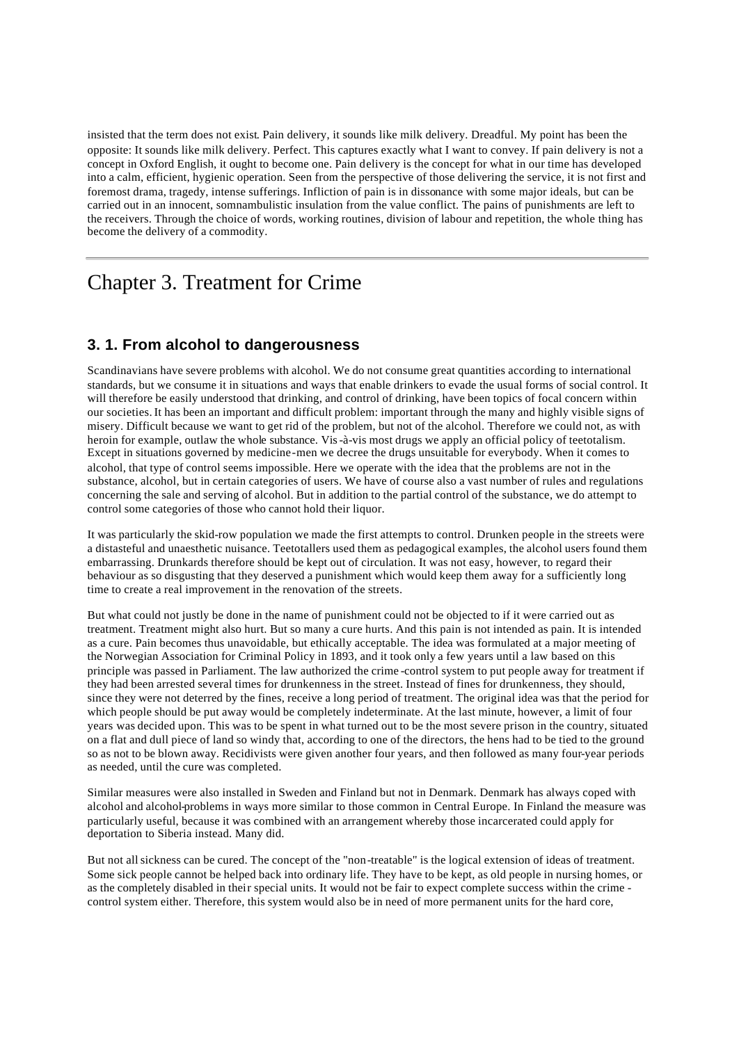insisted that the term does not exist. Pain delivery, it sounds like milk delivery. Dreadful. My point has been the opposite: It sounds like milk delivery. Perfect. This captures exactly what I want to convey. If pain delivery is not a concept in Oxford English, it ought to become one. Pain delivery is the concept for what in our time has developed into a calm, efficient, hygienic operation. Seen from the perspective of those delivering the service, it is not first and foremost drama, tragedy, intense sufferings. Infliction of pain is in dissonance with some major ideals, but can be carried out in an innocent, somnambulistic insulation from the value conflict. The pains of punishments are left to the receivers. Through the choice of words, working routines, division of labour and repetition, the whole thing has become the delivery of a commodity.

# Chapter 3. Treatment for Crime

### **3. 1. From alcohol to dangerousness**

Scandinavians have severe problems with alcohol. We do not consume great quantities according to international standards, but we consume it in situations and ways that enable drinkers to evade the usual forms of social control. It will therefore be easily understood that drinking, and control of drinking, have been topics of focal concern within our societies. It has been an important and difficult problem: important through the many and highly visible signs of misery. Difficult because we want to get rid of the problem, but not of the alcohol. Therefore we could not, as with heroin for example, outlaw the whole substance. Vis-à-vis most drugs we apply an official policy of teetotalism. Except in situations governed by medicine-men we decree the drugs unsuitable for everybody. When it comes to alcohol, that type of control seems impossible. Here we operate with the idea that the problems are not in the substance, alcohol, but in certain categories of users. We have of course also a vast number of rules and regulations concerning the sale and serving of alcohol. But in addition to the partial control of the substance, we do attempt to control some categories of those who cannot hold their liquor.

It was particularly the skid-row population we made the first attempts to control. Drunken people in the streets were a distasteful and unaesthetic nuisance. Teetotallers used them as pedagogical examples, the alcohol users found them embarrassing. Drunkards therefore should be kept out of circulation. It was not easy, however, to regard their behaviour as so disgusting that they deserved a punishment which would keep them away for a sufficiently long time to create a real improvement in the renovation of the streets.

But what could not justly be done in the name of punishment could not be objected to if it were carried out as treatment. Treatment might also hurt. But so many a cure hurts. And this pain is not intended as pain. It is intended as a cure. Pain becomes thus unavoidable, but ethically acceptable. The idea was formulated at a major meeting of the Norwegian Association for Criminal Policy in 1893, and it took only a few years until a law based on this principle was passed in Parliament. The law authorized the crime -control system to put people away for treatment if they had been arrested several times for drunkenness in the street. Instead of fines for drunkenness, they should, since they were not deterred by the fines, receive a long period of treatment. The original idea was that the period for which people should be put away would be completely indeterminate. At the last minute, however, a limit of four years was decided upon. This was to be spent in what turned out to be the most severe prison in the country, situated on a flat and dull piece of land so windy that, according to one of the directors, the hens had to be tied to the ground so as not to be blown away. Recidivists were given another four years, and then followed as many four-year periods as needed, until the cure was completed.

Similar measures were also installed in Sweden and Finland but not in Denmark. Denmark has always coped with alcohol and alcohol-problems in ways more similar to those common in Central Europe. In Finland the measure was particularly useful, because it was combined with an arrangement whereby those incarcerated could apply for deportation to Siberia instead. Many did.

But not all sickness can be cured. The concept of the "non-treatable" is the logical extension of ideas of treatment. Some sick people cannot be helped back into ordinary life. They have to be kept, as old people in nursing homes, or as the completely disabled in their special units. It would not be fair to expect complete success within the crime control system either. Therefore, this system would also be in need of more permanent units for the hard core,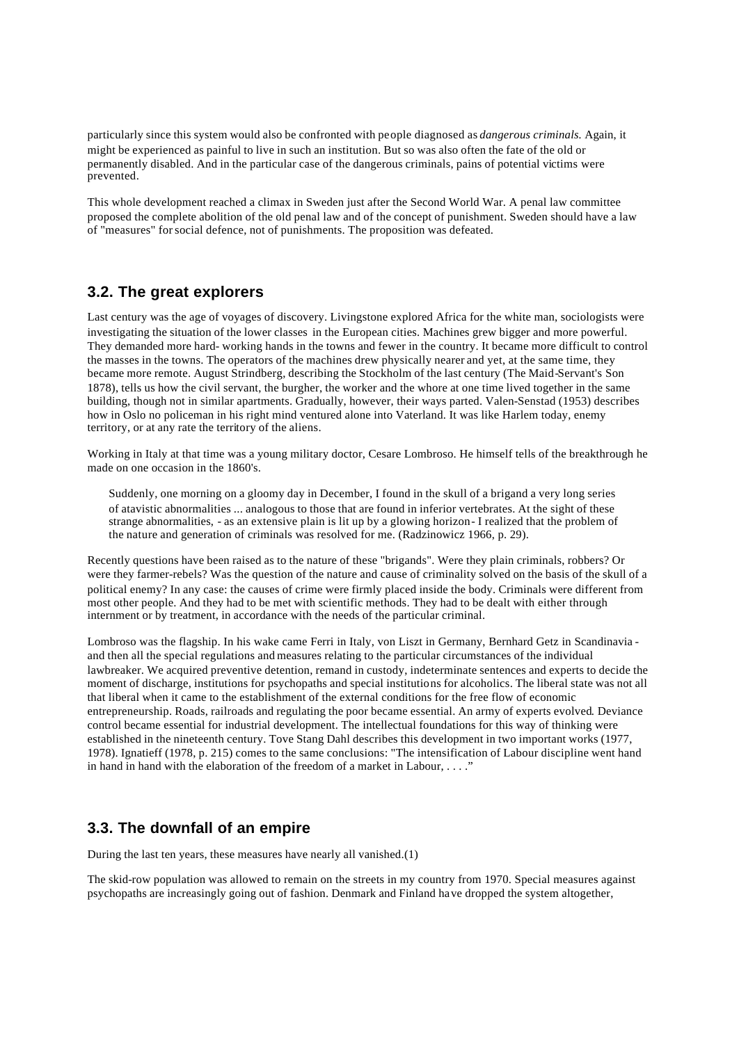particularly since this system would also be confronted with people diagnosed as *dangerous criminals.* Again, it might be experienced as painful to live in such an institution. But so was also often the fate of the old or permanently disabled. And in the particular case of the dangerous criminals, pains of potential victims were prevented.

This whole development reached a climax in Sweden just after the Second World War. A penal law committee proposed the complete abolition of the old penal law and of the concept of punishment. Sweden should have a law of "measures" for social defence, not of punishments. The proposition was defeated.

### **3.2. The great explorers**

Last century was the age of voyages of discovery. Livingstone explored Africa for the white man, sociologists were investigating the situation of the lower classes in the European cities. Machines grew bigger and more powerful. They demanded more hard- working hands in the towns and fewer in the country. It became more difficult to control the masses in the towns. The operators of the machines drew physically nearer and yet, at the same time, they became more remote. August Strindberg, describing the Stockholm of the last century (The Maid-Servant's Son 1878), tells us how the civil servant, the burgher, the worker and the whore at one time lived together in the same building, though not in similar apartments. Gradually, however, their ways parted. Valen-Senstad (1953) describes how in Oslo no policeman in his right mind ventured alone into Vaterland. It was like Harlem today, enemy territory, or at any rate the territory of the aliens.

Working in Italy at that time was a young military doctor, Cesare Lombroso. He himself tells of the breakthrough he made on one occasion in the 1860's.

Suddenly, one morning on a gloomy day in December, I found in the skull of a brigand a very long series of atavistic abnormalities ... analogous to those that are found in inferior vertebrates. At the sight of these strange abnormalities, - as an extensive plain is lit up by a glowing horizon - I realized that the problem of the nature and generation of criminals was resolved for me. (Radzinowicz 1966, p. 29).

Recently questions have been raised as to the nature of these "brigands". Were they plain criminals, robbers? Or were they farmer-rebels? Was the question of the nature and cause of criminality solved on the basis of the skull of a political enemy? In any case: the causes of crime were firmly placed inside the body. Criminals were different from most other people. And they had to be met with scientific methods. They had to be dealt with either through internment or by treatment, in accordance with the needs of the particular criminal.

Lombroso was the flagship. In his wake came Ferri in Italy, von Liszt in Germany, Bernhard Getz in Scandinavia and then all the special regulations and measures relating to the particular circumstances of the individual lawbreaker. We acquired preventive detention, remand in custody, indeterminate sentences and experts to decide the moment of discharge, institutions for psychopaths and special institutions for alcoholics. The liberal state was not all that liberal when it came to the establishment of the external conditions for the free flow of economic entrepreneurship. Roads, railroads and regulating the poor became essential. An army of experts evolved. Deviance control became essential for industrial development. The intellectual foundations for this way of thinking were established in the nineteenth century. Tove Stang Dahl describes this development in two important works (1977, 1978). Ignatieff (1978, p. 215) comes to the same conclusions: "The intensification of Labour discipline went hand in hand in hand with the elaboration of the freedom of a market in Labour, . . . ."

### **3.3. The downfall of an empire**

During the last ten years, these measures have nearly all vanished.(1)

The skid-row population was allowed to remain on the streets in my country from 1970. Special measures against psychopaths are increasingly going out of fashion. Denmark and Finland have dropped the system altogether,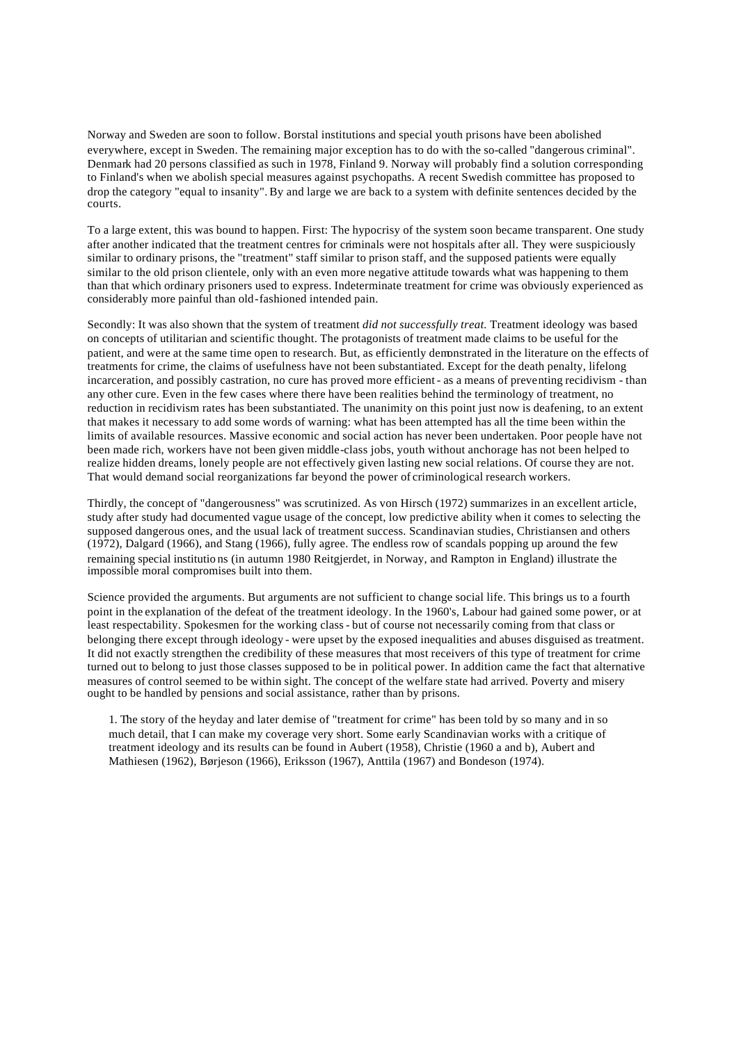Norway and Sweden are soon to follow. Borstal institutions and special youth prisons have been abolished everywhere, except in Sweden. The remaining major exception has to do with the so-called "dangerous criminal". Denmark had 20 persons classified as such in 1978, Finland 9. Norway will probably find a solution corresponding to Finland's when we abolish special measures against psychopaths. A recent Swedish committee has proposed to drop the category "equal to insanity". By and large we are back to a system with definite sentences decided by the courts.

To a large extent, this was bound to happen. First: The hypocrisy of the system soon became transparent. One study after another indicated that the treatment centres for criminals were not hospitals after all. They were suspiciously similar to ordinary prisons, the "treatment" staff similar to prison staff, and the supposed patients were equally similar to the old prison clientele, only with an even more negative attitude towards what was happening to them than that which ordinary prisoners used to express. Indeterminate treatment for crime was obviously experienced as considerably more painful than old-fashioned intended pain.

Secondly: It was also shown that the system of treatment *did not successfully treat.* Treatment ideology was based on concepts of utilitarian and scientific thought. The protagonists of treatment made claims to be useful for the patient, and were at the same time open to research. But, as efficiently demonstrated in the literature on the effects of treatments for crime, the claims of usefulness have not been substantiated. Except for the death penalty, lifelong incarceration, and possibly castration, no cure has proved more efficient - as a means of preventing recidivism - than any other cure. Even in the few cases where there have been realities behind the terminology of treatment, no reduction in recidivism rates has been substantiated. The unanimity on this point just now is deafening, to an extent that makes it necessary to add some words of warning: what has been attempted has all the time been within the limits of available resources. Massive economic and social action has never been undertaken. Poor people have not been made rich, workers have not been given middle-class jobs, youth without anchorage has not been helped to realize hidden dreams, lonely people are not effectively given lasting new social relations. Of course they are not. That would demand social reorganizations far beyond the power of criminological research workers.

Thirdly, the concept of "dangerousness" was scrutinized. As von Hirsch (1972) summarizes in an excellent article, study after study had documented vague usage of the concept, low predictive ability when it comes to selecting the supposed dangerous ones, and the usual lack of treatment success. Scandinavian studies, Christiansen and others (1972), Dalgard (1966), and Stang (1966), fully agree. The endless row of scandals popping up around the few remaining special institutio ns (in autumn 1980 Reitgjerdet, in Norway, and Rampton in England) illustrate the impossible moral compromises built into them.

Science provided the arguments. But arguments are not sufficient to change social life. This brings us to a fourth point in the explanation of the defeat of the treatment ideology. In the 1960's, Labour had gained some power, or at least respectability. Spokesmen for the working class - but of course not necessarily coming from that class or belonging there except through ideology - were upset by the exposed inequalities and abuses disguised as treatment. It did not exactly strengthen the credibility of these measures that most receivers of this type of treatment for crime turned out to belong to just those classes supposed to be in political power. In addition came the fact that alternative measures of control seemed to be within sight. The concept of the welfare state had arrived. Poverty and misery ought to be handled by pensions and social assistance, rather than by prisons.

1. The story of the heyday and later demise of "treatment for crime" has been told by so many and in so much detail, that I can make my coverage very short. Some early Scandinavian works with a critique of treatment ideology and its results can be found in Aubert (1958), Christie (1960 a and b), Aubert and Mathiesen (1962), Børjeson (1966), Eriksson (1967), Anttila (1967) and Bondeson (1974).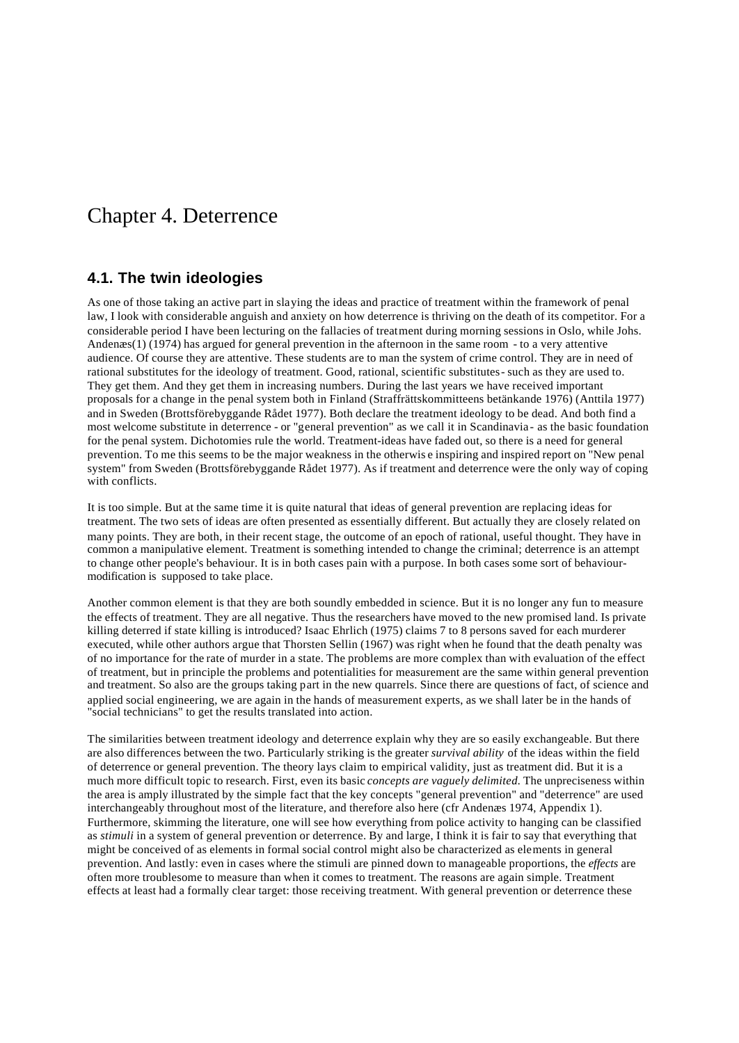# Chapter 4. Deterrence

#### **4.1. The twin ideologies**

As one of those taking an active part in slaying the ideas and practice of treatment within the framework of penal law, I look with considerable anguish and anxiety on how deterrence is thriving on the death of its competitor. For a considerable period I have been lecturing on the fallacies of treatment during morning sessions in Oslo, while Johs. Andenæs $(1)$  (1974) has argued for general prevention in the afternoon in the same room - to a very attentive audience. Of course they are attentive. These students are to man the system of crime control. They are in need of rational substitutes for the ideology of treatment. Good, rational, scientific substitutes - such as they are used to. They get them. And they get them in increasing numbers. During the last years we have received important proposals for a change in the penal system both in Finland (Straffrättskommitteens betänkande 1976) (Anttila 1977) and in Sweden (Brottsförebyggande Rådet 1977). Both declare the treatment ideology to be dead. And both find a most welcome substitute in deterrence - or "general prevention" as we call it in Scandinavia - as the basic foundation for the penal system. Dichotomies rule the world. Treatment-ideas have faded out, so there is a need for general prevention. To me this seems to be the major weakness in the otherwis e inspiring and inspired report on "New penal system" from Sweden (Brottsförebyggande Rådet 1977). As if treatment and deterrence were the only way of coping with conflicts.

It is too simple. But at the same time it is quite natural that ideas of general prevention are replacing ideas for treatment. The two sets of ideas are often presented as essentially different. But actually they are closely related on many points. They are both, in their recent stage, the outcome of an epoch of rational, useful thought. They have in common a manipulative element. Treatment is something intended to change the criminal; deterrence is an attempt to change other people's behaviour. It is in both cases pain with a purpose. In both cases some sort of behaviourmodification is supposed to take place.

Another common element is that they are both soundly embedded in science. But it is no longer any fun to measure the effects of treatment. They are all negative. Thus the researchers have moved to the new promised land. Is private killing deterred if state killing is introduced? Isaac Ehrlich (1975) claims 7 to 8 persons saved for each murderer executed, while other authors argue that Thorsten Sellin (1967) was right when he found that the death penalty was of no importance for the rate of murder in a state. The problems are more complex than with evaluation of the effect of treatment, but in principle the problems and potentialities for measurement are the same within general prevention and treatment. So also are the groups taking part in the new quarrels. Since there are questions of fact, of science and applied social engineering, we are again in the hands of measurement experts, as we shall later be in the hands of "social technicians" to get the results translated into action.

The similarities between treatment ideology and deterrence explain why they are so easily exchangeable. But there are also differences between the two. Particularly striking is the greater *survival ability* of the ideas within the field of deterrence or general prevention. The theory lays claim to empirical validity, just as treatment did. But it is a much more difficult topic to research. First, even its basic *concepts are vaguely delimited.* The unpreciseness within the area is amply illustrated by the simple fact that the key concepts "general prevention" and "deterrence" are used interchangeably throughout most of the literature, and therefore also here (cfr Andenæs 1974, Appendix 1). Furthermore, skimming the literature, one will see how everything from police activity to hanging can be classified as *stimuli* in a system of general prevention or deterrence. By and large, I think it is fair to say that everything that might be conceived of as elements in formal social control might also be characterized as elements in general prevention. And lastly: even in cases where the stimuli are pinned down to manageable proportions, the *effects* are often more troublesome to measure than when it comes to treatment. The reasons are again simple. Treatment effects at least had a formally clear target: those receiving treatment. With general prevention or deterrence these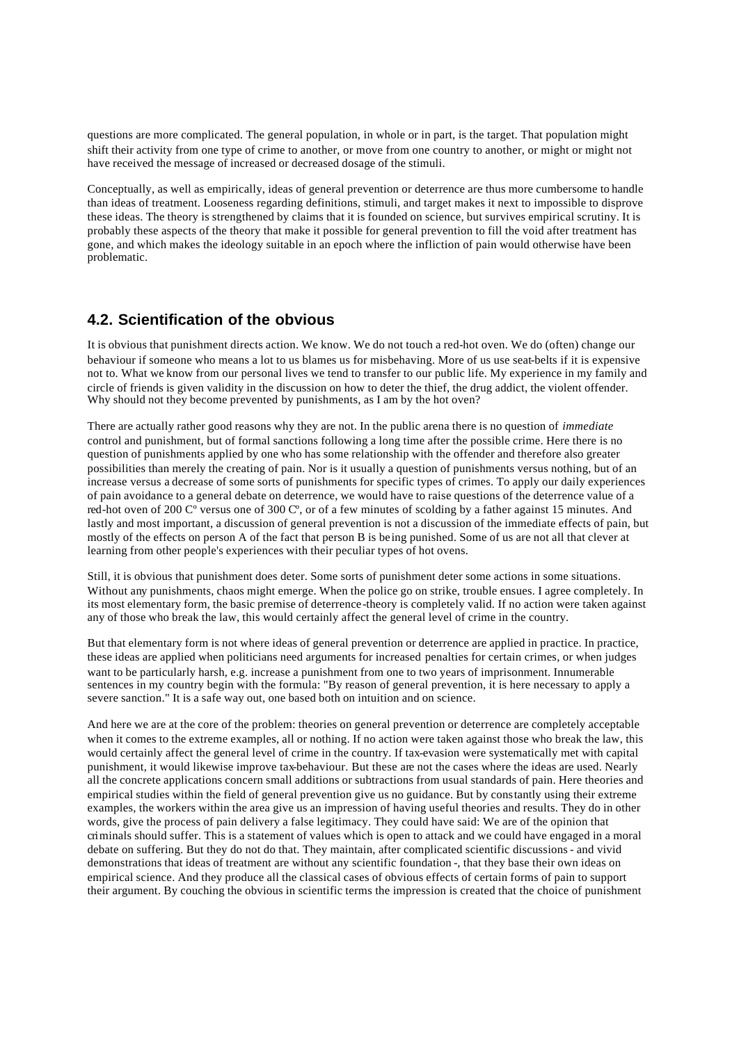questions are more complicated. The general population, in whole or in part, is the target. That population might shift their activity from one type of crime to another, or move from one country to another, or might or might not have received the message of increased or decreased dosage of the stimuli.

Conceptually, as well as empirically, ideas of general prevention or deterrence are thus more cumbersome to handle than ideas of treatment. Looseness regarding definitions, stimuli, and target makes it next to impossible to disprove these ideas. The theory is strengthened by claims that it is founded on science, but survives empirical scrutiny. It is probably these aspects of the theory that make it possible for general prevention to fill the void after treatment has gone, and which makes the ideology suitable in an epoch where the infliction of pain would otherwise have been problematic.

### **4.2. Scientification of the obvious**

It is obvious that punishment directs action. We know. We do not touch a red-hot oven. We do (often) change our behaviour if someone who means a lot to us blames us for misbehaving. More of us use seat-belts if it is expensive not to. What we know from our personal lives we tend to transfer to our public life. My experience in my family and circle of friends is given validity in the discussion on how to deter the thief, the drug addict, the violent offender. Why should not they become prevented by punishments, as I am by the hot oven?

There are actually rather good reasons why they are not. In the public arena there is no question of *immediate*  control and punishment, but of formal sanctions following a long time after the possible crime. Here there is no question of punishments applied by one who has some relationship with the offender and therefore also greater possibilities than merely the creating of pain. Nor is it usually a question of punishments versus nothing, but of an increase versus a decrease of some sorts of punishments for specific types of crimes. To apply our daily experiences of pain avoidance to a general debate on deterrence, we would have to raise questions of the deterrence value of a red-hot oven of 200 Cº versus one of 300 Cº, or of a few minutes of scolding by a father against 15 minutes. And lastly and most important, a discussion of general prevention is not a discussion of the immediate effects of pain, but mostly of the effects on person A of the fact that person B is being punished. Some of us are not all that clever at learning from other people's experiences with their peculiar types of hot ovens.

Still, it is obvious that punishment does deter. Some sorts of punishment deter some actions in some situations. Without any punishments, chaos might emerge. When the police go on strike, trouble ensues. I agree completely, In its most elementary form, the basic premise of deterrence-theory is completely valid. If no action were taken against any of those who break the law, this would certainly affect the general level of crime in the country.

But that elementary form is not where ideas of general prevention or deterrence are applied in practice. In practice, these ideas are applied when politicians need arguments for increased penalties for certain crimes, or when judges want to be particularly harsh, e.g. increase a punishment from one to two years of imprisonment. Innumerable sentences in my country begin with the formula: "By reason of general prevention, it is here necessary to apply a severe sanction." It is a safe way out, one based both on intuition and on science.

And here we are at the core of the problem: theories on general prevention or deterrence are completely acceptable when it comes to the extreme examples, all or nothing. If no action were taken against those who break the law, this would certainly affect the general level of crime in the country. If tax-evasion were systematically met with capital punishment, it would likewise improve tax-behaviour. But these are not the cases where the ideas are used. Nearly all the concrete applications concern small additions or subtractions from usual standards of pain. Here theories and empirical studies within the field of general prevention give us no guidance. But by constantly using their extreme examples, the workers within the area give us an impression of having useful theories and results. They do in other words, give the process of pain delivery a false legitimacy. They could have said: We are of the opinion that criminals should suffer. This is a statement of values which is open to attack and we could have engaged in a moral debate on suffering. But they do not do that. They maintain, after complicated scientific discussions - and vivid demonstrations that ideas of treatment are without any scientific foundation -, that they base their own ideas on empirical science. And they produce all the classical cases of obvious effects of certain forms of pain to support their argument. By couching the obvious in scientific terms the impression is created that the choice of punishment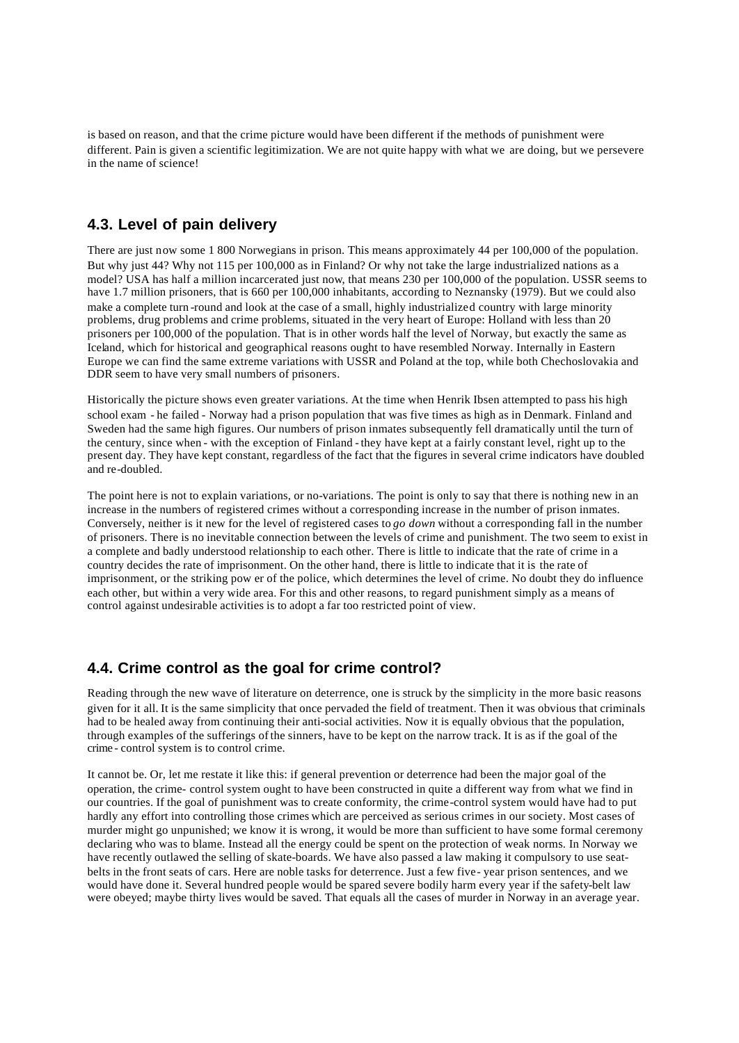is based on reason, and that the crime picture would have been different if the methods of punishment were different. Pain is given a scientific legitimization. We are not quite happy with what we are doing, but we persevere in the name of science!

### **4.3. Level of pain delivery**

There are just now some 1 800 Norwegians in prison. This means approximately 44 per 100,000 of the population. But why just 44? Why not 115 per 100,000 as in Finland? Or why not take the large industrialized nations as a model? USA has half a million incarcerated just now, that means 230 per 100,000 of the population. USSR seems to have 1.7 million prisoners, that is 660 per 100,000 inhabitants, according to Neznansky  $(1979)$ . But we could also make a complete turn -round and look at the case of a small, highly industrialized country with large minority problems, drug problems and crime problems, situated in the very heart of Europe: Holland with less than 20 prisoners per 100,000 of the population. That is in other words half the level of Norway, but exactly the same as Iceland, which for historical and geographical reasons ought to have resembled Norway. Internally in Eastern Europe we can find the same extreme variations with USSR and Poland at the top, while both Chechoslovakia and DDR seem to have very small numbers of prisoners.

Historically the picture shows even greater variations. At the time when Henrik Ibsen attempted to pass his high school exam - he failed - Norway had a prison population that was five times as high as in Denmark. Finland and Sweden had the same high figures. Our numbers of prison inmates subsequently fell dramatically until the turn of the century, since when - with the exception of Finland - they have kept at a fairly constant level, right up to the present day. They have kept constant, regardless of the fact that the figures in several crime indicators have doubled and re-doubled.

The point here is not to explain variations, or no-variations. The point is only to say that there is nothing new in an increase in the numbers of registered crimes without a corresponding increase in the number of prison inmates. Conversely, neither is it new for the level of registered cases to *go down* without a corresponding fall in the number of prisoners. There is no inevitable connection between the levels of crime and punishment. The two seem to exist in a complete and badly understood relationship to each other. There is little to indicate that the rate of crime in a country decides the rate of imprisonment. On the other hand, there is little to indicate that it is the rate of imprisonment, or the striking pow er of the police, which determines the level of crime. No doubt they do influence each other, but within a very wide area. For this and other reasons, to regard punishment simply as a means of control against undesirable activities is to adopt a far too restricted point of view.

### **4.4. Crime control as the goal for crime control?**

Reading through the new wave of literature on deterrence, one is struck by the simplicity in the more basic reasons given for it all. It is the same simplicity that once pervaded the field of treatment. Then it was obvious that criminals had to be healed away from continuing their anti-social activities. Now it is equally obvious that the population, through examples of the sufferings of the sinners, have to be kept on the narrow track. It is as if the goal of the crime - control system is to control crime.

It cannot be. Or, let me restate it like this: if general prevention or deterrence had been the major goal of the operation, the crime- control system ought to have been constructed in quite a different way from what we find in our countries. If the goal of punishment was to create conformity, the crime-control system would have had to put hardly any effort into controlling those crimes which are perceived as serious crimes in our society. Most cases of murder might go unpunished; we know it is wrong, it would be more than sufficient to have some formal ceremony declaring who was to blame. Instead all the energy could be spent on the protection of weak norms. In Norway we have recently outlawed the selling of skate-boards. We have also passed a law making it compulsory to use seatbelts in the front seats of cars. Here are noble tasks for deterrence. Just a few five- year prison sentences, and we would have done it. Several hundred people would be spared severe bodily harm every year if the safety-belt law were obeyed; maybe thirty lives would be saved. That equals all the cases of murder in Norway in an average year.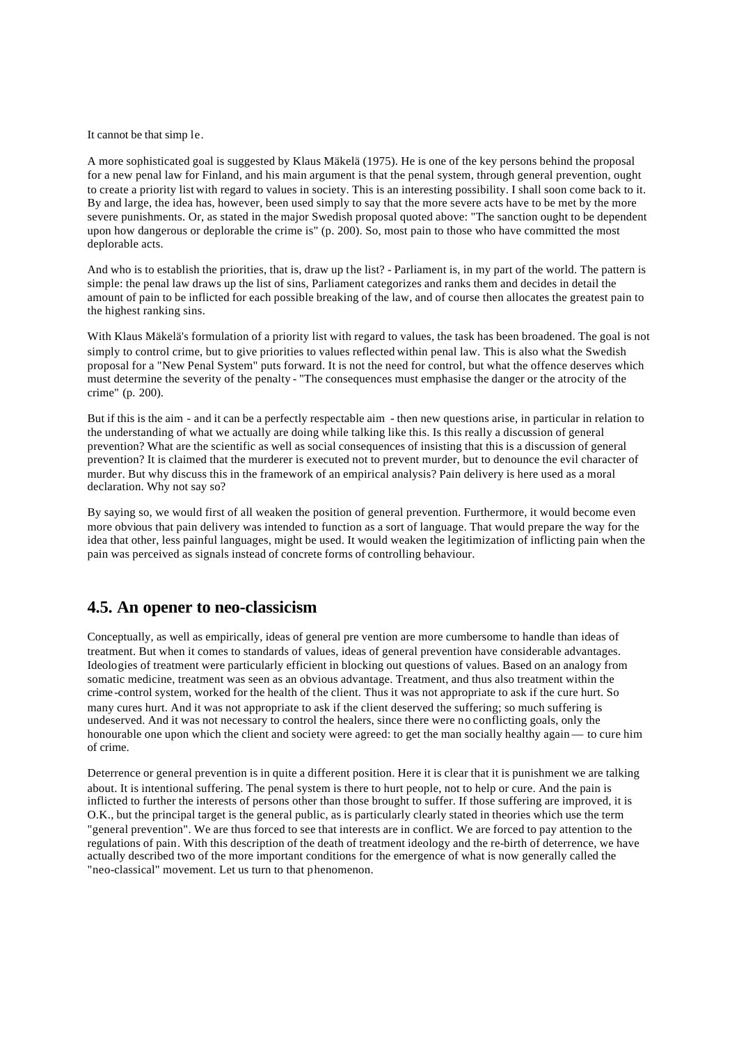It cannot be that simp le.

A more sophisticated goal is suggested by Klaus Mäkelä (1975). He is one of the key persons behind the proposal for a new penal law for Finland, and his main argument is that the penal system, through general prevention, ought to create a priority list with regard to values in society. This is an interesting possibility. I shall soon come back to it. By and large, the idea has, however, been used simply to say that the more severe acts have to be met by the more severe punishments. Or, as stated in the major Swedish proposal quoted above: "The sanction ought to be dependent upon how dangerous or deplorable the crime is" (p. 200). So, most pain to those who have committed the most deplorable acts.

And who is to establish the priorities, that is, draw up the list? - Parliament is, in my part of the world. The pattern is simple: the penal law draws up the list of sins, Parliament categorizes and ranks them and decides in detail the amount of pain to be inflicted for each possible breaking of the law, and of course then allocates the greatest pain to the highest ranking sins.

With Klaus Mäkelä's formulation of a priority list with regard to values, the task has been broadened. The goal is not simply to control crime, but to give priorities to values reflected within penal law. This is also what the Swedish proposal for a "New Penal System" puts forward. It is not the need for control, but what the offence deserves which must determine the severity of the penalty - "The consequences must emphasise the danger or the atrocity of the crime" (p. 200).

But if this is the aim - and it can be a perfectly respectable aim - then new questions arise, in particular in relation to the understanding of what we actually are doing while talking like this. Is this really a discussion of general prevention? What are the scientific as well as social consequences of insisting that this is a discussion of general prevention? It is claimed that the murderer is executed not to prevent murder, but to denounce the evil character of murder. But why discuss this in the framework of an empirical analysis? Pain delivery is here used as a moral declaration. Why not say so?

By saying so, we would first of all weaken the position of general prevention. Furthermore, it would become even more obvious that pain delivery was intended to function as a sort of language. That would prepare the way for the idea that other, less painful languages, might be used. It would weaken the legitimization of inflicting pain when the pain was perceived as signals instead of concrete forms of controlling behaviour.

### **4.5. An opener to neo-classicism**

Conceptually, as well as empirically, ideas of general pre vention are more cumbersome to handle than ideas of treatment. But when it comes to standards of values, ideas of general prevention have considerable advantages. Ideologies of treatment were particularly efficient in blocking out questions of values. Based on an analogy from somatic medicine, treatment was seen as an obvious advantage. Treatment, and thus also treatment within the crime -control system, worked for the health of the client. Thus it was not appropriate to ask if the cure hurt. So many cures hurt. And it was not appropriate to ask if the client deserved the suffering; so much suffering is undeserved. And it was not necessary to control the healers, since there were no conflicting goals, only the honourable one upon which the client and society were agreed: to get the man socially healthy again — to cure him of crime.

Deterrence or general prevention is in quite a different position. Here it is clear that it is punishment we are talking about. It is intentional suffering. The penal system is there to hurt people, not to help or cure. And the pain is inflicted to further the interests of persons other than those brought to suffer. If those suffering are improved, it is O.K., but the principal target is the general public, as is particularly clearly stated in theories which use the term "general prevention". We are thus forced to see that interests are in conflict. We are forced to pay attention to the regulations of pain. With this description of the death of treatment ideology and the re-birth of deterrence, we have actually described two of the more important conditions for the emergence of what is now generally called the "neo-classical" movement. Let us turn to that phenomenon.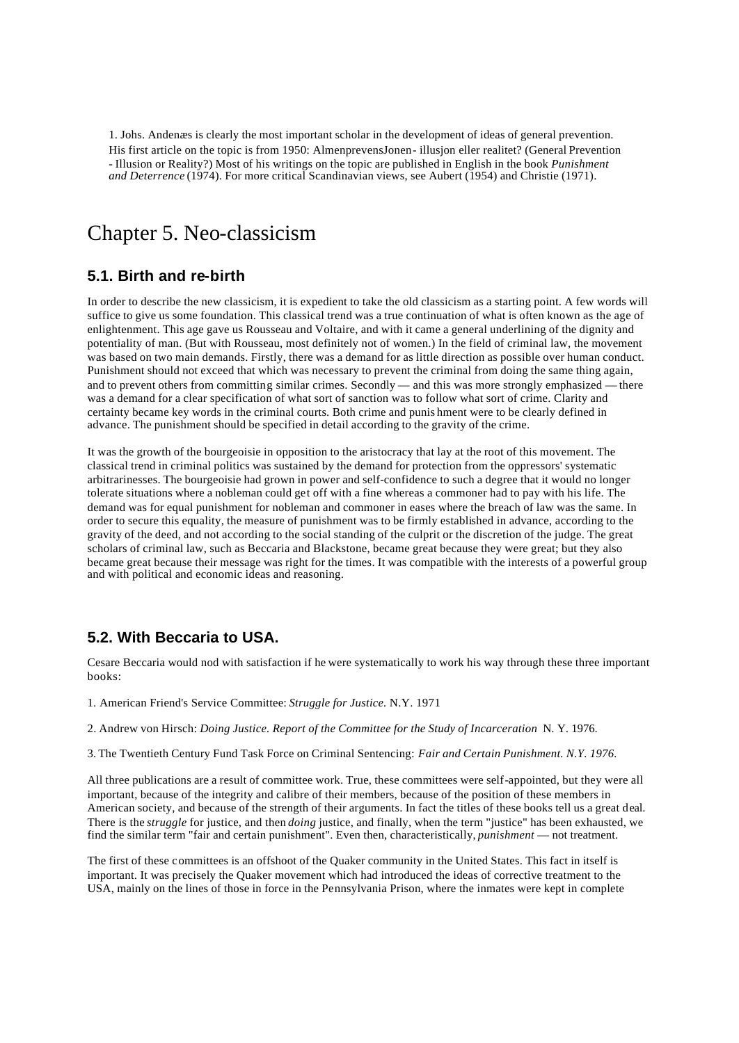1. Johs. Andenæs is clearly the most important scholar in the development of ideas of general prevention. His first article on the topic is from 1950: AlmenprevensJonen - illusjon eller realitet? (General Prevention - Illusion or Reality?) Most of his writings on the topic are published in English in the book *Punishment and Deterrence* (1974). For more critical Scandinavian views, see Aubert (1954) and Christie (1971).

## Chapter 5. Neo-classicism

#### **5.1. Birth and re-birth**

In order to describe the new classicism, it is expedient to take the old classicism as a starting point. A few words will suffice to give us some foundation. This classical trend was a true continuation of what is often known as the age of enlightenment. This age gave us Rousseau and Voltaire, and with it came a general underlining of the dignity and potentiality of man. (But with Rousseau, most definitely not of women.) In the field of criminal law, the movement was based on two main demands. Firstly, there was a demand for as little direction as possible over human conduct. Punishment should not exceed that which was necessary to prevent the criminal from doing the same thing again, and to prevent others from committing similar crimes. Secondly — and this was more strongly emphasized — there was a demand for a clear specification of what sort of sanction was to follow what sort of crime. Clarity and certainty became key words in the criminal courts. Both crime and punis hment were to be clearly defined in advance. The punishment should be specified in detail according to the gravity of the crime.

It was the growth of the bourgeoisie in opposition to the aristocracy that lay at the root of this movement. The classical trend in criminal politics was sustained by the demand for protection from the oppressors' systematic arbitrarinesses. The bourgeoisie had grown in power and self-confidence to such a degree that it would no longer tolerate situations where a nobleman could get off with a fine whereas a commoner had to pay with his life. The demand was for equal punishment for nobleman and commoner in eases where the breach of law was the same. In order to secure this equality, the measure of punishment was to be firmly established in advance, according to the gravity of the deed, and not according to the social standing of the culprit or the discretion of the judge. The great scholars of criminal law, such as Beccaria and Blackstone, became great because they were great; but they also became great because their message was right for the times. It was compatible with the interests of a powerful group and with political and economic ideas and reasoning.

#### **5.2. With Beccaria to USA.**

Cesare Beccaria would nod with satisfaction if he were systematically to work his way through these three important books:

1. American Friend's Service Committee: *Struggle for Justice.* N.Y. 1971

2. Andrew von Hirsch: *Doing Justice. Report of the Committee for the Study of Incarceration* N. Y. 1976.

3. The Twentieth Century Fund Task Force on Criminal Sentencing: *Fair and Certain Punishment. N.Y. 1976.*

All three publications are a result of committee work. True, these committees were self-appointed, but they were all important, because of the integrity and calibre of their members, because of the position of these members in American society, and because of the strength of their arguments. In fact the titles of these books tell us a great deal. There is the *struggle* for justice, and then *doing* justice, and finally, when the term "justice" has been exhausted, we find the similar term "fair and certain punishment". Even then, characteristically, *punishment* — not treatment.

The first of these committees is an offshoot of the Quaker community in the United States. This fact in itself is important. It was precisely the Quaker movement which had introduced the ideas of corrective treatment to the USA, mainly on the lines of those in force in the Pennsylvania Prison, where the inmates were kept in complete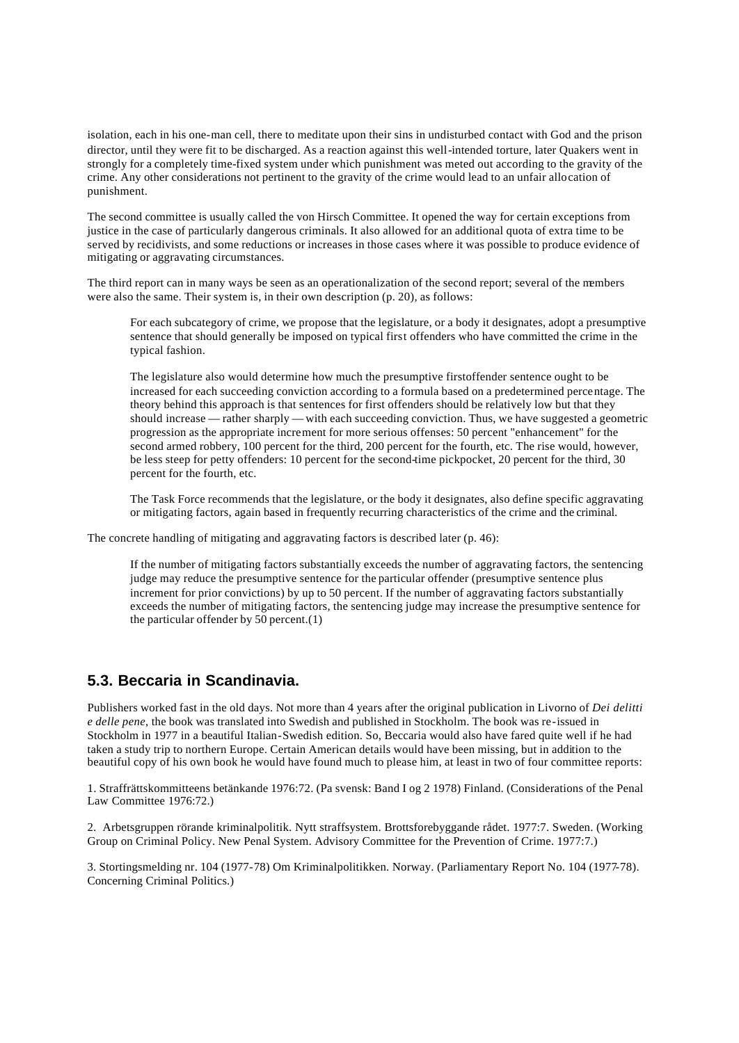isolation, each in his one-man cell, there to meditate upon their sins in undisturbed contact with God and the prison director, until they were fit to be discharged. As a reaction against this well-intended torture, later Quakers went in strongly for a completely time-fixed system under which punishment was meted out according to the gravity of the crime. Any other considerations not pertinent to the gravity of the crime would lead to an unfair allocation of punishment.

The second committee is usually called the von Hirsch Committee. It opened the way for certain exceptions from justice in the case of particularly dangerous criminals. It also allowed for an additional quota of extra time to be served by recidivists, and some reductions or increases in those cases where it was possible to produce evidence of mitigating or aggravating circumstances.

The third report can in many ways be seen as an operationalization of the second report; several of the members were also the same. Their system is, in their own description (p. 20), as follows:

For each subcategory of crime, we propose that the legislature, or a body it designates, adopt a presumptive sentence that should generally be imposed on typical first offenders who have committed the crime in the typical fashion.

The legislature also would determine how much the presumptive firstoffender sentence ought to be increased for each succeeding conviction according to a formula based on a predetermined percentage. The theory behind this approach is that sentences for first offenders should be relatively low but that they should increase — rather sharply — with each succeeding conviction. Thus, we have suggested a geometric progression as the appropriate increment for more serious offenses: 50 percent "enhancement" for the second armed robbery, 100 percent for the third, 200 percent for the fourth, etc. The rise would, however, be less steep for petty offenders: 10 percent for the second-time pickpocket, 20 percent for the third, 30 percent for the fourth, etc.

The Task Force recommends that the legislature, or the body it designates, also define specific aggravating or mitigating factors, again based in frequently recurring characteristics of the crime and the criminal.

The concrete handling of mitigating and aggravating factors is described later (p. 46):

If the number of mitigating factors substantially exceeds the number of aggravating factors, the sentencing judge may reduce the presumptive sentence for the particular offender (presumptive sentence plus increment for prior convictions) by up to 50 percent. If the number of aggravating factors substantially exceeds the number of mitigating factors, the sentencing judge may increase the presumptive sentence for the particular offender by  $50$  percent.(1)

#### **5.3. Beccaria in Scandinavia.**

Publishers worked fast in the old days. Not more than 4 years after the original publication in Livorno of *Dei delitti e delle pene,* the book was translated into Swedish and published in Stockholm. The book was re-issued in Stockholm in 1977 in a beautiful Italian-Swedish edition. So, Beccaria would also have fared quite well if he had taken a study trip to northern Europe. Certain American details would have been missing, but in addition to the beautiful copy of his own book he would have found much to please him, at least in two of four committee reports:

1. Straffrättskommitteens betänkande 1976:72. (Pa svensk: Band I og 2 1978) Finland. (Considerations of the Penal Law Committee 1976:72.)

2. Arbetsgruppen rörande kriminalpolitik. Nytt straffsystem. Brottsforebyggande rådet. 1977:7. Sweden. (Working Group on Criminal Policy. New Penal System. Advisory Committee for the Prevention of Crime. 1977:7.)

3. Stortingsmelding nr. 104 (1977-78) Om Kriminalpolitikken. Norway. (Parliamentary Report No. 104 (1977-78). Concerning Criminal Politics.)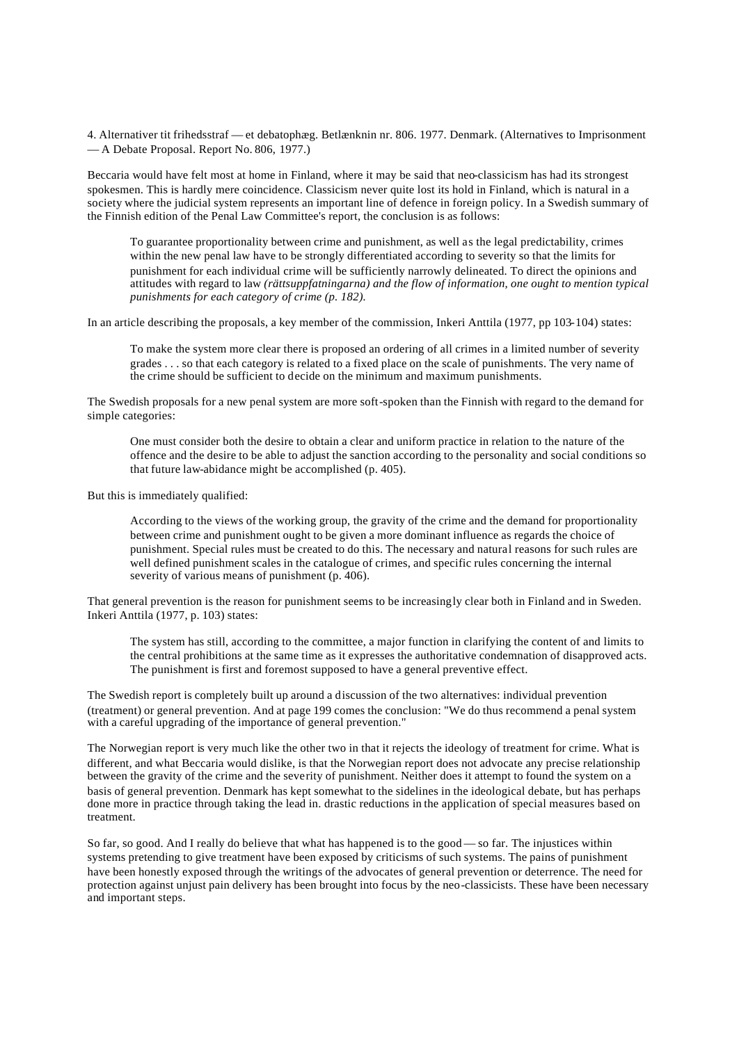4. Alternativer tit frihedsstraf — et debatophæg. Betlænknin nr. 806. 1977. Denmark. (Alternatives to Imprisonment — A Debate Proposal. Report No. 806, 1977.)

Beccaria would have felt most at home in Finland, where it may be said that neo-classicism has had its strongest spokesmen. This is hardly mere coincidence. Classicism never quite lost its hold in Finland, which is natural in a society where the judicial system represents an important line of defence in foreign policy. In a Swedish summary of the Finnish edition of the Penal Law Committee's report, the conclusion is as follows:

To guarantee proportionality between crime and punishment, as well as the legal predictability, crimes within the new penal law have to be strongly differentiated according to severity so that the limits for punishment for each individual crime will be sufficiently narrowly delineated. To direct the opinions and attitudes with regard to law *(rättsuppfatningarna) and the flow of information, one ought to mention typical punishments for each category of crime (p. 182).*

In an article describing the proposals, a key member of the commission, Inkeri Anttila (1977, pp 103-104) states:

To make the system more clear there is proposed an ordering of all crimes in a limited number of severity grades . . . so that each category is related to a fixed place on the scale of punishments. The very name of the crime should be sufficient to decide on the minimum and maximum punishments.

The Swedish proposals for a new penal system are more soft-spoken than the Finnish with regard to the demand for simple categories:

One must consider both the desire to obtain a clear and uniform practice in relation to the nature of the offence and the desire to be able to adjust the sanction according to the personality and social conditions so that future law-abidance might be accomplished (p. 405).

But this is immediately qualified:

According to the views of the working group, the gravity of the crime and the demand for proportionality between crime and punishment ought to be given a more dominant influence as regards the choice of punishment. Special rules must be created to do this. The necessary and natural reasons for such rules are well defined punishment scales in the catalogue of crimes, and specific rules concerning the internal severity of various means of punishment (p. 406).

That general prevention is the reason for punishment seems to be increasingly clear both in Finland and in Sweden. Inkeri Anttila (1977, p. 103) states:

The system has still, according to the committee, a major function in clarifying the content of and limits to the central prohibitions at the same time as it expresses the authoritative condemnation of disapproved acts. The punishment is first and foremost supposed to have a general preventive effect.

The Swedish report is completely built up around a discussion of the two alternatives: individual prevention (treatment) or general prevention. And at page 199 comes the conclusion: "We do thus recommend a penal system with a careful upgrading of the importance of general prevention."

The Norwegian report is very much like the other two in that it rejects the ideology of treatment for crime. What is different, and what Beccaria would dislike, is that the Norwegian report does not advocate any precise relationship between the gravity of the crime and the severity of punishment. Neither does it attempt to found the system on a basis of general prevention. Denmark has kept somewhat to the sidelines in the ideological debate, but has perhaps done more in practice through taking the lead in. drastic reductions in the application of special measures based on treatment.

So far, so good. And I really do believe that what has happened is to the good — so far. The injustices within systems pretending to give treatment have been exposed by criticisms of such systems. The pains of punishment have been honestly exposed through the writings of the advocates of general prevention or deterrence. The need for protection against unjust pain delivery has been brought into focus by the neo-classicists. These have been necessary and important steps.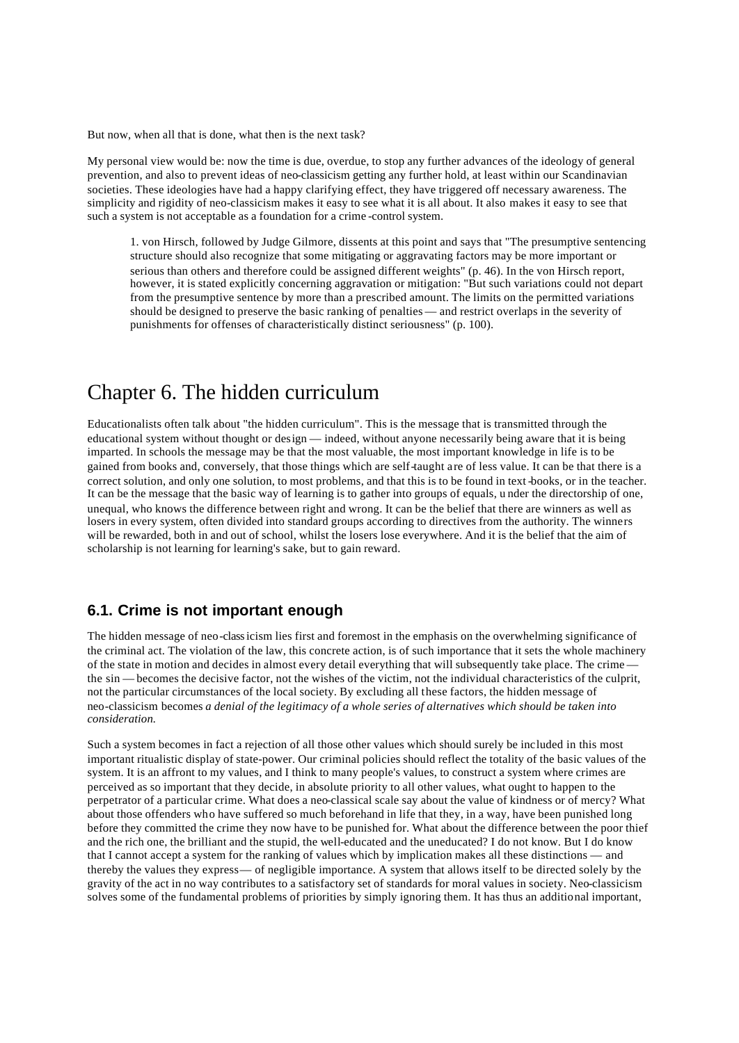But now, when all that is done, what then is the next task?

My personal view would be: now the time is due, overdue, to stop any further advances of the ideology of general prevention, and also to prevent ideas of neo-classicism getting any further hold, at least within our Scandinavian societies. These ideologies have had a happy clarifying effect, they have triggered off necessary awareness. The simplicity and rigidity of neo-classicism makes it easy to see what it is all about. It also makes it easy to see that such a system is not acceptable as a foundation for a crime -control system.

1. von Hirsch, followed by Judge Gilmore, dissents at this point and says that "The presumptive sentencing structure should also recognize that some mitigating or aggravating factors may be more important or serious than others and therefore could be assigned different weights" (p. 46). In the von Hirsch report, however, it is stated explicitly concerning aggravation or mitigation: "But such variations could not depart from the presumptive sentence by more than a prescribed amount. The limits on the permitted variations should be designed to preserve the basic ranking of penalties — and restrict overlaps in the severity of punishments for offenses of characteristically distinct seriousness" (p. 100).

## Chapter 6. The hidden curriculum

Educationalists often talk about "the hidden curriculum". This is the message that is transmitted through the educational system without thought or design — indeed, without anyone necessarily being aware that it is being imparted. In schools the message may be that the most valuable, the most important knowledge in life is to be gained from books and, conversely, that those things which are self-taught are of less value. It can be that there is a correct solution, and only one solution, to most problems, and that this is to be found in text -books, or in the teacher. It can be the message that the basic way of learning is to gather into groups of equals, u nder the directorship of one, unequal, who knows the difference between right and wrong. It can be the belief that there are winners as well as losers in every system, often divided into standard groups according to directives from the authority. The winners will be rewarded, both in and out of school, whilst the losers lose everywhere. And it is the belief that the aim of scholarship is not learning for learning's sake, but to gain reward.

#### **6.1. Crime is not important enough**

The hidden message of neo-classicism lies first and foremost in the emphasis on the overwhelming significance of the criminal act. The violation of the law, this concrete action, is of such importance that it sets the whole machinery of the state in motion and decides in almost every detail everything that will subsequently take place. The crime the sin — becomes the decisive factor, not the wishes of the victim, not the individual characteristics of the culprit, not the particular circumstances of the local society. By excluding all these factors, the hidden message of neo-classicism becomes *a denial of the legitimacy of a whole series of alternatives which should be taken into consideration.*

Such a system becomes in fact a rejection of all those other values which should surely be included in this most important ritualistic display of state-power. Our criminal policies should reflect the totality of the basic values of the system. It is an affront to my values, and I think to many people's values, to construct a system where crimes are perceived as so important that they decide, in absolute priority to all other values, what ought to happen to the perpetrator of a particular crime. What does a neo-classical scale say about the value of kindness or of mercy? What about those offenders who have suffered so much beforehand in life that they, in a way, have been punished long before they committed the crime they now have to be punished for. What about the difference between the poor thief and the rich one, the brilliant and the stupid, the well-educated and the uneducated? I do not know. But I do know that I cannot accept a system for the ranking of values which by implication makes all these distinctions — and thereby the values they express — of negligible importance. A system that allows itself to be directed solely by the gravity of the act in no way contributes to a satisfactory set of standards for moral values in society. Neo-classicism solves some of the fundamental problems of priorities by simply ignoring them. It has thus an additional important,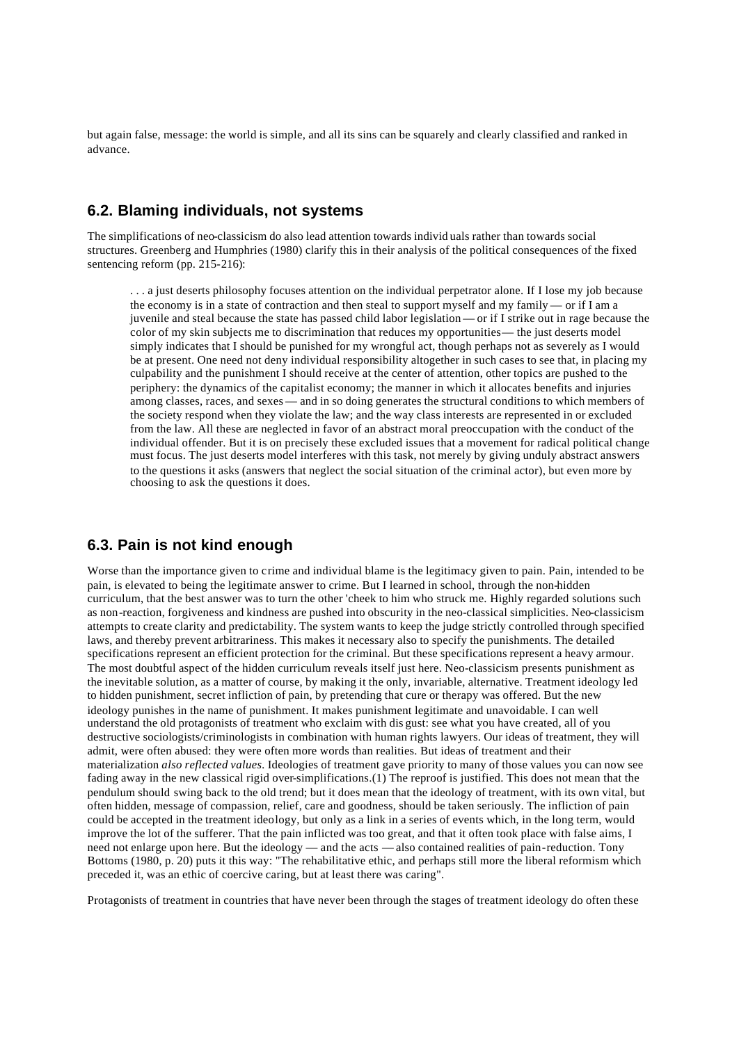but again false, message: the world is simple, and all its sins can be squarely and clearly classified and ranked in advance.

#### **6.2. Blaming individuals, not systems**

The simplifications of neo-classicism do also lead attention towards individ uals rather than towards social structures. Greenberg and Humphries (1980) clarify this in their analysis of the political consequences of the fixed sentencing reform (pp. 215-216):

. . . a just deserts philosophy focuses attention on the individual perpetrator alone. If I lose my job because the economy is in a state of contraction and then steal to support myself and my family — or if I am a juvenile and steal because the state has passed child labor legislation — or if I strike out in rage because the color of my skin subjects me to discrimination that reduces my opportunities — the just deserts model simply indicates that I should be punished for my wrongful act, though perhaps not as severely as I would be at present. One need not deny individual responsibility altogether in such cases to see that, in placing my culpability and the punishment I should receive at the center of attention, other topics are pushed to the periphery: the dynamics of the capitalist economy; the manner in which it allocates benefits and injuries among classes, races, and sexes — and in so doing generates the structural conditions to which members of the society respond when they violate the law; and the way class interests are represented in or excluded from the law. All these are neglected in favor of an abstract moral preoccupation with the conduct of the individual offender. But it is on precisely these excluded issues that a movement for radical political change must focus. The just deserts model interferes with this task, not merely by giving unduly abstract answers to the questions it asks (answers that neglect the social situation of the criminal actor), but even more by choosing to ask the questions it does.

### **6.3. Pain is not kind enough**

Worse than the importance given to crime and individual blame is the legitimacy given to pain. Pain, intended to be pain, is elevated to being the legitimate answer to crime. But I learned in school, through the non-hidden curriculum, that the best answer was to turn the other 'cheek to him who struck me. Highly regarded solutions such as non-reaction, forgiveness and kindness are pushed into obscurity in the neo-classical simplicities. Neo-classicism attempts to create clarity and predictability. The system wants to keep the judge strictly controlled through specified laws, and thereby prevent arbitrariness. This makes it necessary also to specify the punishments. The detailed specifications represent an efficient protection for the criminal. But these specifications represent a heavy armour. The most doubtful aspect of the hidden curriculum reveals itself just here. Neo-classicism presents punishment as the inevitable solution, as a matter of course, by making it the only, invariable, alternative. Treatment ideology led to hidden punishment, secret infliction of pain, by pretending that cure or therapy was offered. But the new ideology punishes in the name of punishment. It makes punishment legitimate and unavoidable. I can well understand the old protagonists of treatment who exclaim with dis gust: see what you have created, all of you destructive sociologists/criminologists in combination with human rights lawyers. Our ideas of treatment, they will admit, were often abused: they were often more words than realities. But ideas of treatment and their materialization *also reflected values.* Ideologies of treatment gave priority to many of those values you can now see fading away in the new classical rigid over-simplifications.(1) The reproof is justified. This does not mean that the pendulum should swing back to the old trend; but it does mean that the ideology of treatment, with its own vital, but often hidden, message of compassion, relief, care and goodness, should be taken seriously. The infliction of pain could be accepted in the treatment ideology, but only as a link in a series of events which, in the long term, would improve the lot of the sufferer. That the pain inflicted was too great, and that it often took place with false aims, I need not enlarge upon here. But the ideology — and the acts — also contained realities of pain-reduction. Tony Bottoms (1980, p. 20) puts it this way: "The rehabilitative ethic, and perhaps still more the liberal reformism which preceded it, was an ethic of coercive caring, but at least there was caring".

Protagonists of treatment in countries that have never been through the stages of treatment ideology do often these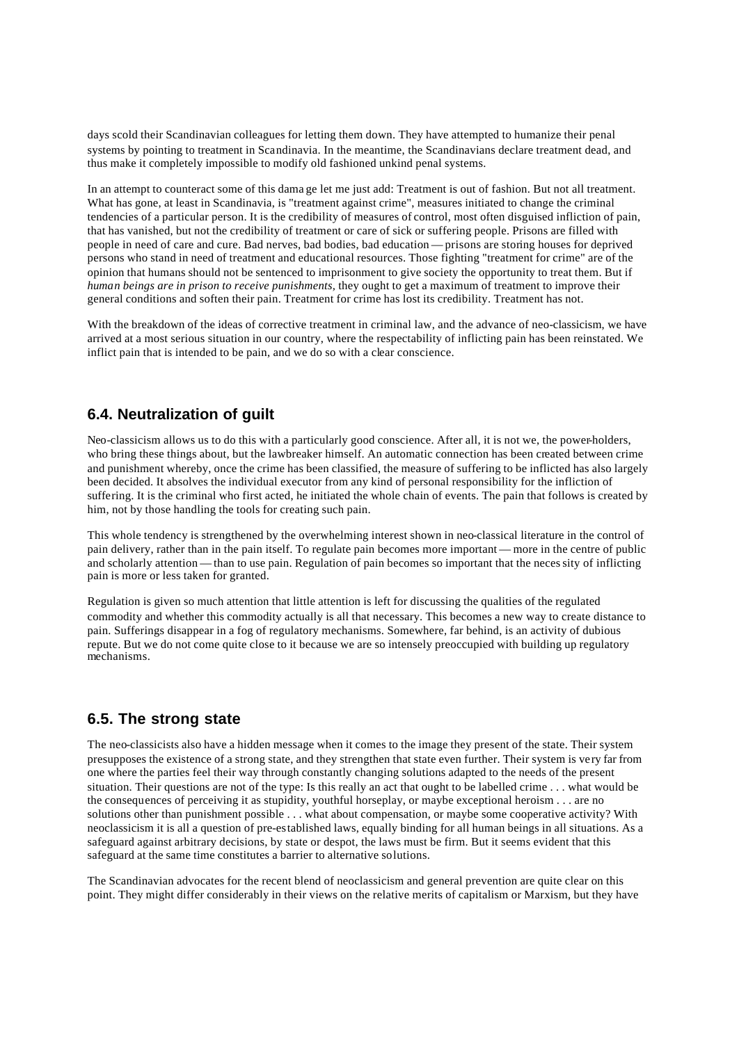days scold their Scandinavian colleagues for letting them down. They have attempted to humanize their penal systems by pointing to treatment in Scandinavia. In the meantime, the Scandinavians declare treatment dead, and thus make it completely impossible to modify old fashioned unkind penal systems.

In an attempt to counteract some of this dama ge let me just add: Treatment is out of fashion. But not all treatment. What has gone, at least in Scandinavia, is "treatment against crime", measures initiated to change the criminal tendencies of a particular person. It is the credibility of measures of control, most often disguised infliction of pain, that has vanished, but not the credibility of treatment or care of sick or suffering people. Prisons are filled with people in need of care and cure. Bad nerves, bad bodies, bad education — prisons are storing houses for deprived persons who stand in need of treatment and educational resources. Those fighting "treatment for crime" are of the opinion that humans should not be sentenced to imprisonment to give society the opportunity to treat them. But if *human beings are in prison to receive punishments,* they ought to get a maximum of treatment to improve their general conditions and soften their pain. Treatment for crime has lost its credibility. Treatment has not.

With the breakdown of the ideas of corrective treatment in criminal law, and the advance of neo-classicism, we have arrived at a most serious situation in our country, where the respectability of inflicting pain has been reinstated. We inflict pain that is intended to be pain, and we do so with a clear conscience.

### **6.4. Neutralization of guilt**

Neo-classicism allows us to do this with a particularly good conscience. After all, it is not we, the power-holders, who bring these things about, but the lawbreaker himself. An automatic connection has been created between crime and punishment whereby, once the crime has been classified, the measure of suffering to be inflicted has also largely been decided. It absolves the individual executor from any kind of personal responsibility for the infliction of suffering. It is the criminal who first acted, he initiated the whole chain of events. The pain that follows is created by him, not by those handling the tools for creating such pain.

This whole tendency is strengthened by the overwhelming interest shown in neo-classical literature in the control of pain delivery, rather than in the pain itself. To regulate pain becomes more important — more in the centre of public and scholarly attention — than to use pain. Regulation of pain becomes so important that the necessity of inflicting pain is more or less taken for granted.

Regulation is given so much attention that little attention is left for discussing the qualities of the regulated commodity and whether this commodity actually is all that necessary. This becomes a new way to create distance to pain. Sufferings disappear in a fog of regulatory mechanisms. Somewhere, far behind, is an activity of dubious repute. But we do not come quite close to it because we are so intensely preoccupied with building up regulatory mechanisms.

### **6.5. The strong state**

The neo-classicists also have a hidden message when it comes to the image they present of the state. Their system presupposes the existence of a strong state, and they strengthen that state even further. Their system is very far from one where the parties feel their way through constantly changing solutions adapted to the needs of the present situation. Their questions are not of the type: Is this really an act that ought to be labelled crime . . . what would be the consequences of perceiving it as stupidity, youthful horseplay, or maybe exceptional heroism . . . are no solutions other than punishment possible . . . what about compensation, or maybe some cooperative activity? With neoclassicism it is all a question of pre-established laws, equally binding for all human beings in all situations. As a safeguard against arbitrary decisions, by state or despot, the laws must be firm. But it seems evident that this safeguard at the same time constitutes a barrier to alternative solutions.

The Scandinavian advocates for the recent blend of neoclassicism and general prevention are quite clear on this point. They might differ considerably in their views on the relative merits of capitalism or Marxism, but they have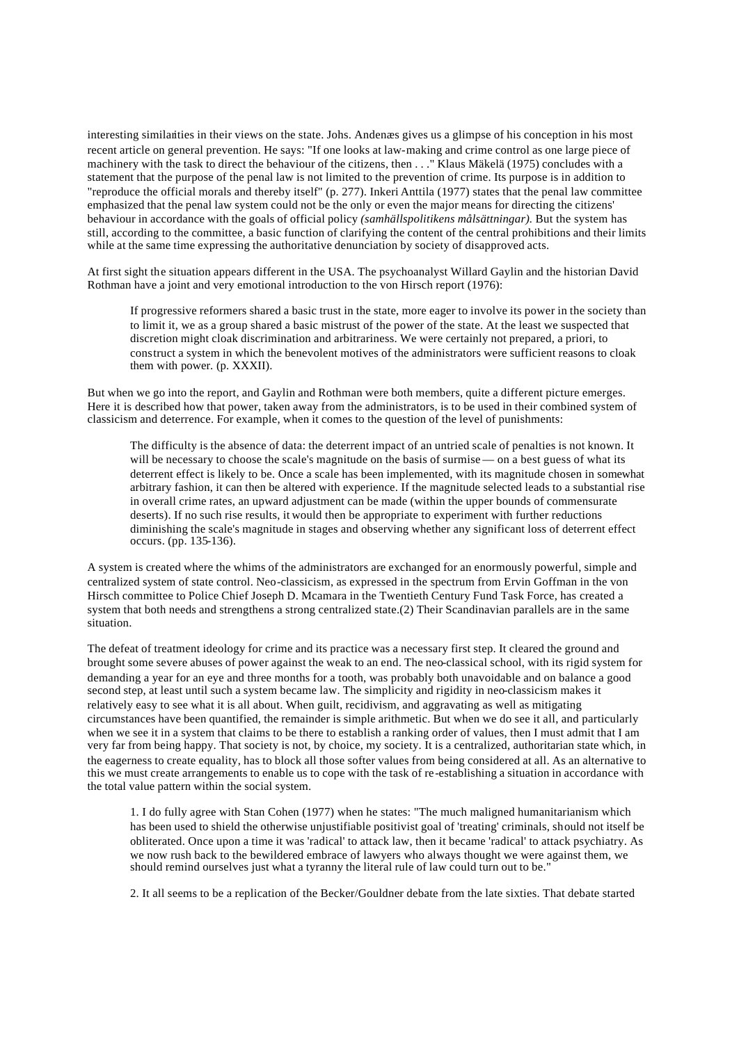interesting similarities in their views on the state. Johs. Andenæs gives us a glimpse of his conception in his most recent article on general prevention. He says: "If one looks at law-making and crime control as one large piece of machinery with the task to direct the behaviour of the citizens, then . . ." Klaus Mäkelä (1975) concludes with a statement that the purpose of the penal law is not limited to the prevention of crime. Its purpose is in addition to "reproduce the official morals and thereby itself" (p. 277). Inkeri Anttila (1977) states that the penal law committee emphasized that the penal law system could not be the only or even the major means for directing the citizens' behaviour in accordance with the goals of official policy *(samhällspolitikens målsättningar).* But the system has still, according to the committee, a basic function of clarifying the content of the central prohibitions and their limits while at the same time expressing the authoritative denunciation by society of disapproved acts.

At first sight the situation appears different in the USA. The psychoanalyst Willard Gaylin and the historian David Rothman have a joint and very emotional introduction to the von Hirsch report (1976):

If progressive reformers shared a basic trust in the state, more eager to involve its power in the society than to limit it, we as a group shared a basic mistrust of the power of the state. At the least we suspected that discretion might cloak discrimination and arbitrariness. We were certainly not prepared, a priori, to construct a system in which the benevolent motives of the administrators were sufficient reasons to cloak them with power. (p. XXXII).

But when we go into the report, and Gaylin and Rothman were both members, quite a different picture emerges. Here it is described how that power, taken away from the administrators, is to be used in their combined system of classicism and deterrence. For example, when it comes to the question of the level of punishments:

The difficulty is the absence of data: the deterrent impact of an untried scale of penalties is not known. It will be necessary to choose the scale's magnitude on the basis of surmise — on a best guess of what its deterrent effect is likely to be. Once a scale has been implemented, with its magnitude chosen in somewhat arbitrary fashion, it can then be altered with experience. If the magnitude selected leads to a substantial rise in overall crime rates, an upward adjustment can be made (within the upper bounds of commensurate deserts). If no such rise results, it would then be appropriate to experiment with further reductions diminishing the scale's magnitude in stages and observing whether any significant loss of deterrent effect occurs. (pp. 135-136).

A system is created where the whims of the administrators are exchanged for an enormously powerful, simple and centralized system of state control. Neo-classicism, as expressed in the spectrum from Ervin Goffman in the von Hirsch committee to Police Chief Joseph D. Mcamara in the Twentieth Century Fund Task Force, has created a system that both needs and strengthens a strong centralized state.(2) Their Scandinavian parallels are in the same situation.

The defeat of treatment ideology for crime and its practice was a necessary first step. It cleared the ground and brought some severe abuses of power against the weak to an end. The neo-classical school, with its rigid system for demanding a year for an eye and three months for a tooth, was probably both unavoidable and on balance a good second step, at least until such a system became law. The simplicity and rigidity in neo-classicism makes it relatively easy to see what it is all about. When guilt, recidivism, and aggravating as well as mitigating circumstances have been quantified, the remainder is simple arithmetic. But when we do see it all, and particularly when we see it in a system that claims to be there to establish a ranking order of values, then I must admit that I am very far from being happy. That society is not, by choice, my society. It is a centralized, authoritarian state which, in the eagerness to create equality, has to block all those softer values from being considered at all. As an alternative to this we must create arrangements to enable us to cope with the task of re-establishing a situation in accordance with the total value pattern within the social system.

1. I do fully agree with Stan Cohen (1977) when he states: "The much maligned humanitarianism which has been used to shield the otherwise unjustifiable positivist goal of 'treating' criminals, should not itself be obliterated. Once upon a time it was 'radical' to attack law, then it became 'radical' to attack psychiatry. As we now rush back to the bewildered embrace of lawyers who always thought we were against them, we should remind ourselves just what a tyranny the literal rule of law could turn out to be."

2. It all seems to be a replication of the Becker/Gouldner debate from the late sixties. That debate started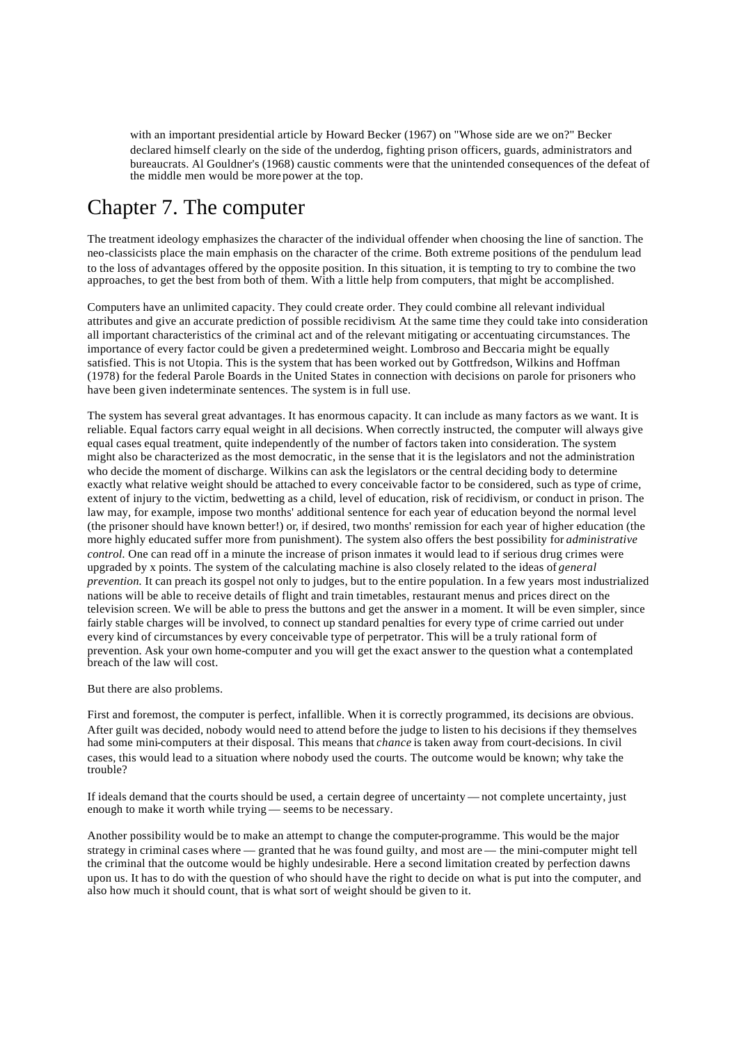with an important presidential article by Howard Becker (1967) on "Whose side are we on?" Becker declared himself clearly on the side of the underdog, fighting prison officers, guards, administrators and bureaucrats. Al Gouldner's (1968) caustic comments were that the unintended consequences of the defeat of the middle men would be more power at the top.

# Chapter 7. The computer

The treatment ideology emphasizes the character of the individual offender when choosing the line of sanction. The neo-classicists place the main emphasis on the character of the crime. Both extreme positions of the pendulum lead to the loss of advantages offered by the opposite position. In this situation, it is tempting to try to combine the two approaches, to get the best from both of them. With a little help from computers, that might be accomplished.

Computers have an unlimited capacity. They could create order. They could combine all relevant individual attributes and give an accurate prediction of possible recidivism. At the same time they could take into consideration all important characteristics of the criminal act and of the relevant mitigating or accentuating circumstances. The importance of every factor could be given a predetermined weight. Lombroso and Beccaria might be equally satisfied. This is not Utopia. This is the system that has been worked out by Gottfredson, Wilkins and Hoffman (1978) for the federal Parole Boards in the United States in connection with decisions on parole for prisoners who have been given indeterminate sentences. The system is in full use.

The system has several great advantages. It has enormous capacity. It can include as many factors as we want. It is reliable. Equal factors carry equal weight in all decisions. When correctly instructed, the computer will always give equal cases equal treatment, quite independently of the number of factors taken into consideration. The system might also be characterized as the most democratic, in the sense that it is the legislators and not the administration who decide the moment of discharge. Wilkins can ask the legislators or the central deciding body to determine exactly what relative weight should be attached to every conceivable factor to be considered, such as type of crime, extent of injury to the victim, bedwetting as a child, level of education, risk of recidivism, or conduct in prison. The law may, for example, impose two months' additional sentence for each year of education beyond the normal level (the prisoner should have known better!) or, if desired, two months' remission for each year of higher education (the more highly educated suffer more from punishment). The system also offers the best possibility for *administrative control.* One can read off in a minute the increase of prison inmates it would lead to if serious drug crimes were upgraded by x points. The system of the calculating machine is also closely related to the ideas of *general prevention.* It can preach its gospel not only to judges, but to the entire population. In a few years most industrialized nations will be able to receive details of flight and train timetables, restaurant menus and prices direct on the television screen. We will be able to press the buttons and get the answer in a moment. It will be even simpler, since fairly stable charges will be involved, to connect up standard penalties for every type of crime carried out under every kind of circumstances by every conceivable type of perpetrator. This will be a truly rational form of prevention. Ask your own home-computer and you will get the exact answer to the question what a contemplated breach of the law will cost.

But there are also problems.

First and foremost, the computer is perfect, infallible. When it is correctly programmed, its decisions are obvious. After guilt was decided, nobody would need to attend before the judge to listen to his decisions if they themselves had some mini-computers at their disposal. This means that *chance* is taken away from court-decisions. In civil cases, this would lead to a situation where nobody used the courts. The outcome would be known; why take the trouble?

If ideals demand that the courts should be used, a certain degree of uncertainty — not complete uncertainty, just enough to make it worth while trying — seems to be necessary.

Another possibility would be to make an attempt to change the computer-programme. This would be the major strategy in criminal cases where — granted that he was found guilty, and most are — the mini-computer might tell the criminal that the outcome would be highly undesirable. Here a second limitation created by perfection dawns upon us. It has to do with the question of who should have the right to decide on what is put into the computer, and also how much it should count, that is what sort of weight should be given to it.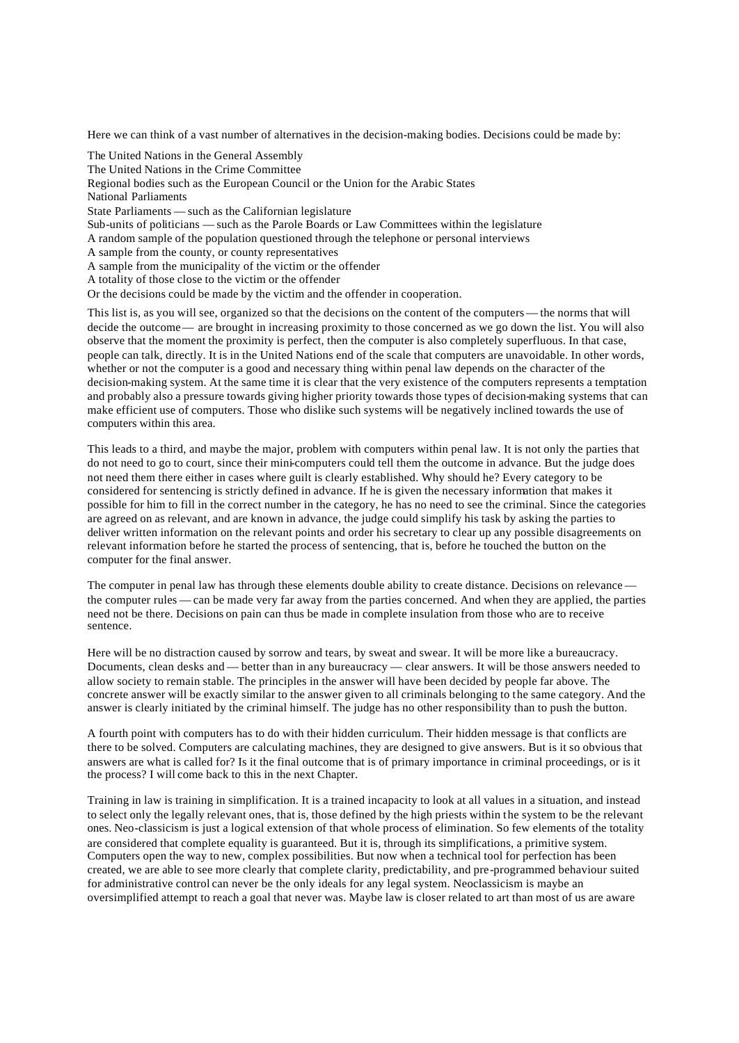Here we can think of a vast number of alternatives in the decision-making bodies. Decisions could be made by:

The United Nations in the General Assembly The United Nations in the Crime Committee Regional bodies such as the European Council or the Union for the Arabic States National Parliaments State Parliaments — such as the Californian legislature Sub-units of politicians — such as the Parole Boards or Law Committees within the legislature A random sample of the population questioned through the telephone or personal interviews A sample from the county, or county representatives A sample from the municipality of the victim or the offender A totality of those close to the victim or the offender Or the decisions could be made by the victim and the offender in cooperation.

This list is, as you will see, organized so that the decisions on the content of the computers — the norms that will decide the outcome — are brought in increasing proximity to those concerned as we go down the list. You will also observe that the moment the proximity is perfect, then the computer is also completely superfluous. In that case, people can talk, directly. It is in the United Nations end of the scale that computers are unavoidable. In other words, whether or not the computer is a good and necessary thing within penal law depends on the character of the decision-making system. At the same time it is clear that the very existence of the computers represents a temptation and probably also a pressure towards giving higher priority towards those types of decision-making systems that can make efficient use of computers. Those who dislike such systems will be negatively inclined towards the use of computers within this area.

This leads to a third, and maybe the major, problem with computers within penal law. It is not only the parties that do not need to go to court, since their mini-computers could tell them the outcome in advance. But the judge does not need them there either in cases where guilt is clearly established. Why should he? Every category to be considered for sentencing is strictly defined in advance. If he is given the necessary information that makes it possible for him to fill in the correct number in the category, he has no need to see the criminal. Since the categories are agreed on as relevant, and are known in advance, the judge could simplify his task by asking the parties to deliver written information on the relevant points and order his secretary to clear up any possible disagreements on relevant information before he started the process of sentencing, that is, before he touched the button on the computer for the final answer.

The computer in penal law has through these elements double ability to create distance. Decisions on relevance the computer rules — can be made very far away from the parties concerned. And when they are applied, the parties need not be there. Decisions on pain can thus be made in complete insulation from those who are to receive sentence.

Here will be no distraction caused by sorrow and tears, by sweat and swear. It will be more like a bureaucracy. Documents, clean desks and — better than in any bureaucracy — clear answers. It will be those answers needed to allow society to remain stable. The principles in the answer will have been decided by people far above. The concrete answer will be exactly similar to the answer given to all criminals belonging to the same category. And the answer is clearly initiated by the criminal himself. The judge has no other responsibility than to push the button.

A fourth point with computers has to do with their hidden curriculum. Their hidden message is that conflicts are there to be solved. Computers are calculating machines, they are designed to give answers. But is it so obvious that answers are what is called for? Is it the final outcome that is of primary importance in criminal proceedings, or is it the process? I will come back to this in the next Chapter.

Training in law is training in simplification. It is a trained incapacity to look at all values in a situation, and instead to select only the legally relevant ones, that is, those defined by the high priests within the system to be the relevant ones. Neo-classicism is just a logical extension of that whole process of elimination. So few elements of the totality are considered that complete equality is guaranteed. But it is, through its simplifications, a primitive system. Computers open the way to new, complex possibilities. But now when a technical tool for perfection has been created, we are able to see more clearly that complete clarity, predictability, and pre-programmed behaviour suited for administrative control can never be the only ideals for any legal system. Neoclassicism is maybe an oversimplified attempt to reach a goal that never was. Maybe law is closer related to art than most of us are aware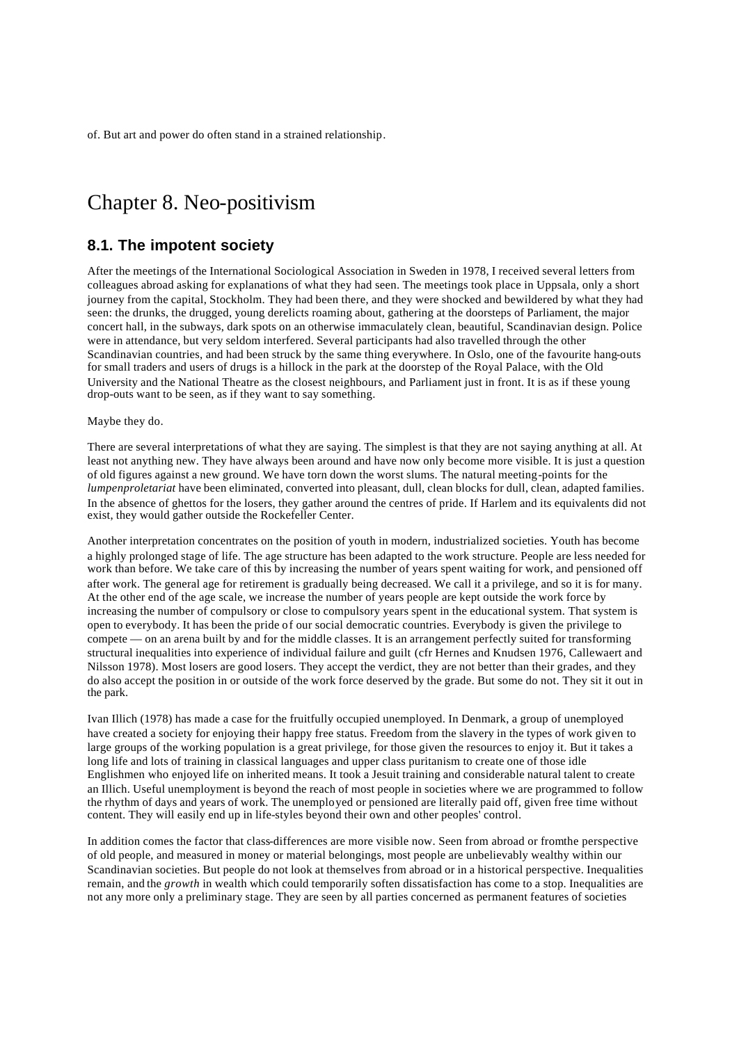of. But art and power do often stand in a strained relationship.

# Chapter 8. Neo-positivism

#### **8.1. The impotent society**

After the meetings of the International Sociological Association in Sweden in 1978, I received several letters from colleagues abroad asking for explanations of what they had seen. The meetings took place in Uppsala, only a short journey from the capital, Stockholm. They had been there, and they were shocked and bewildered by what they had seen: the drunks, the drugged, young derelicts roaming about, gathering at the doorsteps of Parliament, the major concert hall, in the subways, dark spots on an otherwise immaculately clean, beautiful, Scandinavian design. Police were in attendance, but very seldom interfered. Several participants had also travelled through the other Scandinavian countries, and had been struck by the same thing everywhere. In Oslo, one of the favourite hang-outs for small traders and users of drugs is a hillock in the park at the doorstep of the Royal Palace, with the Old University and the National Theatre as the closest neighbours, and Parliament just in front. It is as if these young drop-outs want to be seen, as if they want to say something.

#### Maybe they do.

There are several interpretations of what they are saying. The simplest is that they are not saying anything at all. At least not anything new. They have always been around and have now only become more visible. It is just a question of old figures against a new ground. We have torn down the worst slums. The natural meeting-points for the *lumpenproletariat* have been eliminated, converted into pleasant, dull, clean blocks for dull, clean, adapted families. In the absence of ghettos for the losers, they gather around the centres of pride. If Harlem and its equivalents did not exist, they would gather outside the Rockefeller Center.

Another interpretation concentrates on the position of youth in modern, industrialized societies. Youth has become a highly prolonged stage of life. The age structure has been adapted to the work structure. People are less needed for work than before. We take care of this by increasing the number of years spent waiting for work, and pensioned off after work. The general age for retirement is gradually being decreased. We call it a privilege, and so it is for many. At the other end of the age scale, we increase the number of years people are kept outside the work force by increasing the number of compulsory or close to compulsory years spent in the educational system. That system is open to everybody. It has been the pride of our social democratic countries. Everybody is given the privilege to compete — on an arena built by and for the middle classes. It is an arrangement perfectly suited for transforming structural inequalities into experience of individual failure and guilt (cfr Hernes and Knudsen 1976, Callewaert and Nilsson 1978). Most losers are good losers. They accept the verdict, they are not better than their grades, and they do also accept the position in or outside of the work force deserved by the grade. But some do not. They sit it out in the park.

Ivan Illich (1978) has made a case for the fruitfully occupied unemployed. In Denmark, a group of unemployed have created a society for enjoying their happy free status. Freedom from the slavery in the types of work given to large groups of the working population is a great privilege, for those given the resources to enjoy it. But it takes a long life and lots of training in classical languages and upper class puritanism to create one of those idle Englishmen who enjoyed life on inherited means. It took a Jesuit training and considerable natural talent to create an Illich. Useful unemployment is beyond the reach of most people in societies where we are programmed to follow the rhythm of days and years of work. The unemployed or pensioned are literally paid off, given free time without content. They will easily end up in life-styles beyond their own and other peoples' control.

In addition comes the factor that class-differences are more visible now. Seen from abroad or from the perspective of old people, and measured in money or material belongings, most people are unbelievably wealthy within our Scandinavian societies. But people do not look at themselves from abroad or in a historical perspective. Inequalities remain, and the *growth* in wealth which could temporarily soften dissatisfaction has come to a stop. Inequalities are not any more only a preliminary stage. They are seen by all parties concerned as permanent features of societies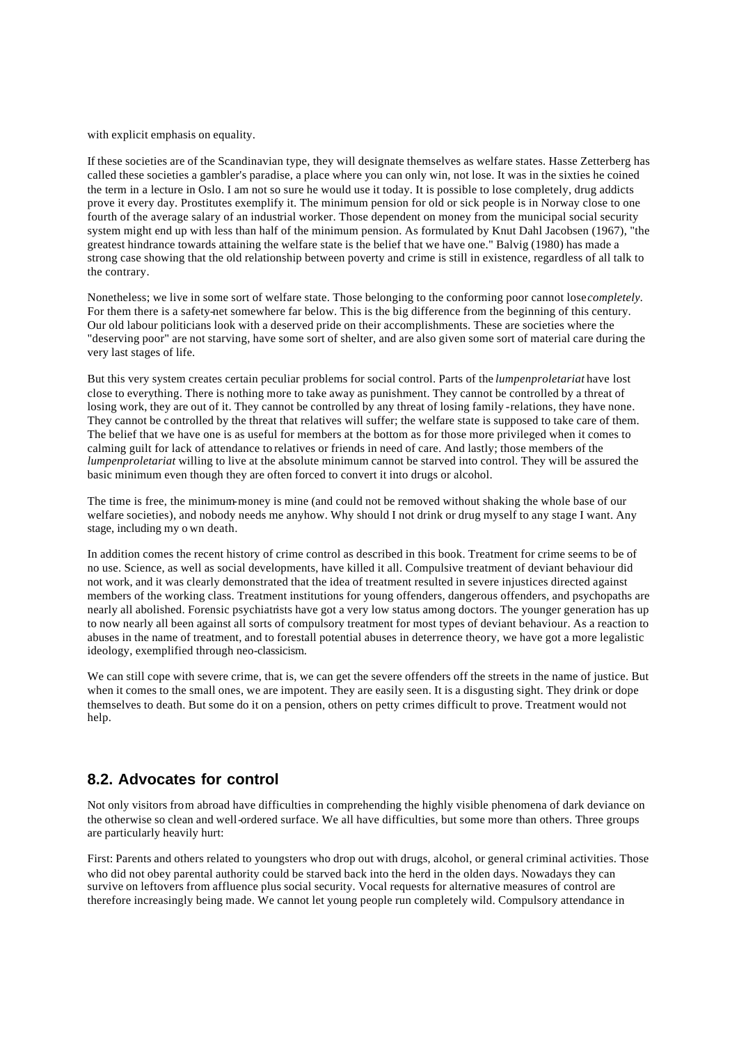with explicit emphasis on equality.

If these societies are of the Scandinavian type, they will designate themselves as welfare states. Hasse Zetterberg has called these societies a gambler's paradise, a place where you can only win, not lose. It was in the sixties he coined the term in a lecture in Oslo. I am not so sure he would use it today. It is possible to lose completely, drug addicts prove it every day. Prostitutes exemplify it. The minimum pension for old or sick people is in Norway close to one fourth of the average salary of an industrial worker. Those dependent on money from the municipal social security system might end up with less than half of the minimum pension. As formulated by Knut Dahl Jacobsen (1967), "the greatest hindrance towards attaining the welfare state is the belief that we have one." Balvig (1980) has made a strong case showing that the old relationship between poverty and crime is still in existence, regardless of all talk to the contrary.

Nonetheless; we live in some sort of welfare state. Those belonging to the conforming poor cannot lose *completely.*  For them there is a safety-net somewhere far below. This is the big difference from the beginning of this century. Our old labour politicians look with a deserved pride on their accomplishments. These are societies where the "deserving poor" are not starving, have some sort of shelter, and are also given some sort of material care during the very last stages of life.

But this very system creates certain peculiar problems for social control. Parts of the *lumpenproletariat* have lost close to everything. There is nothing more to take away as punishment. They cannot be controlled by a threat of losing work, they are out of it. They cannot be controlled by any threat of losing family -relations, they have none. They cannot be controlled by the threat that relatives will suffer; the welfare state is supposed to take care of them. The belief that we have one is as useful for members at the bottom as for those more privileged when it comes to calming guilt for lack of attendance to relatives or friends in need of care. And lastly; those members of the *lumpenproletariat* willing to live at the absolute minimum cannot be starved into control. They will be assured the basic minimum even though they are often forced to convert it into drugs or alcohol.

The time is free, the minimum-money is mine (and could not be removed without shaking the whole base of our welfare societies), and nobody needs me anyhow. Why should I not drink or drug myself to any stage I want. Any stage, including my o wn death.

In addition comes the recent history of crime control as described in this book. Treatment for crime seems to be of no use. Science, as well as social developments, have killed it all. Compulsive treatment of deviant behaviour did not work, and it was clearly demonstrated that the idea of treatment resulted in severe injustices directed against members of the working class. Treatment institutions for young offenders, dangerous offenders, and psychopaths are nearly all abolished. Forensic psychiatrists have got a very low status among doctors. The younger generation has up to now nearly all been against all sorts of compulsory treatment for most types of deviant behaviour. As a reaction to abuses in the name of treatment, and to forestall potential abuses in deterrence theory, we have got a more legalistic ideology, exemplified through neo-classicism.

We can still cope with severe crime, that is, we can get the severe offenders off the streets in the name of justice. But when it comes to the small ones, we are impotent. They are easily seen. It is a disgusting sight. They drink or dope themselves to death. But some do it on a pension, others on petty crimes difficult to prove. Treatment would not help.

#### **8.2. Advocates for control**

Not only visitors from abroad have difficulties in comprehending the highly visible phenomena of dark deviance on the otherwise so clean and well-ordered surface. We all have difficulties, but some more than others. Three groups are particularly heavily hurt:

First: Parents and others related to youngsters who drop out with drugs, alcohol, or general criminal activities. Those who did not obey parental authority could be starved back into the herd in the olden days. Nowadays they can survive on leftovers from affluence plus social security. Vocal requests for alternative measures of control are therefore increasingly being made. We cannot let young people run completely wild. Compulsory attendance in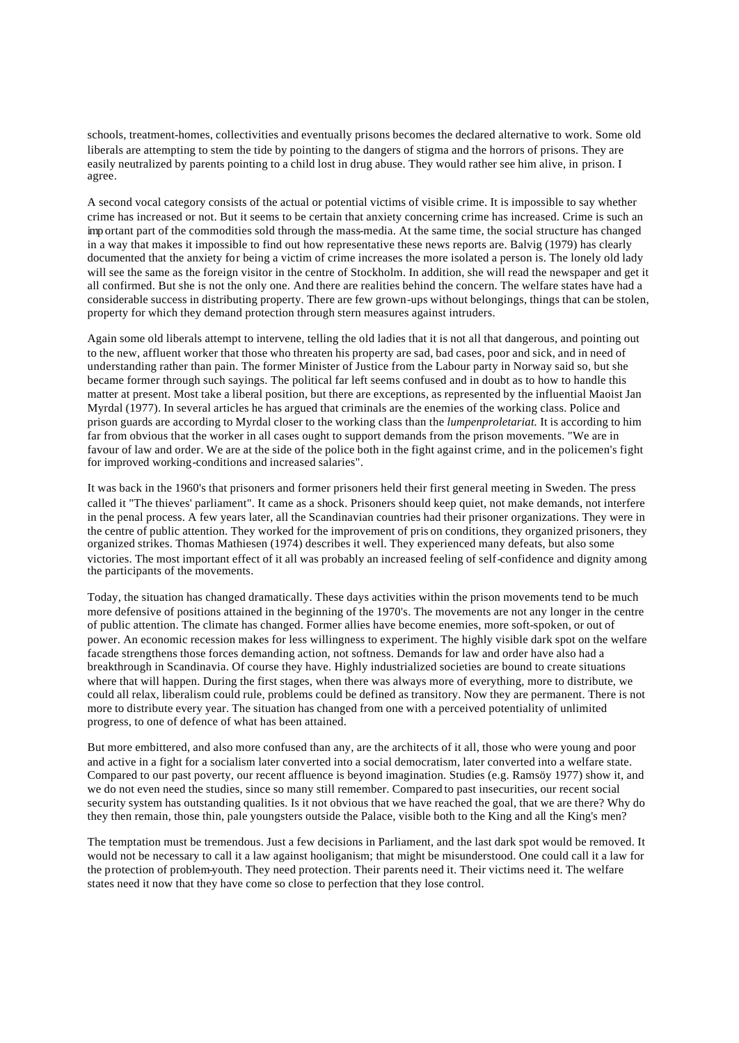schools, treatment-homes, collectivities and eventually prisons becomes the declared alternative to work. Some old liberals are attempting to stem the tide by pointing to the dangers of stigma and the horrors of prisons. They are easily neutralized by parents pointing to a child lost in drug abuse. They would rather see him alive, in prison. I agree.

A second vocal category consists of the actual or potential victims of visible crime. It is impossible to say whether crime has increased or not. But it seems to be certain that anxiety concerning crime has increased. Crime is such an imp ortant part of the commodities sold through the mass-media. At the same time, the social structure has changed in a way that makes it impossible to find out how representative these news reports are. Balvig (1979) has clearly documented that the anxiety for being a victim of crime increases the more isolated a person is. The lonely old lady will see the same as the foreign visitor in the centre of Stockholm. In addition, she will read the newspaper and get it all confirmed. But she is not the only one. And there are realities behind the concern. The welfare states have had a considerable success in distributing property. There are few grown-ups without belongings, things that can be stolen, property for which they demand protection through stern measures against intruders.

Again some old liberals attempt to intervene, telling the old ladies that it is not all that dangerous, and pointing out to the new, affluent worker that those who threaten his property are sad, bad cases, poor and sick, and in need of understanding rather than pain. The former Minister of Justice from the Labour party in Norway said so, but she became former through such sayings. The political far left seems confused and in doubt as to how to handle this matter at present. Most take a liberal position, but there are exceptions, as represented by the influential Maoist Jan Myrdal (1977). In several articles he has argued that criminals are the enemies of the working class. Police and prison guards are according to Myrdal closer to the working class than the *lumpenproletariat.* It is according to him far from obvious that the worker in all cases ought to support demands from the prison movements. "We are in favour of law and order. We are at the side of the police both in the fight against crime, and in the policemen's fight for improved working-conditions and increased salaries".

It was back in the 1960's that prisoners and former prisoners held their first general meeting in Sweden. The press called it "The thieves' parliament". It came as a shock. Prisoners should keep quiet, not make demands, not interfere in the penal process. A few years later, all the Scandinavian countries had their prisoner organizations. They were in the centre of public attention. They worked for the improvement of pris on conditions, they organized prisoners, they organized strikes. Thomas Mathiesen (1974) describes it well. They experienced many defeats, but also some victories. The most important effect of it all was probably an increased feeling of self-confidence and dignity among the participants of the movements.

Today, the situation has changed dramatically. These days activities within the prison movements tend to be much more defensive of positions attained in the beginning of the 1970's. The movements are not any longer in the centre of public attention. The climate has changed. Former allies have become enemies, more soft-spoken, or out of power. An economic recession makes for less willingness to experiment. The highly visible dark spot on the welfare facade strengthens those forces demanding action, not softness. Demands for law and order have also had a breakthrough in Scandinavia. Of course they have. Highly industrialized societies are bound to create situations where that will happen. During the first stages, when there was always more of everything, more to distribute, we could all relax, liberalism could rule, problems could be defined as transitory. Now they are permanent. There is not more to distribute every year. The situation has changed from one with a perceived potentiality of unlimited progress, to one of defence of what has been attained.

But more embittered, and also more confused than any, are the architects of it all, those who were young and poor and active in a fight for a socialism later converted into a social democratism, later converted into a welfare state. Compared to our past poverty, our recent affluence is beyond imagination. Studies (e.g. Ramsöy 1977) show it, and we do not even need the studies, since so many still remember. Compared to past insecurities, our recent social security system has outstanding qualities. Is it not obvious that we have reached the goal, that we are there? Why do they then remain, those thin, pale youngsters outside the Palace, visible both to the King and all the King's men?

The temptation must be tremendous. Just a few decisions in Parliament, and the last dark spot would be removed. It would not be necessary to call it a law against hooliganism; that might be misunderstood. One could call it a law for the protection of problem-youth. They need protection. Their parents need it. Their victims need it. The welfare states need it now that they have come so close to perfection that they lose control.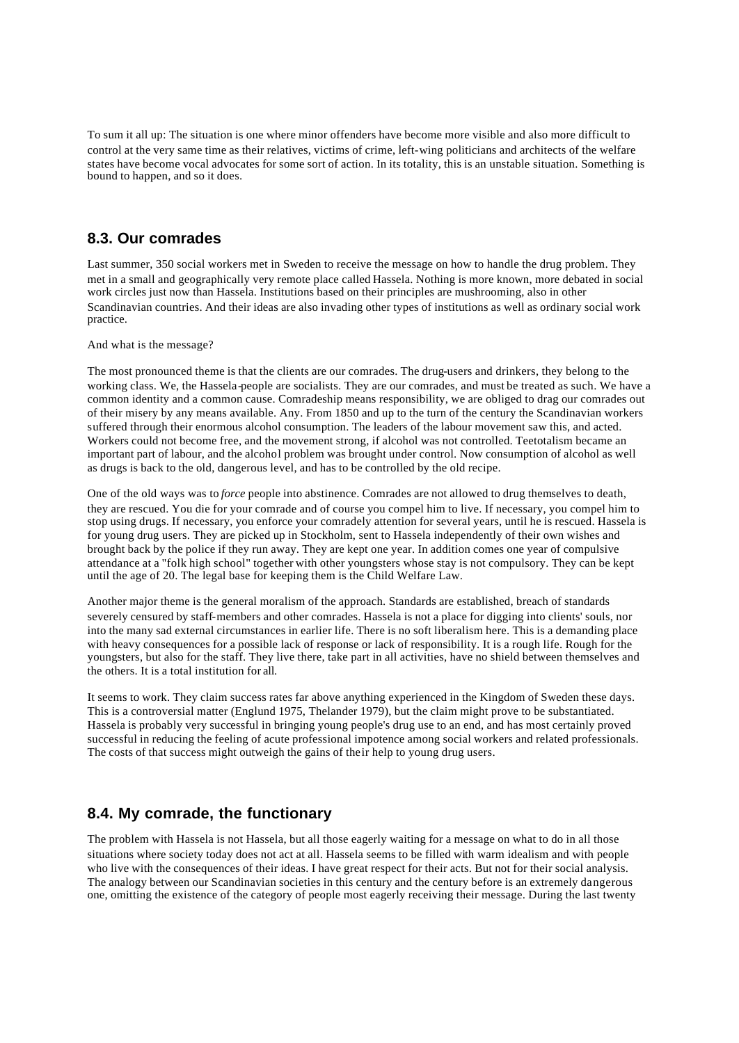To sum it all up: The situation is one where minor offenders have become more visible and also more difficult to control at the very same time as their relatives, victims of crime, left-wing politicians and architects of the welfare states have become vocal advocates for some sort of action. In its totality, this is an unstable situation. Something is bound to happen, and so it does.

#### **8.3. Our comrades**

Last summer, 350 social workers met in Sweden to receive the message on how to handle the drug problem. They met in a small and geographically very remote place called Hassela. Nothing is more known, more debated in social work circles just now than Hassela. Institutions based on their principles are mushrooming, also in other Scandinavian countries. And their ideas are also invading other types of institutions as well as ordinary social work practice.

And what is the message?

The most pronounced theme is that the clients are our comrades. The drug-users and drinkers, they belong to the working class. We, the Hassela-people are socialists. They are our comrades, and must be treated as such. We have a common identity and a common cause. Comradeship means responsibility, we are obliged to drag our comrades out of their misery by any means available. Any. From 1850 and up to the turn of the century the Scandinavian workers suffered through their enormous alcohol consumption. The leaders of the labour movement saw this, and acted. Workers could not become free, and the movement strong, if alcohol was not controlled. Teetotalism became an important part of labour, and the alcohol problem was brought under control. Now consumption of alcohol as well as drugs is back to the old, dangerous level, and has to be controlled by the old recipe.

One of the old ways was to *force* people into abstinence. Comrades are not allowed to drug themselves to death, they are rescued. You die for your comrade and of course you compel him to live. If necessary, you compel him to stop using drugs. If necessary, you enforce your comradely attention for several years, until he is rescued. Hassela is for young drug users. They are picked up in Stockholm, sent to Hassela independently of their own wishes and brought back by the police if they run away. They are kept one year. In addition comes one year of compulsive attendance at a "folk high school" together with other youngsters whose stay is not compulsory. They can be kept until the age of 20. The legal base for keeping them is the Child Welfare Law.

Another major theme is the general moralism of the approach. Standards are established, breach of standards severely censured by staff-members and other comrades. Hassela is not a place for digging into clients' souls, nor into the many sad external circumstances in earlier life. There is no soft liberalism here. This is a demanding place with heavy consequences for a possible lack of response or lack of responsibility. It is a rough life. Rough for the youngsters, but also for the staff. They live there, take part in all activities, have no shield between themselves and the others. It is a total institution for all.

It seems to work. They claim success rates far above anything experienced in the Kingdom of Sweden these days. This is a controversial matter (Englund 1975, Thelander 1979), but the claim might prove to be substantiated. Hassela is probably very successful in bringing young people's drug use to an end, and has most certainly proved successful in reducing the feeling of acute professional impotence among social workers and related professionals. The costs of that success might outweigh the gains of their help to young drug users.

### **8.4. My comrade, the functionary**

The problem with Hassela is not Hassela, but all those eagerly waiting for a message on what to do in all those situations where society today does not act at all. Hassela seems to be filled with warm idealism and with people who live with the consequences of their ideas. I have great respect for their acts. But not for their social analysis. The analogy between our Scandinavian societies in this century and the century before is an extremely dangerous one, omitting the existence of the category of people most eagerly receiving their message. During the last twenty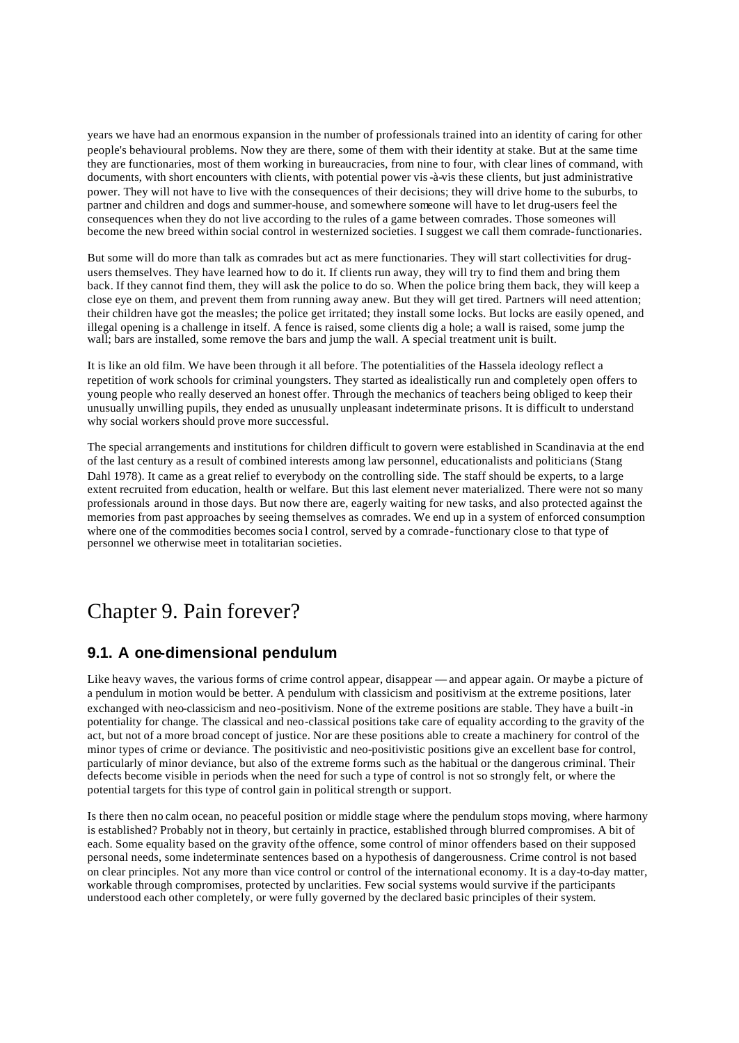years we have had an enormous expansion in the number of professionals trained into an identity of caring for other people's behavioural problems. Now they are there, some of them with their identity at stake. But at the same time they are functionaries, most of them working in bureaucracies, from nine to four, with clear lines of command, with documents, with short encounters with clients, with potential power vis-à-vis these clients, but just administrative power. They will not have to live with the consequences of their decisions; they will drive home to the suburbs, to partner and children and dogs and summer-house, and somewhere someone will have to let drug-users feel the consequences when they do not live according to the rules of a game between comrades. Those someones will become the new breed within social control in westernized societies. I suggest we call them comrade-functionaries.

But some will do more than talk as comrades but act as mere functionaries. They will start collectivities for drugusers themselves. They have learned how to do it. If clients run away, they will try to find them and bring them back. If they cannot find them, they will ask the police to do so. When the police bring them back, they will keep a close eye on them, and prevent them from running away anew. But they will get tired. Partners will need attention; their children have got the measles; the police get irritated; they install some locks. But locks are easily opened, and illegal opening is a challenge in itself. A fence is raised, some clients dig a hole; a wall is raised, some jump the wall; bars are installed, some remove the bars and jump the wall. A special treatment unit is built.

It is like an old film. We have been through it all before. The potentialities of the Hassela ideology reflect a repetition of work schools for criminal youngsters. They started as idealistically run and completely open offers to young people who really deserved an honest offer. Through the mechanics of teachers being obliged to keep their unusually unwilling pupils, they ended as unusually unpleasant indeterminate prisons. It is difficult to understand why social workers should prove more successful.

The special arrangements and institutions for children difficult to govern were established in Scandinavia at the end of the last century as a result of combined interests among law personnel, educationalists and politicians (Stang Dahl 1978). It came as a great relief to everybody on the controlling side. The staff should be experts, to a large extent recruited from education, health or welfare. But this last element never materialized. There were not so many professionals around in those days. But now there are, eagerly waiting for new tasks, and also protected against the memories from past approaches by seeing themselves as comrades. We end up in a system of enforced consumption where one of the commodities becomes socia l control, served by a comrade-functionary close to that type of personnel we otherwise meet in totalitarian societies.

# Chapter 9. Pain forever?

### **9.1. A one-dimensional pendulum**

Like heavy waves, the various forms of crime control appear, disappear — and appear again. Or maybe a picture of a pendulum in motion would be better. A pendulum with classicism and positivism at the extreme positions, later exchanged with neo-classicism and neo-positivism. None of the extreme positions are stable. They have a built -in potentiality for change. The classical and neo-classical positions take care of equality according to the gravity of the act, but not of a more broad concept of justice. Nor are these positions able to create a machinery for control of the minor types of crime or deviance. The positivistic and neo-positivistic positions give an excellent base for control, particularly of minor deviance, but also of the extreme forms such as the habitual or the dangerous criminal. Their defects become visible in periods when the need for such a type of control is not so strongly felt, or where the potential targets for this type of control gain in political strength or support.

Is there then no calm ocean, no peaceful position or middle stage where the pendulum stops moving, where harmony is established? Probably not in theory, but certainly in practice, established through blurred compromises. A bit of each. Some equality based on the gravity of the offence, some control of minor offenders based on their supposed personal needs, some indeterminate sentences based on a hypothesis of dangerousness. Crime control is not based on clear principles. Not any more than vice control or control of the international economy. It is a day-to-day matter, workable through compromises, protected by unclarities. Few social systems would survive if the participants understood each other completely, or were fully governed by the declared basic principles of their system.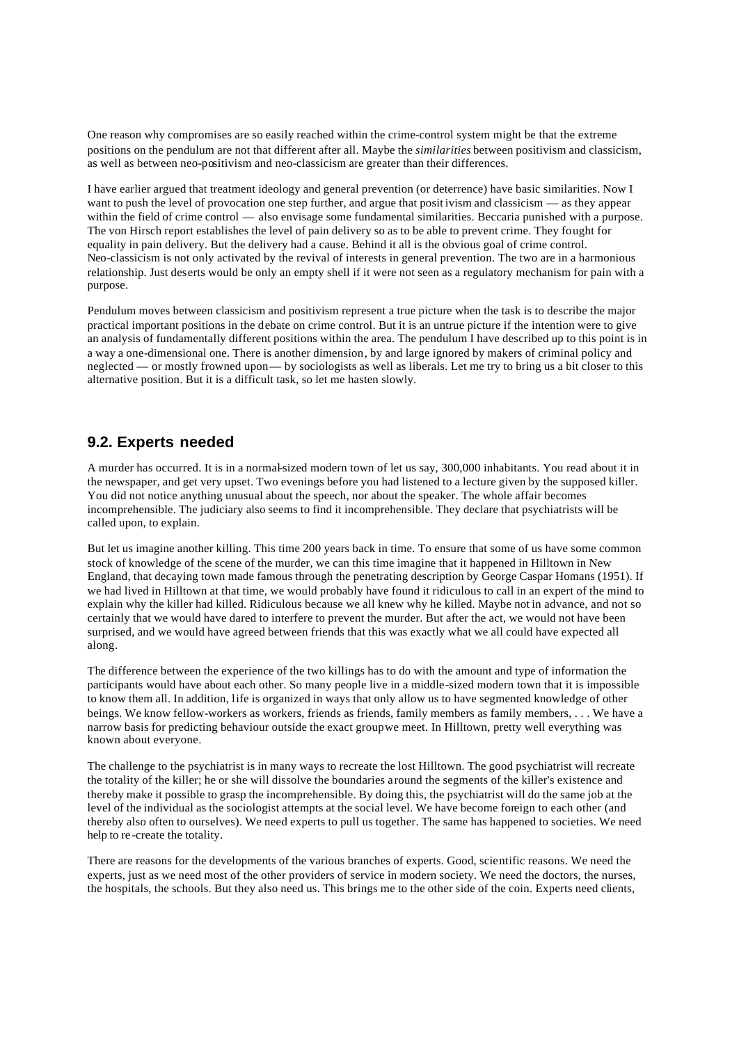One reason why compromises are so easily reached within the crime-control system might be that the extreme positions on the pendulum are not that different after all. Maybe the *similarities* between positivism and classicism, as well as between neo-positivism and neo-classicism are greater than their differences.

I have earlier argued that treatment ideology and general prevention (or deterrence) have basic similarities. Now I want to push the level of provocation one step further, and argue that posit ivism and classicism — as they appear within the field of crime control — also envisage some fundamental similarities. Beccaria punished with a purpose. The von Hirsch report establishes the level of pain delivery so as to be able to prevent crime. They fought for equality in pain delivery. But the delivery had a cause. Behind it all is the obvious goal of crime control. Neo-classicism is not only activated by the revival of interests in general prevention. The two are in a harmonious relationship. Just deserts would be only an empty shell if it were not seen as a regulatory mechanism for pain with a purpose.

Pendulum moves between classicism and positivism represent a true picture when the task is to describe the major practical important positions in the debate on crime control. But it is an untrue picture if the intention were to give an analysis of fundamentally different positions within the area. The pendulum I have described up to this point is in a way a one-dimensional one. There is another dimension, by and large ignored by makers of criminal policy and neglected — or mostly frowned upon — by sociologists as well as liberals. Let me try to bring us a bit closer to this alternative position. But it is a difficult task, so let me hasten slowly.

## **9.2. Experts needed**

A murder has occurred. It is in a normal-sized modern town of let us say, 300,000 inhabitants. You read about it in the newspaper, and get very upset. Two evenings before you had listened to a lecture given by the supposed killer. You did not notice anything unusual about the speech, nor about the speaker. The whole affair becomes incomprehensible. The judiciary also seems to find it incomprehensible. They declare that psychiatrists will be called upon, to explain.

But let us imagine another killing. This time 200 years back in time. To ensure that some of us have some common stock of knowledge of the scene of the murder, we can this time imagine that it happened in Hilltown in New England, that decaying town made famous through the penetrating description by George Caspar Homans (1951). If we had lived in Hilltown at that time, we would probably have found it ridiculous to call in an expert of the mind to explain why the killer had killed. Ridiculous because we all knew why he killed. Maybe not in advance, and not so certainly that we would have dared to interfere to prevent the murder. But after the act, we would not have been surprised, and we would have agreed between friends that this was exactly what we all could have expected all along.

The difference between the experience of the two killings has to do with the amount and type of information the participants would have about each other. So many people live in a middle-sized modern town that it is impossible to know them all. In addition, life is organized in ways that only allow us to have segmented knowledge of other beings. We know fellow-workers as workers, friends as friends, family members as family members, . . . We have a narrow basis for predicting behaviour outside the exact group we meet. In Hilltown, pretty well everything was known about everyone.

The challenge to the psychiatrist is in many ways to recreate the lost Hilltown. The good psychiatrist will recreate the totality of the killer; he or she will dissolve the boundaries around the segments of the killer's existence and thereby make it possible to grasp the incomprehensible. By doing this, the psychiatrist will do the same job at the level of the individual as the sociologist attempts at the social level. We have become foreign to each other (and thereby also often to ourselves). We need experts to pull us together. The same has happened to societies. We need help to re -create the totality.

There are reasons for the developments of the various branches of experts. Good, scientific reasons. We need the experts, just as we need most of the other providers of service in modern society. We need the doctors, the nurses, the hospitals, the schools. But they also need us. This brings me to the other side of the coin. Experts need clients,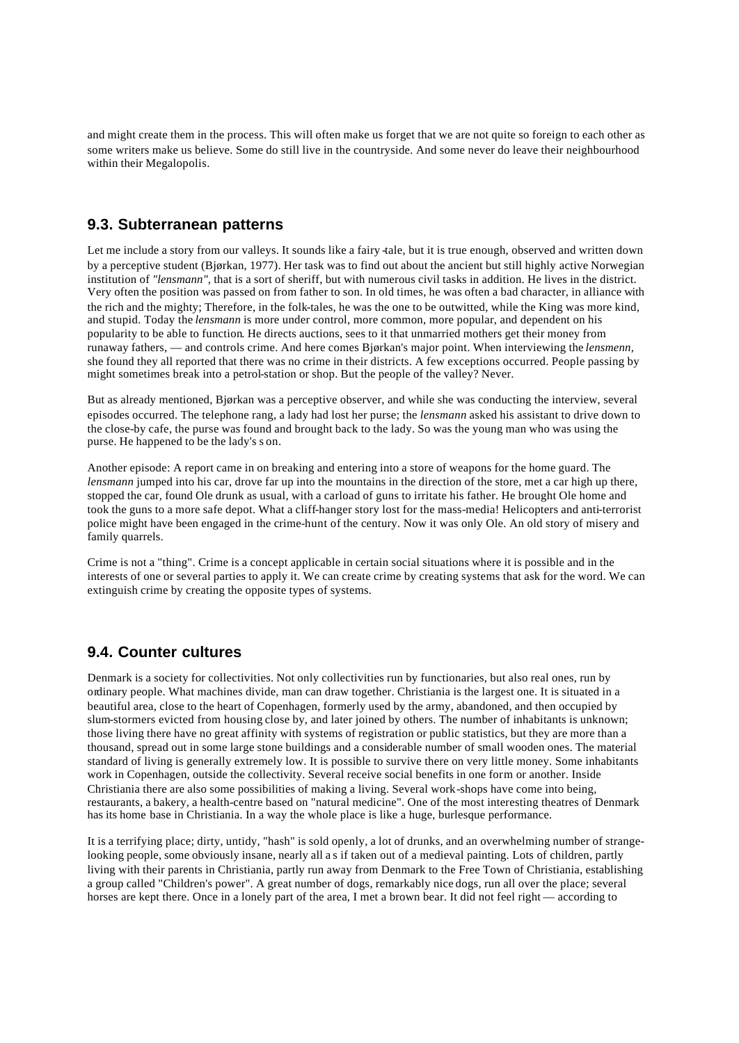and might create them in the process. This will often make us forget that we are not quite so foreign to each other as some writers make us believe. Some do still live in the countryside. And some never do leave their neighbourhood within their Megalopolis.

#### **9.3. Subterranean patterns**

Let me include a story from our valleys. It sounds like a fairy -tale, but it is true enough, observed and written down by a perceptive student (Bjørkan, 1977). Her task was to find out about the ancient but still highly active Norwegian institution of *"lensmann",* that is a sort of sheriff, but with numerous civil tasks in addition. He lives in the district. Very often the position was passed on from father to son. In old times, he was often a bad character, in alliance with the rich and the mighty; Therefore, in the folk-tales, he was the one to be outwitted, while the King was more kind, and stupid. Today the *lensmann* is more under control, more common, more popular, and dependent on his popularity to be able to function. He directs auctions, sees to it that unmarried mothers get their money from runaway fathers, — and controls crime. And here comes Bjørkan's major point. When interviewing the *lensmenn,*  she found they all reported that there was no crime in their districts. A few exceptions occurred. People passing by might sometimes break into a petrol-station or shop. But the people of the valley? Never.

But as already mentioned, Bjørkan was a perceptive observer, and while she was conducting the interview, several episodes occurred. The telephone rang, a lady had lost her purse; the *lensmann* asked his assistant to drive down to the close-by cafe, the purse was found and brought back to the lady. So was the young man who was using the purse. He happened to be the lady's s on.

Another episode: A report came in on breaking and entering into a store of weapons for the home guard. The *lensmann* jumped into his car, drove far up into the mountains in the direction of the store, met a car high up there, stopped the car, found Ole drunk as usual, with a carload of guns to irritate his father. He brought Ole home and took the guns to a more safe depot. What a cliff-hanger story lost for the mass-media! Helicopters and anti-terrorist police might have been engaged in the crime-hunt of the century. Now it was only Ole. An old story of misery and family quarrels.

Crime is not a "thing". Crime is a concept applicable in certain social situations where it is possible and in the interests of one or several parties to apply it. We can create crime by creating systems that ask for the word. We can extinguish crime by creating the opposite types of systems.

#### **9.4. Counter cultures**

Denmark is a society for collectivities. Not only collectivities run by functionaries, but also real ones, run by ordinary people. What machines divide, man can draw together. Christiania is the largest one. It is situated in a beautiful area, close to the heart of Copenhagen, formerly used by the army, abandoned, and then occupied by slum-stormers evicted from housing close by, and later joined by others. The number of inhabitants is unknown; those living there have no great affinity with systems of registration or public statistics, but they are more than a thousand, spread out in some large stone buildings and a considerable number of small wooden ones. The material standard of living is generally extremely low. It is possible to survive there on very little money. Some inhabitants work in Copenhagen, outside the collectivity. Several receive social benefits in one form or another. Inside Christiania there are also some possibilities of making a living. Several work-shops have come into being, restaurants, a bakery, a health-centre based on "natural medicine". One of the most interesting theatres of Denmark has its home base in Christiania. In a way the whole place is like a huge, burlesque performance.

It is a terrifying place; dirty, untidy, "hash" is sold openly, a lot of drunks, and an overwhelming number of strangelooking people, some obviously insane, nearly all a s if taken out of a medieval painting. Lots of children, partly living with their parents in Christiania, partly run away from Denmark to the Free Town of Christiania, establishing a group called "Children's power". A great number of dogs, remarkably nice dogs, run all over the place; several horses are kept there. Once in a lonely part of the area, I met a brown bear. It did not feel right — according to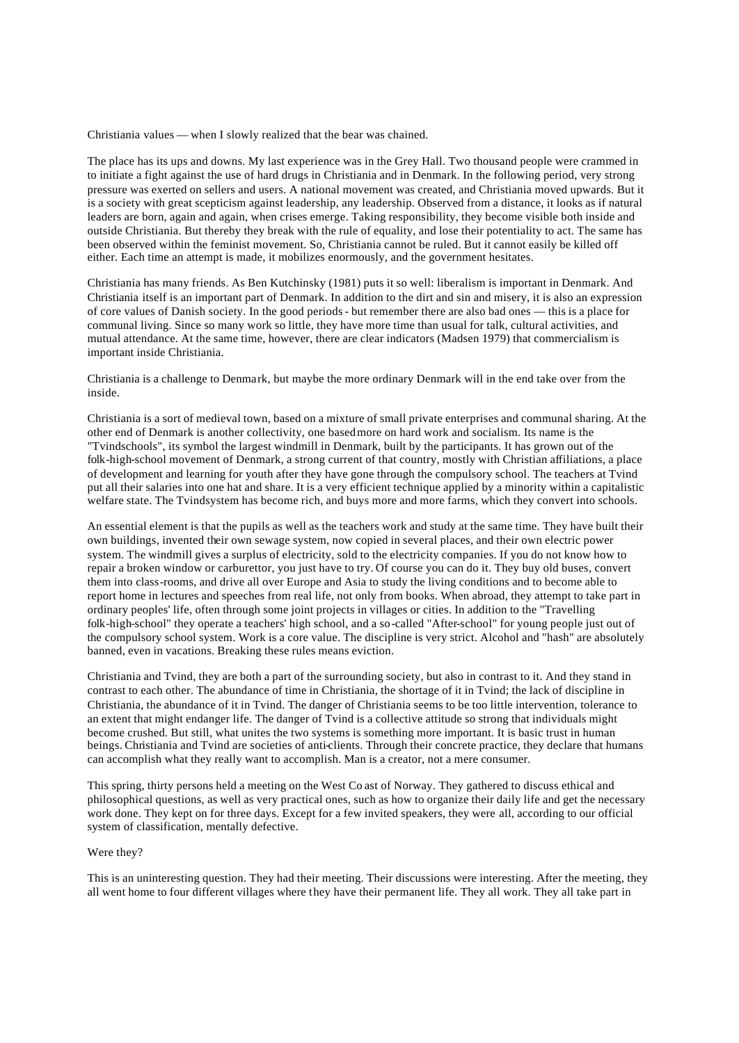Christiania values — when I slowly realized that the bear was chained.

The place has its ups and downs. My last experience was in the Grey Hall. Two thousand people were crammed in to initiate a fight against the use of hard drugs in Christiania and in Denmark. In the following period, very strong pressure was exerted on sellers and users. A national movement was created, and Christiania moved upwards. But it is a society with great scepticism against leadership, any leadership. Observed from a distance, it looks as if natural leaders are born, again and again, when crises emerge. Taking responsibility, they become visible both inside and outside Christiania. But thereby they break with the rule of equality, and lose their potentiality to act. The same has been observed within the feminist movement. So, Christiania cannot be ruled. But it cannot easily be killed off either. Each time an attempt is made, it mobilizes enormously, and the government hesitates.

Christiania has many friends. As Ben Kutchinsky (1981) puts it so well: liberalism is important in Denmark. And Christiania itself is an important part of Denmark. In addition to the dirt and sin and misery, it is also an expression of core values of Danish society. In the good periods - but remember there are also bad ones — this is a place for communal living. Since so many work so little, they have more time than usual for talk, cultural activities, and mutual attendance. At the same time, however, there are clear indicators (Madsen 1979) that commercialism is important inside Christiania.

Christiania is a challenge to Denmark, but maybe the more ordinary Denmark will in the end take over from the inside.

Christiania is a sort of medieval town, based on a mixture of small private enterprises and communal sharing. At the other end of Denmark is another collectivity, one based more on hard work and socialism. Its name is the "Tvindschools", its symbol the largest windmill in Denmark, built by the participants. It has grown out of the folk-high-school movement of Denmark, a strong current of that country, mostly with Christian affiliations, a place of development and learning for youth after they have gone through the compulsory school. The teachers at Tvind put all their salaries into one hat and share. It is a very efficient technique applied by a minority within a capitalistic welfare state. The Tvindsystem has become rich, and buys more and more farms, which they convert into schools.

An essential element is that the pupils as well as the teachers work and study at the same time. They have built their own buildings, invented their own sewage system, now copied in several places, and their own electric power system. The windmill gives a surplus of electricity, sold to the electricity companies. If you do not know how to repair a broken window or carburettor, you just have to try. Of course you can do it. They buy old buses, convert them into class-rooms, and drive all over Europe and Asia to study the living conditions and to become able to report home in lectures and speeches from real life, not only from books. When abroad, they attempt to take part in ordinary peoples' life, often through some joint projects in villages or cities. In addition to the "Travelling folk-high-school" they operate a teachers' high school, and a so-called "After-school" for young people just out of the compulsory school system. Work is a core value. The discipline is very strict. Alcohol and "hash" are absolutely banned, even in vacations. Breaking these rules means eviction.

Christiania and Tvind, they are both a part of the surrounding society, but also in contrast to it. And they stand in contrast to each other. The abundance of time in Christiania, the shortage of it in Tvind; the lack of discipline in Christiania, the abundance of it in Tvind. The danger of Christiania seems to be too little intervention, tolerance to an extent that might endanger life. The danger of Tvind is a collective attitude so strong that individuals might become crushed. But still, what unites the two systems is something more important. It is basic trust in human beings. Christiania and Tvind are societies of anti-clients. Through their concrete practice, they declare that humans can accomplish what they really want to accomplish. Man is a creator, not a mere consumer.

This spring, thirty persons held a meeting on the West Co ast of Norway. They gathered to discuss ethical and philosophical questions, as well as very practical ones, such as how to organize their daily life and get the necessary work done. They kept on for three days. Except for a few invited speakers, they were all, according to our official system of classification, mentally defective.

#### Were they?

This is an uninteresting question. They had their meeting. Their discussions were interesting. After the meeting, they all went home to four different villages where they have their permanent life. They all work. They all take part in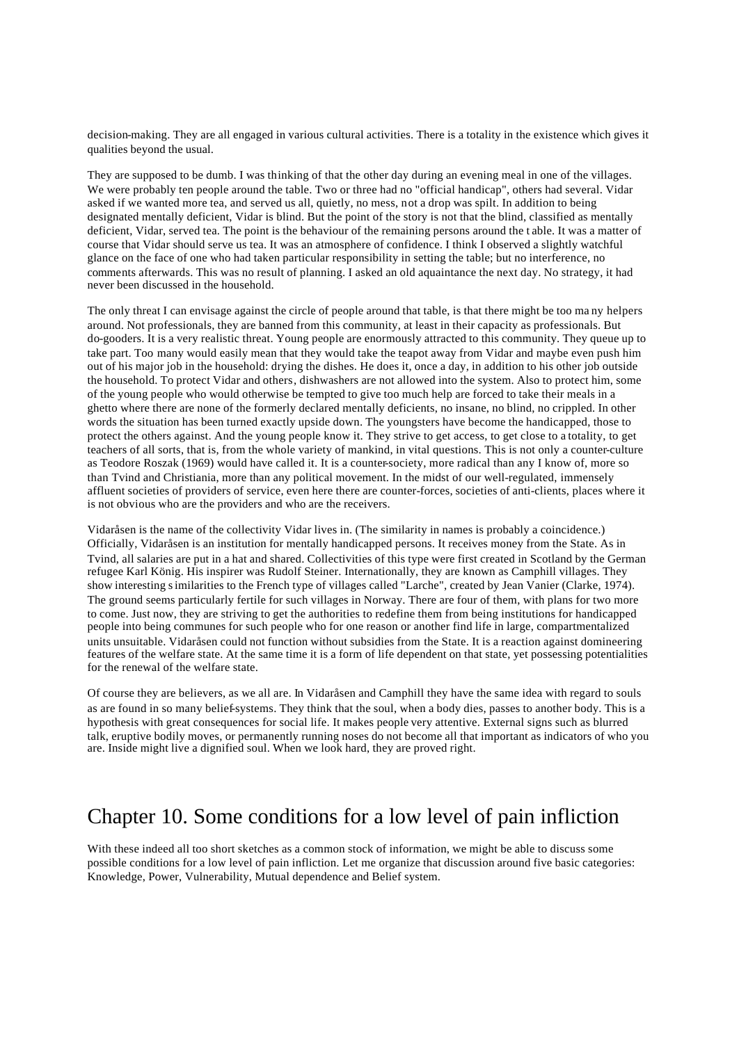decision-making. They are all engaged in various cultural activities. There is a totality in the existence which gives it qualities beyond the usual.

They are supposed to be dumb. I was thinking of that the other day during an evening meal in one of the villages. We were probably ten people around the table. Two or three had no "official handicap", others had several. Vidar asked if we wanted more tea, and served us all, quietly, no mess, not a drop was spilt. In addition to being designated mentally deficient, Vidar is blind. But the point of the story is not that the blind, classified as mentally deficient, Vidar, served tea. The point is the behaviour of the remaining persons around the t able. It was a matter of course that Vidar should serve us tea. It was an atmosphere of confidence. I think I observed a slightly watchful glance on the face of one who had taken particular responsibility in setting the table; but no interference, no comments afterwards. This was no result of planning. I asked an old aquaintance the next day. No strategy, it had never been discussed in the household.

The only threat I can envisage against the circle of people around that table, is that there might be too ma ny helpers around. Not professionals, they are banned from this community, at least in their capacity as professionals. But do-gooders. It is a very realistic threat. Young people are enormously attracted to this community. They queue up to take part. Too many would easily mean that they would take the teapot away from Vidar and maybe even push him out of his major job in the household: drying the dishes. He does it, once a day, in addition to his other job outside the household. To protect Vidar and others, dishwashers are not allowed into the system. Also to protect him, some of the young people who would otherwise be tempted to give too much help are forced to take their meals in a ghetto where there are none of the formerly declared mentally deficients, no insane, no blind, no crippled. In other words the situation has been turned exactly upside down. The youngsters have become the handicapped, those to protect the others against. And the young people know it. They strive to get access, to get close to a totality, to get teachers of all sorts, that is, from the whole variety of mankind, in vital questions. This is not only a counter-culture as Teodore Roszak (1969) would have called it. It is a counter-society, more radical than any I know of, more so than Tvind and Christiania, more than any political movement. In the midst of our well-regulated, immensely affluent societies of providers of service, even here there are counter-forces, societies of anti-clients, places where it is not obvious who are the providers and who are the receivers.

Vidaråsen is the name of the collectivity Vidar lives in. (The similarity in names is probably a coincidence.) Officially, Vidaråsen is an institution for mentally handicapped persons. It receives money from the State. As in Tvind, all salaries are put in a hat and shared. Collectivities of this type were first created in Scotland by the German refugee Karl König. His inspirer was Rudolf Steiner. Internationally, they are known as Camphill villages. They show interesting similarities to the French type of villages called "Larche", created by Jean Vanier (Clarke, 1974). The ground seems particularly fertile for such villages in Norway. There are four of them, with plans for two more to come. Just now, they are striving to get the authorities to redefine them from being institutions for handicapped people into being communes for such people who for one reason or another find life in large, compartmentalized units unsuitable. Vidaråsen could not function without subsidies from the State. It is a reaction against domineering features of the welfare state. At the same time it is a form of life dependent on that state, yet possessing potentialities for the renewal of the welfare state.

Of course they are believers, as we all are. In Vidaråsen and Camphill they have the same idea with regard to souls as are found in so many belief-systems. They think that the soul, when a body dies, passes to another body. This is a hypothesis with great consequences for social life. It makes people very attentive. External signs such as blurred talk, eruptive bodily moves, or permanently running noses do not become all that important as indicators of who you are. Inside might live a dignified soul. When we look hard, they are proved right.

# Chapter 10. Some conditions for a low level of pain infliction

With these indeed all too short sketches as a common stock of information, we might be able to discuss some possible conditions for a low level of pain infliction. Let me organize that discussion around five basic categories: Knowledge, Power, Vulnerability, Mutual dependence and Belief system.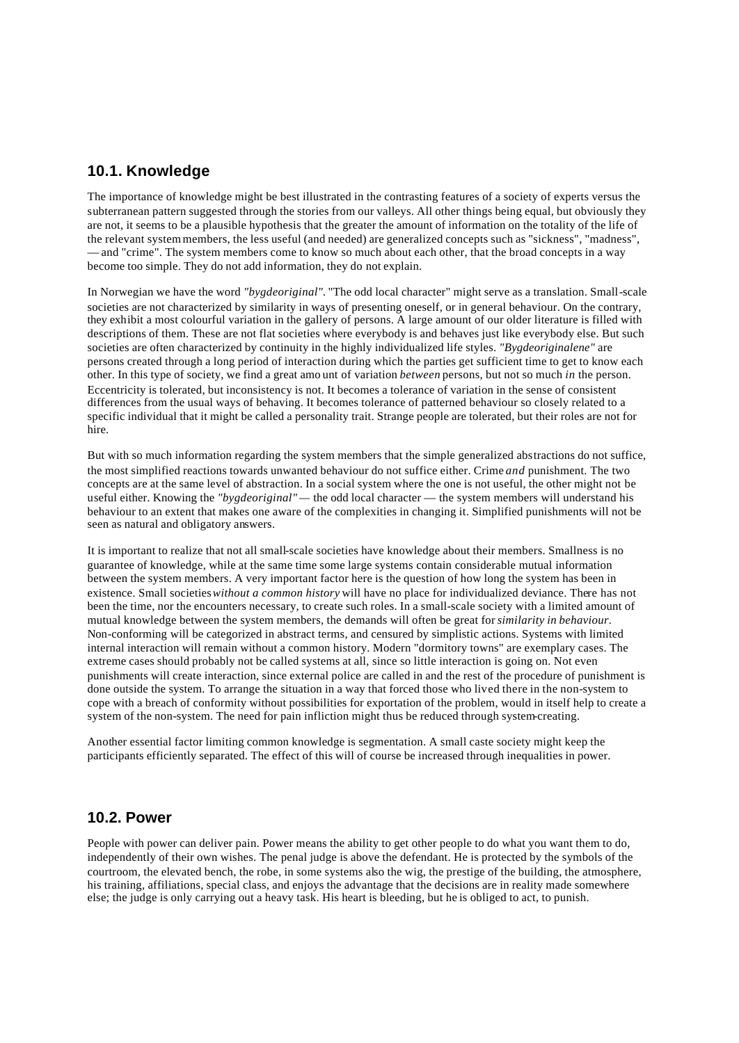#### **10.1. Knowledge**

The importance of knowledge might be best illustrated in the contrasting features of a society of experts versus the subterranean pattern suggested through the stories from our valleys. All other things being equal, but obviously they are not, it seems to be a plausible hypothesis that the greater the amount of information on the totality of the life of the relevant system members, the less useful (and needed) are generalized concepts such as "sickness", "madness", — and "crime". The system members come to know so much about each other, that the broad concepts in a way become too simple. They do not add information, they do not explain.

In Norwegian we have the word *"bygdeoriginal".* "The odd local character" might serve as a translation. Small-scale societies are not characterized by similarity in ways of presenting oneself, or in general behaviour. On the contrary, they exhibit a most colourful variation in the gallery of persons. A large amount of our older literature is filled with descriptions of them. These are not flat societies where everybody is and behaves just like everybody else. But such societies are often characterized by continuity in the highly individualized life styles. *"Bygdeoriginalene"* are persons created through a long period of interaction during which the parties get sufficient time to get to know each other. In this type of society, we find a great amo unt of variation *between* persons, but not so much *in* the person. Eccentricity is tolerated, but inconsistency is not. It becomes a tolerance of variation in the sense of consistent differences from the usual ways of behaving. It becomes tolerance of patterned behaviour so closely related to a specific individual that it might be called a personality trait. Strange people are tolerated, but their roles are not for hire.

But with so much information regarding the system members that the simple generalized abstractions do not suffice, the most simplified reactions towards unwanted behaviour do not suffice either. Crime *and* punishment. The two concepts are at the same level of abstraction. In a social system where the one is not useful, the other might not be useful either. Knowing the *"bygdeoriginal" —* the odd local character — the system members will understand his behaviour to an extent that makes one aware of the complexities in changing it. Simplified punishments will not be seen as natural and obligatory answers.

It is important to realize that not all small-scale societies have knowledge about their members. Smallness is no guarantee of knowledge, while at the same time some large systems contain considerable mutual information between the system members. A very important factor here is the question of how long the system has been in existence. Small societies *without a common history* will have no place for individualized deviance. There has not been the time, nor the encounters necessary, to create such roles. In a small-scale society with a limited amount of mutual knowledge between the system members, the demands will often be great for *similarity in behaviour.*  Non-conforming will be categorized in abstract terms, and censured by simplistic actions. Systems with limited internal interaction will remain without a common history. Modern "dormitory towns" are exemplary cases. The extreme cases should probably not be called systems at all, since so little interaction is going on. Not even punishments will create interaction, since external police are called in and the rest of the procedure of punishment is done outside the system. To arrange the situation in a way that forced those who lived there in the non-system to cope with a breach of conformity without possibilities for exportation of the problem, would in itself help to create a system of the non-system. The need for pain infliction might thus be reduced through system-creating.

Another essential factor limiting common knowledge is segmentation. A small caste society might keep the participants efficiently separated. The effect of this will of course be increased through inequalities in power.

#### **10.2. Power**

People with power can deliver pain. Power means the ability to get other people to do what you want them to do, independently of their own wishes. The penal judge is above the defendant. He is protected by the symbols of the courtroom, the elevated bench, the robe, in some systems also the wig, the prestige of the building, the atmosphere, his training, affiliations, special class, and enjoys the advantage that the decisions are in reality made somewhere else; the judge is only carrying out a heavy task. His heart is bleeding, but he is obliged to act, to punish.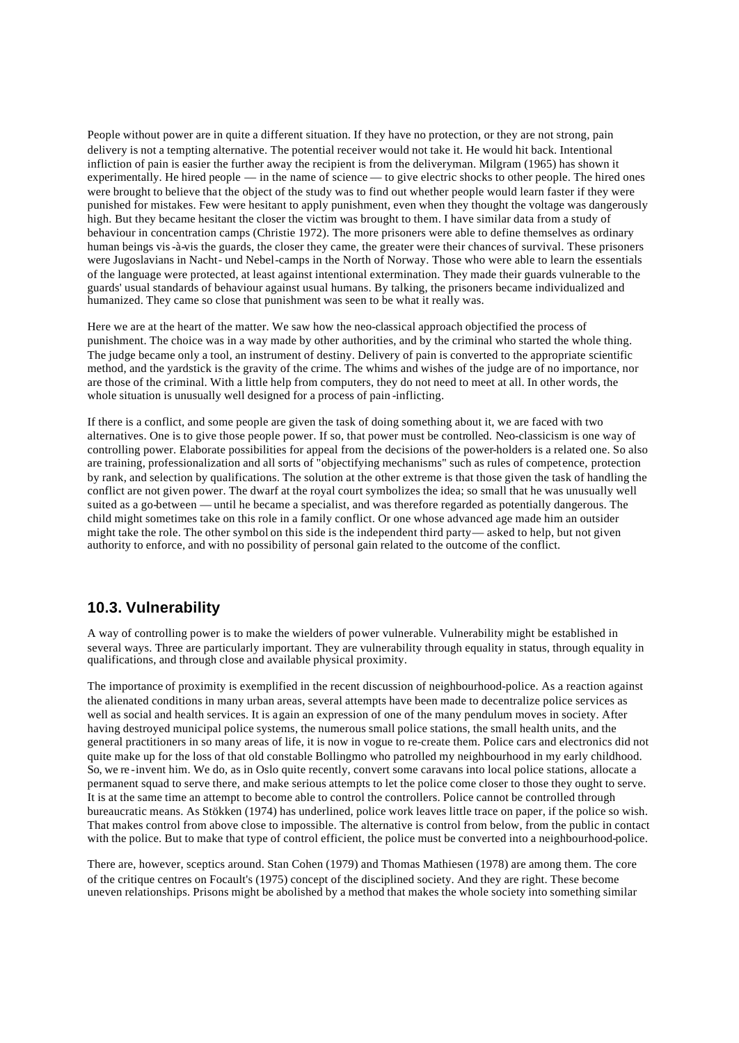People without power are in quite a different situation. If they have no protection, or they are not strong, pain delivery is not a tempting alternative. The potential receiver would not take it. He would hit back. Intentional infliction of pain is easier the further away the recipient is from the deliveryman. Milgram (1965) has shown it experimentally. He hired people — in the name of science — to give electric shocks to other people. The hired ones were brought to believe that the object of the study was to find out whether people would learn faster if they were punished for mistakes. Few were hesitant to apply punishment, even when they thought the voltage was dangerously high. But they became hesitant the closer the victim was brought to them. I have similar data from a study of behaviour in concentration camps (Christie 1972). The more prisoners were able to define themselves as ordinary human beings vis-à-vis the guards, the closer they came, the greater were their chances of survival. These prisoners were Jugoslavians in Nacht- und Nebel-camps in the North of Norway. Those who were able to learn the essentials of the language were protected, at least against intentional extermination. They made their guards vulnerable to the guards' usual standards of behaviour against usual humans. By talking, the prisoners became individualized and humanized. They came so close that punishment was seen to be what it really was.

Here we are at the heart of the matter. We saw how the neo-classical approach objectified the process of punishment. The choice was in a way made by other authorities, and by the criminal who started the whole thing. The judge became only a tool, an instrument of destiny. Delivery of pain is converted to the appropriate scientific method, and the yardstick is the gravity of the crime. The whims and wishes of the judge are of no importance, nor are those of the criminal. With a little help from computers, they do not need to meet at all. In other words, the whole situation is unusually well designed for a process of pain -inflicting.

If there is a conflict, and some people are given the task of doing something about it, we are faced with two alternatives. One is to give those people power. If so, that power must be controlled. Neo-classicism is one way of controlling power. Elaborate possibilities for appeal from the decisions of the power-holders is a related one. So also are training, professionalization and all sorts of "objectifying mechanisms" such as rules of competence, protection by rank, and selection by qualifications. The solution at the other extreme is that those given the task of handling the conflict are not given power. The dwarf at the royal court symbolizes the idea; so small that he was unusually well suited as a go-between — until he became a specialist, and was therefore regarded as potentially dangerous. The child might sometimes take on this role in a family conflict. Or one whose advanced age made him an outsider might take the role. The other symbol on this side is the independent third party — asked to help, but not given authority to enforce, and with no possibility of personal gain related to the outcome of the conflict.

### **10.3. Vulnerability**

A way of controlling power is to make the wielders of power vulnerable. Vulnerability might be established in several ways. Three are particularly important. They are vulnerability through equality in status, through equality in qualifications, and through close and available physical proximity.

The importance of proximity is exemplified in the recent discussion of neighbourhood-police. As a reaction against the alienated conditions in many urban areas, several attempts have been made to decentralize police services as well as social and health services. It is again an expression of one of the many pendulum moves in society. After having destroyed municipal police systems, the numerous small police stations, the small health units, and the general practitioners in so many areas of life, it is now in vogue to re-create them. Police cars and electronics did not quite make up for the loss of that old constable Bollingmo who patrolled my neighbourhood in my early childhood. So, we re -invent him. We do, as in Oslo quite recently, convert some caravans into local police stations, allocate a permanent squad to serve there, and make serious attempts to let the police come closer to those they ought to serve. It is at the same time an attempt to become able to control the controllers. Police cannot be controlled through bureaucratic means. As Stökken (1974) has underlined, police work leaves little trace on paper, if the police so wish. That makes control from above close to impossible. The alternative is control from below, from the public in contact with the police. But to make that type of control efficient, the police must be converted into a neighbourhood-police.

There are, however, sceptics around. Stan Cohen (1979) and Thomas Mathiesen (1978) are among them. The core of the critique centres on Focault's (1975) concept of the disciplined society. And they are right. These become uneven relationships. Prisons might be abolished by a method that makes the whole society into something similar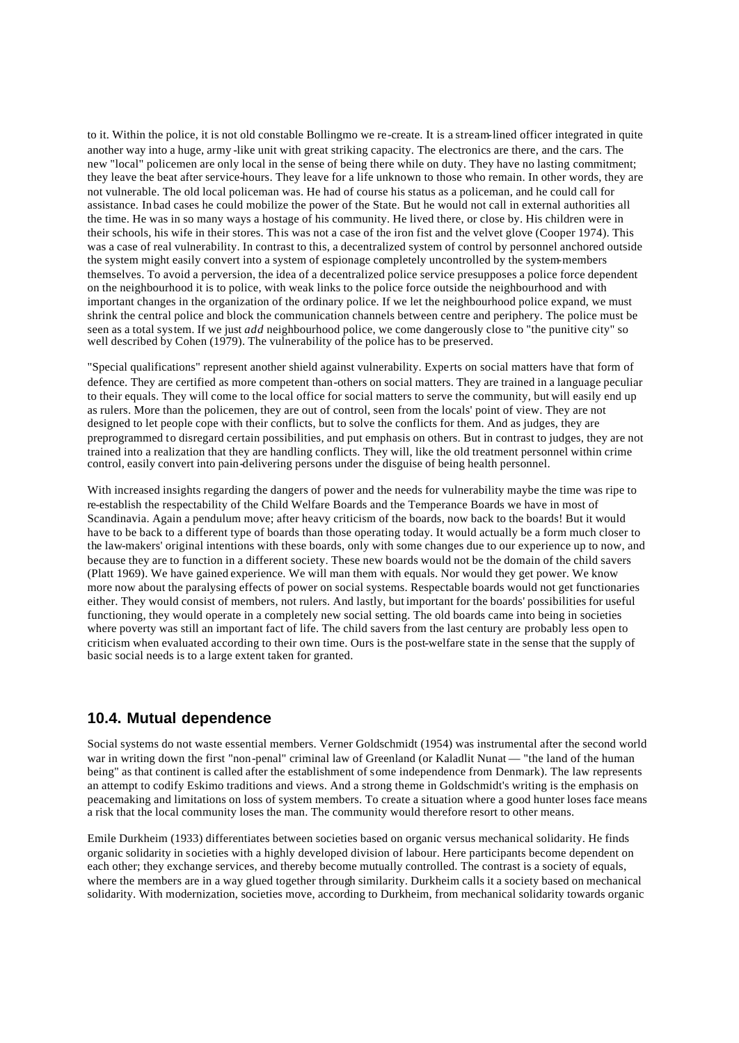to it. Within the police, it is not old constable Bollingmo we re-create. It is a stream-lined officer integrated in quite another way into a huge, army -like unit with great striking capacity. The electronics are there, and the cars. The new "local" policemen are only local in the sense of being there while on duty. They have no lasting commitment; they leave the beat after service-hours. They leave for a life unknown to those who remain. In other words, they are not vulnerable. The old local policeman was. He had of course his status as a policeman, and he could call for assistance. In bad cases he could mobilize the power of the State. But he would not call in external authorities all the time. He was in so many ways a hostage of his community. He lived there, or close by. His children were in their schools, his wife in their stores. This was not a case of the iron fist and the velvet glove (Cooper 1974). This was a case of real vulnerability. In contrast to this, a decentralized system of control by personnel anchored outside the system might easily convert into a system of espionage completely uncontrolled by the system-members themselves. To avoid a perversion, the idea of a decentralized police service presupposes a police force dependent on the neighbourhood it is to police, with weak links to the police force outside the neighbourhood and with important changes in the organization of the ordinary police. If we let the neighbourhood police expand, we must shrink the central police and block the communication channels between centre and periphery. The police must be seen as a total system. If we just *add* neighbourhood police, we come dangerously close to "the punitive city" so well described by Cohen (1979). The vulnerability of the police has to be preserved.

"Special qualifications" represent another shield against vulnerability. Experts on social matters have that form of defence. They are certified as more competent than-others on social matters. They are trained in a language peculiar to their equals. They will come to the local office for social matters to serve the community, but will easily end up as rulers. More than the policemen, they are out of control, seen from the locals' point of view. They are not designed to let people cope with their conflicts, but to solve the conflicts for them. And as judges, they are preprogrammed to disregard certain possibilities, and put emphasis on others. But in contrast to judges, they are not trained into a realization that they are handling conflicts. They will, like the old treatment personnel within crime control, easily convert into pain-delivering persons under the disguise of being health personnel.

With increased insights regarding the dangers of power and the needs for vulnerability maybe the time was ripe to re-establish the respectability of the Child Welfare Boards and the Temperance Boards we have in most of Scandinavia. Again a pendulum move; after heavy criticism of the boards, now back to the boards! But it would have to be back to a different type of boards than those operating today. It would actually be a form much closer to the law-makers' original intentions with these boards, only with some changes due to our experience up to now, and because they are to function in a different society. These new boards would not be the domain of the child savers (Platt 1969). We have gained experience. We will man them with equals. Nor would they get power. We know more now about the paralysing effects of power on social systems. Respectable boards would not get functionaries either. They would consist of members, not rulers. And lastly, but important for the boards' possibilities for useful functioning, they would operate in a completely new social setting. The old boards came into being in societies where poverty was still an important fact of life. The child savers from the last century are probably less open to criticism when evaluated according to their own time. Ours is the post-welfare state in the sense that the supply of basic social needs is to a large extent taken for granted.

#### **10.4. Mutual dependence**

Social systems do not waste essential members. Verner Goldschmidt (1954) was instrumental after the second world war in writing down the first "non-penal" criminal law of Greenland (or Kaladlit Nunat — "the land of the human being" as that continent is called after the establishment of some independence from Denmark). The law represents an attempt to codify Eskimo traditions and views. And a strong theme in Goldschmidt's writing is the emphasis on peacemaking and limitations on loss of system members. To create a situation where a good hunter loses face means a risk that the local community loses the man. The community would therefore resort to other means.

Emile Durkheim (1933) differentiates between societies based on organic versus mechanical solidarity. He finds organic solidarity in societies with a highly developed division of labour. Here participants become dependent on each other; they exchange services, and thereby become mutually controlled. The contrast is a society of equals, where the members are in a way glued together through similarity. Durkheim calls it a society based on mechanical solidarity. With modernization, societies move, according to Durkheim, from mechanical solidarity towards organic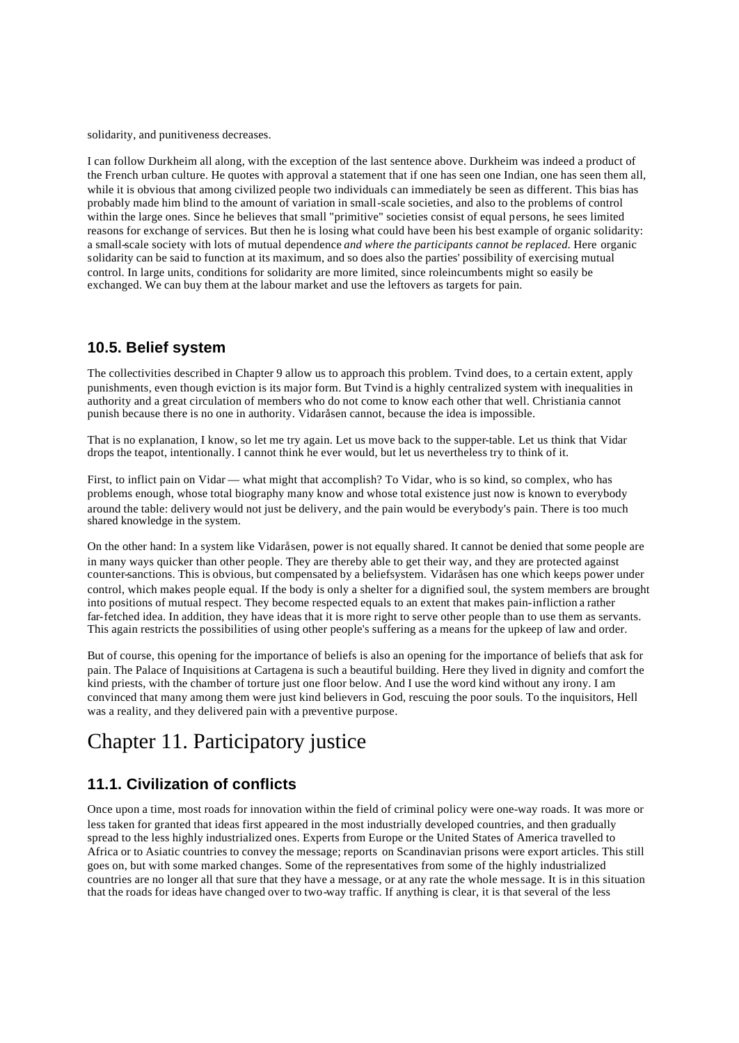solidarity, and punitiveness decreases.

I can follow Durkheim all along, with the exception of the last sentence above. Durkheim was indeed a product of the French urban culture. He quotes with approval a statement that if one has seen one Indian, one has seen them all, while it is obvious that among civilized people two individuals can immediately be seen as different. This bias has probably made him blind to the amount of variation in small-scale societies, and also to the problems of control within the large ones. Since he believes that small "primitive" societies consist of equal persons, he sees limited reasons for exchange of services. But then he is losing what could have been his best example of organic solidarity: a small-scale society with lots of mutual dependence *and where the participants cannot be replaced.* Here organic solidarity can be said to function at its maximum, and so does also the parties' possibility of exercising mutual control. In large units, conditions for solidarity are more limited, since roleincumbents might so easily be exchanged. We can buy them at the labour market and use the leftovers as targets for pain.

#### **10.5. Belief system**

The collectivities described in Chapter 9 allow us to approach this problem. Tvind does, to a certain extent, apply punishments, even though eviction is its major form. But Tvind is a highly centralized system with inequalities in authority and a great circulation of members who do not come to know each other that well. Christiania cannot punish because there is no one in authority. Vidaråsen cannot, because the idea is impossible.

That is no explanation, I know, so let me try again. Let us move back to the supper-table. Let us think that Vidar drops the teapot, intentionally. I cannot think he ever would, but let us nevertheless try to think of it.

First, to inflict pain on Vidar — what might that accomplish? To Vidar, who is so kind, so complex, who has problems enough, whose total biography many know and whose total existence just now is known to everybody around the table: delivery would not just be delivery, and the pain would be everybody's pain. There is too much shared knowledge in the system.

On the other hand: In a system like Vidaråsen, power is not equally shared. It cannot be denied that some people are in many ways quicker than other people. They are thereby able to get their way, and they are protected against counter-sanctions. This is obvious, but compensated by a beliefsystem. Vidaråsen has one which keeps power under control, which makes people equal. If the body is only a shelter for a dignified soul, the system members are brought into positions of mutual respect. They become respected equals to an extent that makes pain-infliction a rather far-fetched idea. In addition, they have ideas that it is more right to serve other people than to use them as servants. This again restricts the possibilities of using other people's suffering as a means for the upkeep of law and order.

But of course, this opening for the importance of beliefs is also an opening for the importance of beliefs that ask for pain. The Palace of Inquisitions at Cartagena is such a beautiful building. Here they lived in dignity and comfort the kind priests, with the chamber of torture just one floor below. And I use the word kind without any irony. I am convinced that many among them were just kind believers in God, rescuing the poor souls. To the inquisitors, Hell was a reality, and they delivered pain with a preventive purpose.

# Chapter 11. Participatory justice

## **11.1. Civilization of conflicts**

Once upon a time, most roads for innovation within the field of criminal policy were one-way roads. It was more or less taken for granted that ideas first appeared in the most industrially developed countries, and then gradually spread to the less highly industrialized ones. Experts from Europe or the United States of America travelled to Africa or to Asiatic countries to convey the message; reports on Scandinavian prisons were export articles. This still goes on, but with some marked changes. Some of the representatives from some of the highly industrialized countries are no longer all that sure that they have a message, or at any rate the whole message. It is in this situation that the roads for ideas have changed over to two-way traffic. If anything is clear, it is that several of the less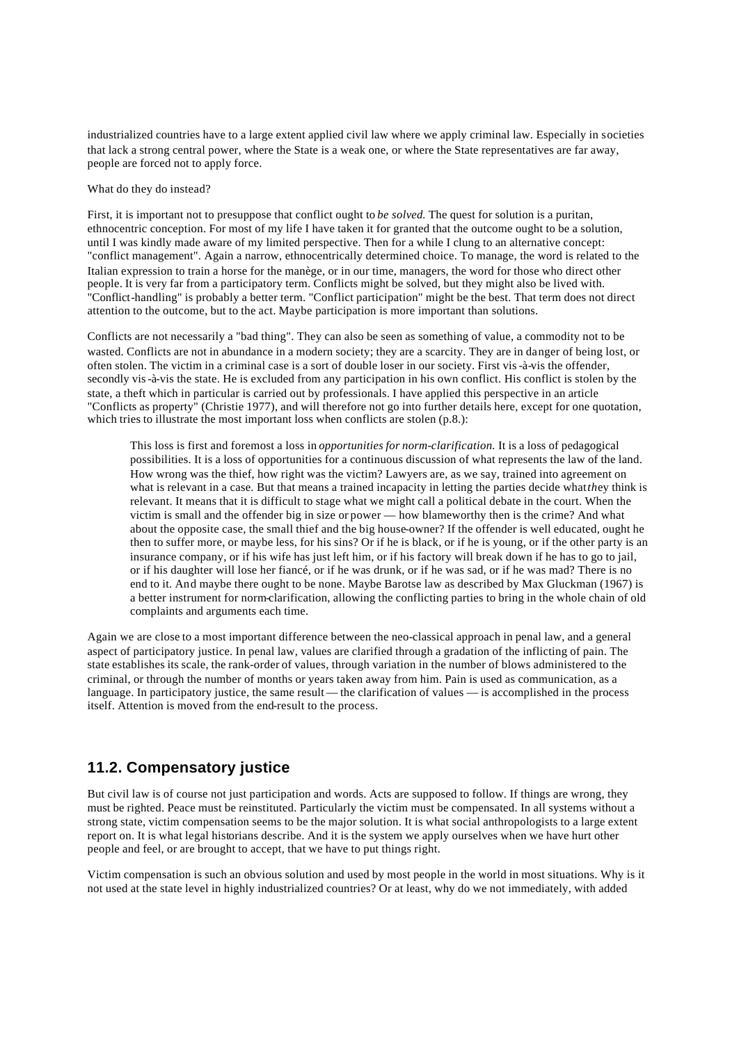industrialized countries have to a large extent applied civil law where we apply criminal law. Especially in societies that lack a strong central power, where the State is a weak one, or where the State representatives are far away, people are forced not to apply force.

#### What do they do instead?

First, it is important not to presuppose that conflict ought to *be solved.* The quest for solution is a puritan, ethnocentric conception. For most of my life I have taken it for granted that the outcome ought to be a solution, until I was kindly made aware of my limited perspective. Then for a while I clung to an alternative concept: "conflict management". Again a narrow, ethnocentrically determined choice. To manage, the word is related to the Italian expression to train a horse for the manège, or in our time, managers, the word for those who direct other people. It is very far from a participatory term. Conflicts might be solved, but they might also be lived with. "Conflict-handling" is probably a better term. "Conflict participation" might be the best. That term does not direct attention to the outcome, but to the act. Maybe participation is more important than solutions.

Conflicts are not necessarily a "bad thing". They can also be seen as something of value, a commodity not to be wasted. Conflicts are not in abundance in a modern society; they are a scarcity. They are in danger of being lost, or often stolen. The victim in a criminal case is a sort of double loser in our society. First vis-à-vis the offender, secondly vis-à-vis the state. He is excluded from any participation in his own conflict. His conflict is stolen by the state, a theft which in particular is carried out by professionals. I have applied this perspective in an article "Conflicts as property" (Christie 1977), and will therefore not go into further details here, except for one quotation, which tries to illustrate the most important loss when conflicts are stolen (p.8.):

This loss is first and foremost a loss in *opportunities for norm-clarification.* It is a loss of pedagogical possibilities. It is a loss of opportunities for a continuous discussion of what represents the law of the land. How wrong was the thief, how right was the victim? Lawyers are, as we say, trained into agreement on what is relevant in a case. But that means a trained incapacity in letting the parties decide what *th*ey think is relevant. It means that it is difficult to stage what we might call a political debate in the court. When the victim is small and the offender big in size or power — how blameworthy then is the crime? And what about the opposite case, the small thief and the big house-owner? If the offender is well educated, ought he then to suffer more, or maybe less, for his sins? Or if he is black, or if he is young, or if the other party is an insurance company, or if his wife has just left him, or if his factory will break down if he has to go to jail, or if his daughter will lose her fiancé, or if he was drunk, or if he was sad, or if he was mad? There is no end to it. And maybe there ought to be none. Maybe Barotse law as described by Max Gluckman (1967) is a better instrument for norm-clarification, allowing the conflicting parties to bring in the whole chain of old complaints and arguments each time.

Again we are close to a most important difference between the neo-classical approach in penal law, and a general aspect of participatory justice. In penal law, values are clarified through a gradation of the inflicting of pain. The state establishes its scale, the rank-order of values, through variation in the number of blows administered to the criminal, or through the number of months or years taken away from him. Pain is used as communication, as a language. In participatory justice, the same result — the clarification of values — is accomplished in the process itself. Attention is moved from the end-result to the process.

### **11.2. Compensatory justice**

But civil law is of course not just participation and words. Acts are supposed to follow. If things are wrong, they must be righted. Peace must be reinstituted. Particularly the victim must be compensated. In all systems without a strong state, victim compensation seems to be the major solution. It is what social anthropologists to a large extent report on. It is what legal historians describe. And it is the system we apply ourselves when we have hurt other people and feel, or are brought to accept, that we have to put things right.

Victim compensation is such an obvious solution and used by most people in the world in most situations. Why is it not used at the state level in highly industrialized countries? Or at least, why do we not immediately, with added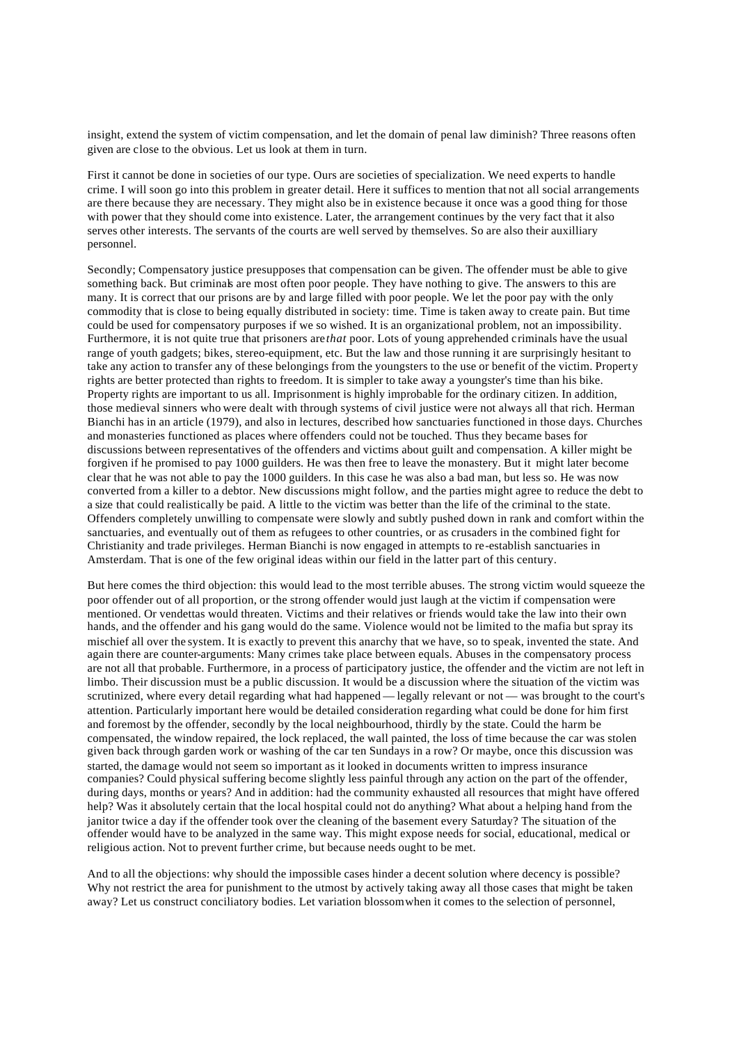insight, extend the system of victim compensation, and let the domain of penal law diminish? Three reasons often given are close to the obvious. Let us look at them in turn.

First it cannot be done in societies of our type. Ours are societies of specialization. We need experts to handle crime. I will soon go into this problem in greater detail. Here it suffices to mention that not all social arrangements are there because they are necessary. They might also be in existence because it once was a good thing for those with power that they should come into existence. Later, the arrangement continues by the very fact that it also serves other interests. The servants of the courts are well served by themselves. So are also their auxilliary personnel.

Secondly; Compensatory justice presupposes that compensation can be given. The offender must be able to give something back. But criminals are most often poor people. They have nothing to give. The answers to this are many. It is correct that our prisons are by and large filled with poor people. We let the poor pay with the only commodity that is close to being equally distributed in society: time. Time is taken away to create pain. But time could be used for compensatory purposes if we so wished. It is an organizational problem, not an impossibility. Furthermore, it is not quite true that prisoners are *that* poor. Lots of young apprehended criminals have the usual range of youth gadgets; bikes, stereo-equipment, etc. But the law and those running it are surprisingly hesitant to take any action to transfer any of these belongings from the youngsters to the use or benefit of the victim. Property rights are better protected than rights to freedom. It is simpler to take away a youngster's time than his bike. Property rights are important to us all. Imprisonment is highly improbable for the ordinary citizen. In addition, those medieval sinners who were dealt with through systems of civil justice were not always all that rich. Herman Bianchi has in an article (1979), and also in lectures, described how sanctuaries functioned in those days. Churches and monasteries functioned as places where offenders could not be touched. Thus they became bases for discussions between representatives of the offenders and victims about guilt and compensation. A killer might be forgiven if he promised to pay 1000 guilders. He was then free to leave the monastery. But it might later become clear that he was not able to pay the 1000 guilders. In this case he was also a bad man, but less so. He was now converted from a killer to a debtor. New discussions might follow, and the parties might agree to reduce the debt to a size that could realistically be paid. A little to the victim was better than the life of the criminal to the state. Offenders completely unwilling to compensate were slowly and subtly pushed down in rank and comfort within the sanctuaries, and eventually out of them as refugees to other countries, or as crusaders in the combined fight for Christianity and trade privileges. Herman Bianchi is now engaged in attempts to re-establish sanctuaries in Amsterdam. That is one of the few original ideas within our field in the latter part of this century.

But here comes the third objection: this would lead to the most terrible abuses. The strong victim would squeeze the poor offender out of all proportion, or the strong offender would just laugh at the victim if compensation were mentioned. Or vendettas would threaten. Victims and their relatives or friends would take the law into their own hands, and the offender and his gang would do the same. Violence would not be limited to the mafia but spray its mischief all over the system. It is exactly to prevent this anarchy that we have, so to speak, invented the state. And again there are counter-arguments: Many crimes take place between equals. Abuses in the compensatory process are not all that probable. Furthermore, in a process of participatory justice, the offender and the victim are not left in limbo. Their discussion must be a public discussion. It would be a discussion where the situation of the victim was scrutinized, where every detail regarding what had happened — legally relevant or not — was brought to the court's attention. Particularly important here would be detailed consideration regarding what could be done for him first and foremost by the offender, secondly by the local neighbourhood, thirdly by the state. Could the harm be compensated, the window repaired, the lock replaced, the wall painted, the loss of time because the car was stolen given back through garden work or washing of the car ten Sundays in a row? Or maybe, once this discussion was started, the damage would not seem so important as it looked in documents written to impress insurance companies? Could physical suffering become slightly less painful through any action on the part of the offender, during days, months or years? And in addition: had the community exhausted all resources that might have offered help? Was it absolutely certain that the local hospital could not do anything? What about a helping hand from the janitor twice a day if the offender took over the cleaning of the basement every Saturday? The situation of the offender would have to be analyzed in the same way. This might expose needs for social, educational, medical or religious action. Not to prevent further crime, but because needs ought to be met.

And to all the objections: why should the impossible cases hinder a decent solution where decency is possible? Why not restrict the area for punishment to the utmost by actively taking away all those cases that might be taken away? Let us construct conciliatory bodies. Let variation blossom when it comes to the selection of personnel,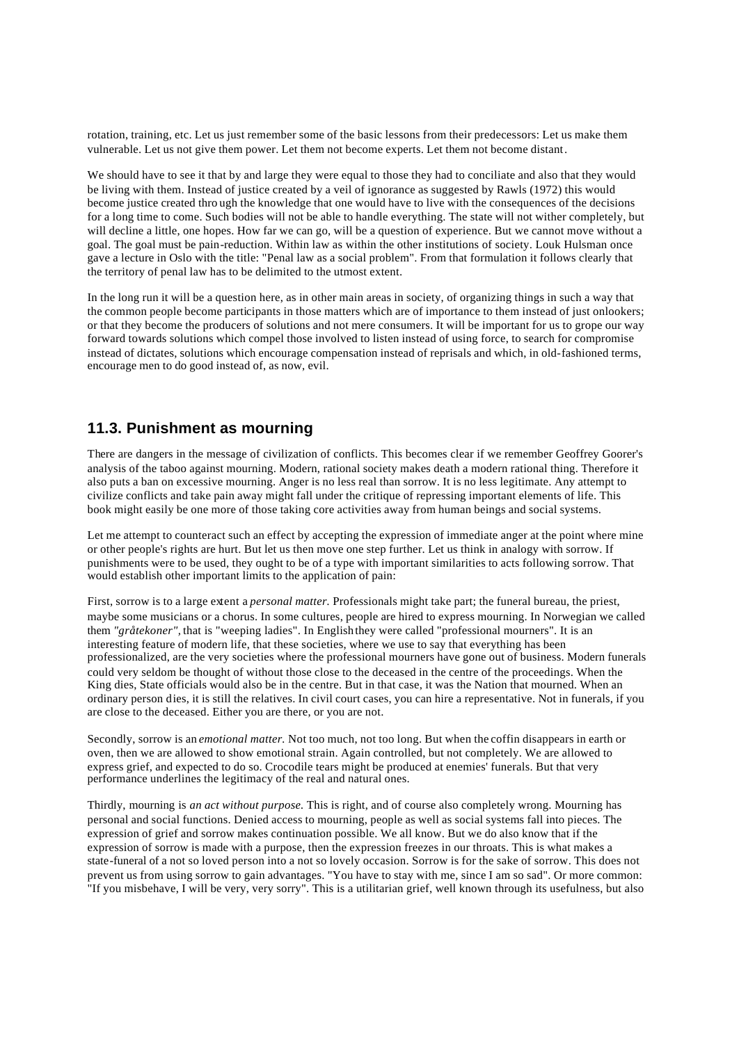rotation, training, etc. Let us just remember some of the basic lessons from their predecessors: Let us make them vulnerable. Let us not give them power. Let them not become experts. Let them not become distant.

We should have to see it that by and large they were equal to those they had to conciliate and also that they would be living with them. Instead of justice created by a veil of ignorance as suggested by Rawls (1972) this would become justice created thro ugh the knowledge that one would have to live with the consequences of the decisions for a long time to come. Such bodies will not be able to handle everything. The state will not wither completely, but will decline a little, one hopes. How far we can go, will be a question of experience. But we cannot move without a goal. The goal must be pain-reduction. Within law as within the other institutions of society. Louk Hulsman once gave a lecture in Oslo with the title: "Penal law as a social problem". From that formulation it follows clearly that the territory of penal law has to be delimited to the utmost extent.

In the long run it will be a question here, as in other main areas in society, of organizing things in such a way that the common people become participants in those matters which are of importance to them instead of just onlookers; or that they become the producers of solutions and not mere consumers. It will be important for us to grope our way forward towards solutions which compel those involved to listen instead of using force, to search for compromise instead of dictates, solutions which encourage compensation instead of reprisals and which, in old-fashioned terms, encourage men to do good instead of, as now, evil.

#### **11.3. Punishment as mourning**

There are dangers in the message of civilization of conflicts. This becomes clear if we remember Geoffrey Goorer's analysis of the taboo against mourning. Modern, rational society makes death a modern rational thing. Therefore it also puts a ban on excessive mourning. Anger is no less real than sorrow. It is no less legitimate. Any attempt to civilize conflicts and take pain away might fall under the critique of repressing important elements of life. This book might easily be one more of those taking core activities away from human beings and social systems.

Let me attempt to counteract such an effect by accepting the expression of immediate anger at the point where mine or other people's rights are hurt. But let us then move one step further. Let us think in analogy with sorrow. If punishments were to be used, they ought to be of a type with important similarities to acts following sorrow. That would establish other important limits to the application of pain:

First, sorrow is to a large extent a *personal matter.* Professionals might take part; the funeral bureau, the priest, maybe some musicians or a chorus. In some cultures, people are hired to express mourning. In Norwegian we called them *"gråtekoner",* that is "weeping ladies". In English they were called "professional mourners". It is an interesting feature of modern life, that these societies, where we use to say that everything has been professionalized, are the very societies where the professional mourners have gone out of business. Modern funerals could very seldom be thought of without those close to the deceased in the centre of the proceedings. When the King dies, State officials would also be in the centre. But in that case, it was the Nation that mourned. When an ordinary person dies, it is still the relatives. In civil court cases, you can hire a representative. Not in funerals, if you are close to the deceased. Either you are there, or you are not.

Secondly, sorrow is an *emotional matter.* Not too much, not too long. But when the coffin disappears in earth or oven, then we are allowed to show emotional strain. Again controlled, but not completely. We are allowed to express grief, and expected to do so. Crocodile tears might be produced at enemies' funerals. But that very performance underlines the legitimacy of the real and natural ones.

Thirdly, mourning is *an act without purpose.* This is right, and of course also completely wrong. Mourning has personal and social functions. Denied access to mourning, people as well as social systems fall into pieces. The expression of grief and sorrow makes continuation possible. We all know. But we do also know that if the expression of sorrow is made with a purpose, then the expression freezes in our throats. This is what makes a state-funeral of a not so loved person into a not so lovely occasion. Sorrow is for the sake of sorrow. This does not prevent us from using sorrow to gain advantages. "You have to stay with me, since I am so sad". Or more common: "If you misbehave, I will be very, very sorry". This is a utilitarian grief, well known through its usefulness, but also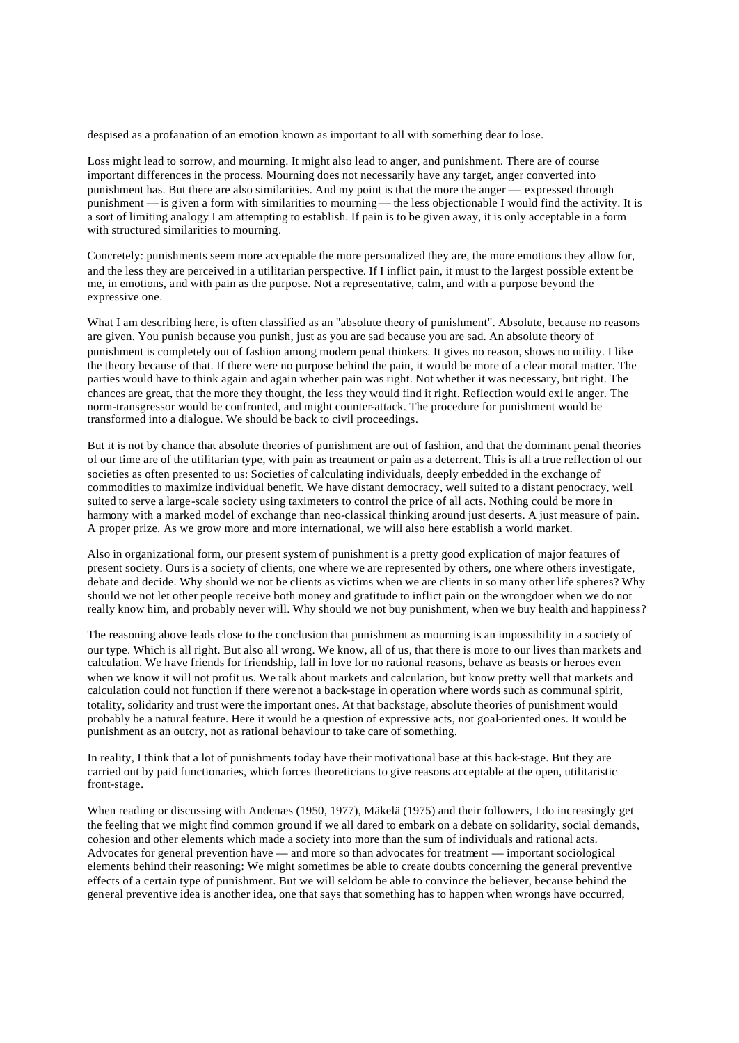despised as a profanation of an emotion known as important to all with something dear to lose.

Loss might lead to sorrow, and mourning. It might also lead to anger, and punishment. There are of course important differences in the process. Mourning does not necessarily have any target, anger converted into punishment has. But there are also similarities. And my point is that the more the anger — expressed through punishment — is given a form with similarities to mourning — the less objectionable I would find the activity. It is a sort of limiting analogy I am attempting to establish. If pain is to be given away, it is only acceptable in a form with structured similarities to mourning.

Concretely: punishments seem more acceptable the more personalized they are, the more emotions they allow for, and the less they are perceived in a utilitarian perspective. If I inflict pain, it must to the largest possible extent be me, in emotions, and with pain as the purpose. Not a representative, calm, and with a purpose beyond the expressive one.

What I am describing here, is often classified as an "absolute theory of punishment". Absolute, because no reasons are given. You punish because you punish, just as you are sad because you are sad. An absolute theory of punishment is completely out of fashion among modern penal thinkers. It gives no reason, shows no utility. I like the theory because of that. If there were no purpose behind the pain, it would be more of a clear moral matter. The parties would have to think again and again whether pain was right. Not whether it was necessary, but right. The chances are great, that the more they thought, the less they would find it right. Reflection would exi le anger. The norm-transgressor would be confronted, and might counter-attack. The procedure for punishment would be transformed into a dialogue. We should be back to civil proceedings.

But it is not by chance that absolute theories of punishment are out of fashion, and that the dominant penal theories of our time are of the utilitarian type, with pain as treatment or pain as a deterrent. This is all a true reflection of our societies as often presented to us: Societies of calculating individuals, deeply embedded in the exchange of commodities to maximize individual benefit. We have distant democracy, well suited to a distant penocracy, well suited to serve a large-scale society using taximeters to control the price of all acts. Nothing could be more in harmony with a marked model of exchange than neo-classical thinking around just deserts. A just measure of pain. A proper prize. As we grow more and more international, we will also here establish a world market.

Also in organizational form, our present system of punishment is a pretty good explication of major features of present society. Ours is a society of clients, one where we are represented by others, one where others investigate, debate and decide. Why should we not be clients as victims when we are clients in so many other life spheres? Why should we not let other people receive both money and gratitude to inflict pain on the wrongdoer when we do not really know him, and probably never will. Why should we not buy punishment, when we buy health and happiness?

The reasoning above leads close to the conclusion that punishment as mourning is an impossibility in a society of our type. Which is all right. But also all wrong. We know, all of us, that there is more to our lives than markets and calculation. We have friends for friendship, fall in love for no rational reasons, behave as beasts or heroes even when we know it will not profit us. We talk about markets and calculation, but know pretty well that markets and calculation could not function if there were not a back-stage in operation where words such as communal spirit, totality, solidarity and trust were the important ones. At that backstage, absolute theories of punishment would probably be a natural feature. Here it would be a question of expressive acts, not goal-oriented ones. It would be punishment as an outcry, not as rational behaviour to take care of something.

In reality, I think that a lot of punishments today have their motivational base at this back-stage. But they are carried out by paid functionaries, which forces theoreticians to give reasons acceptable at the open, utilitaristic front-stage.

When reading or discussing with Andenæs (1950, 1977), Mäkelä (1975) and their followers, I do increasingly get the feeling that we might find common ground if we all dared to embark on a debate on solidarity, social demands, cohesion and other elements which made a society into more than the sum of individuals and rational acts. Advocates for general prevention have — and more so than advocates for treatment — important sociological elements behind their reasoning: We might sometimes be able to create doubts concerning the general preventive effects of a certain type of punishment. But we will seldom be able to convince the believer, because behind the general preventive idea is another idea, one that says that something has to happen when wrongs have occurred,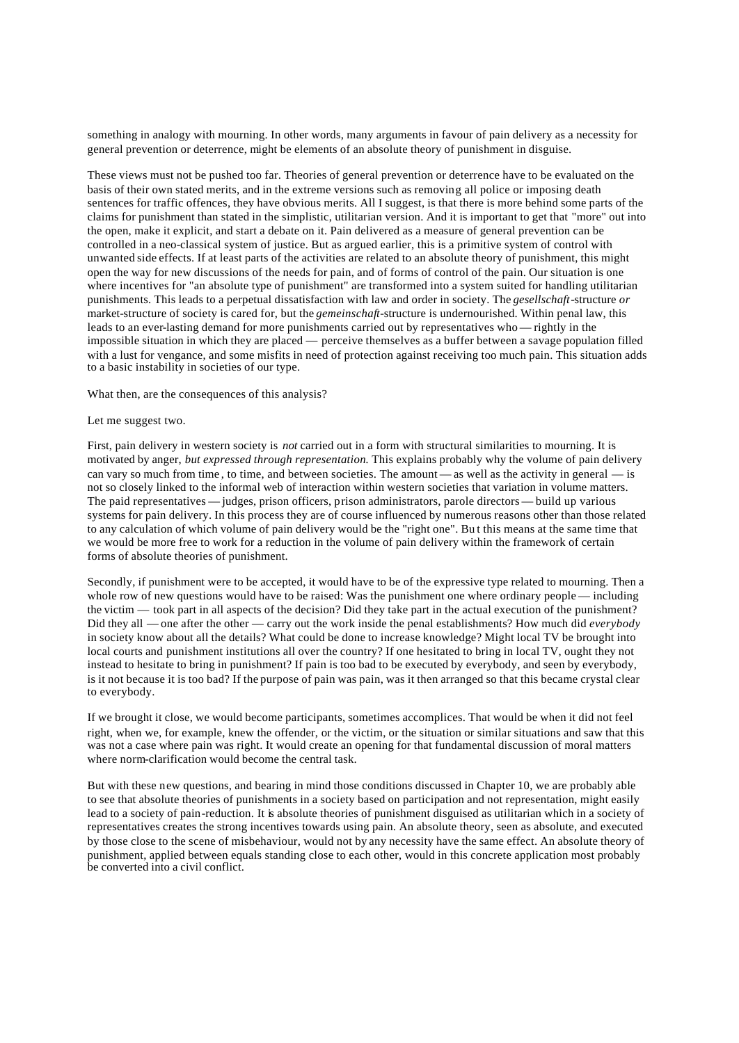something in analogy with mourning. In other words, many arguments in favour of pain delivery as a necessity for general prevention or deterrence, might be elements of an absolute theory of punishment in disguise.

These views must not be pushed too far. Theories of general prevention or deterrence have to be evaluated on the basis of their own stated merits, and in the extreme versions such as removing all police or imposing death sentences for traffic offences, they have obvious merits. All I suggest, is that there is more behind some parts of the claims for punishment than stated in the simplistic, utilitarian version. And it is important to get that "more" out into the open, make it explicit, and start a debate on it. Pain delivered as a measure of general prevention can be controlled in a neo-classical system of justice. But as argued earlier, this is a primitive system of control with unwanted side effects. If at least parts of the activities are related to an absolute theory of punishment, this might open the way for new discussions of the needs for pain, and of forms of control of the pain. Our situation is one where incentives for "an absolute type of punishment" are transformed into a system suited for handling utilitarian punishments. This leads to a perpetual dissatisfaction with law and order in society. The *gesellschaft*-structure *or*  market-structure of society is cared for, but the *gemeinschaft*-structure is undernourished. Within penal law, this leads to an ever-lasting demand for more punishments carried out by representatives who—rightly in the impossible situation in which they are placed — perceive themselves as a buffer between a savage population filled with a lust for vengance, and some misfits in need of protection against receiving too much pain. This situation adds to a basic instability in societies of our type.

What then, are the consequences of this analysis?

#### Let me suggest two.

First, pain delivery in western society is *not* carried out in a form with structural similarities to mourning. It is motivated by anger, *but expressed through representation.* This explains probably why the volume of pain delivery can vary so much from time , to time, and between societies. The amount — as well as the activity in general — is not so closely linked to the informal web of interaction within western societies that variation in volume matters. The paid representatives — judges, prison officers, prison administrators, parole directors — build up various systems for pain delivery. In this process they are of course influenced by numerous reasons other than those related to any calculation of which volume of pain delivery would be the "right one". Bu t this means at the same time that we would be more free to work for a reduction in the volume of pain delivery within the framework of certain forms of absolute theories of punishment.

Secondly, if punishment were to be accepted, it would have to be of the expressive type related to mourning. Then a whole row of new questions would have to be raised: Was the punishment one where ordinary people — including the victim — took part in all aspects of the decision? Did they take part in the actual execution of the punishment? Did they all — one after the other — carry out the work inside the penal establishments? How much did *everybody*  in society know about all the details? What could be done to increase knowledge? Might local TV be brought into local courts and punishment institutions all over the country? If one hesitated to bring in local TV, ought they not instead to hesitate to bring in punishment? If pain is too bad to be executed by everybody, and seen by everybody, is it not because it is too bad? If the purpose of pain was pain, was it then arranged so that this became crystal clear to everybody.

If we brought it close, we would become participants, sometimes accomplices. That would be when it did not feel right, when we, for example, knew the offender, or the victim, or the situation or similar situations and saw that this was not a case where pain was right. It would create an opening for that fundamental discussion of moral matters where norm-clarification would become the central task.

But with these new questions, and bearing in mind those conditions discussed in Chapter 10, we are probably able to see that absolute theories of punishments in a society based on participation and not representation, might easily lead to a society of pain-reduction. It is absolute theories of punishment disguised as utilitarian which in a society of representatives creates the strong incentives towards using pain. An absolute theory, seen as absolute, and executed by those close to the scene of misbehaviour, would not by any necessity have the same effect. An absolute theory of punishment, applied between equals standing close to each other, would in this concrete application most probably be converted into a civil conflict.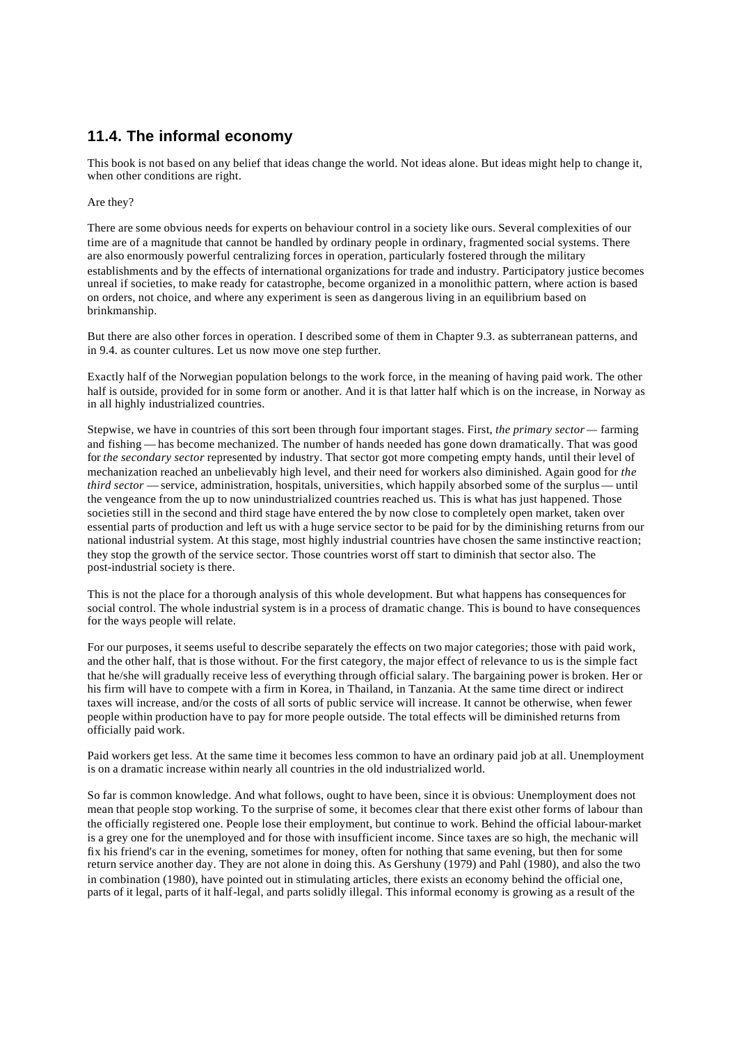## **11.4. The informal economy**

This book is not based on any belief that ideas change the world. Not ideas alone. But ideas might help to change it, when other conditions are right.

Are they?

There are some obvious needs for experts on behaviour control in a society like ours. Several complexities of our time are of a magnitude that cannot be handled by ordinary people in ordinary, fragmented social systems. There are also enormously powerful centralizing forces in operation, particularly fostered through the military establishments and by the effects of international organizations for trade and industry. Participatory justice becomes unreal if societies, to make ready for catastrophe, become organized in a monolithic pattern, where action is based on orders, not choice, and where any experiment is seen as dangerous living in an equilibrium based on brinkmanship.

But there are also other forces in operation. I described some of them in Chapter 9.3. as subterranean patterns, and in 9.4. as counter cultures. Let us now move one step further.

Exactly half of the Norwegian population belongs to the work force, in the meaning of having paid work. The other half is outside, provided for in some form or another. And it is that latter half which is on the increase, in Norway as in all highly industrialized countries.

Stepwise, we have in countries of this sort been through four important stages. First, *the primary sector —* farming and fishing — has become mechanized. The number of hands needed has gone down dramatically. That was good for *the secondary sector* represented by industry. That sector got more competing empty hands, until their level of mechanization reached an unbelievably high level, and their need for workers also diminished. Again good for *the third sector* — service, administration, hospitals, universities, which happily absorbed some of the surplus — until the vengeance from the up to now unindustrialized countries reached us. This is what has just happened. Those societies still in the second and third stage have entered the by now close to completely open market, taken over essential parts of production and left us with a huge service sector to be paid for by the diminishing returns from our national industrial system. At this stage, most highly industrial countries have chosen the same instinctive reaction; they stop the growth of the service sector. Those countries worst off start to diminish that sector also. The post-industrial society is there.

This is not the place for a thorough analysis of this whole development. But what happens has consequences for social control. The whole industrial system is in a process of dramatic change. This is bound to have consequences for the ways people will relate.

For our purposes, it seems useful to describe separately the effects on two major categories; those with paid work, and the other half, that is those without. For the first category, the major effect of relevance to us is the simple fact that he/she will gradually receive less of everything through official salary. The bargaining power is broken. Her or his firm will have to compete with a firm in Korea, in Thailand, in Tanzania. At the same time direct or indirect taxes will increase, and/or the costs of all sorts of public service will increase. It cannot be otherwise, when fewer people within production have to pay for more people outside. The total effects will be diminished returns from officially paid work.

Paid workers get less. At the same time it becomes less common to have an ordinary paid job at all. Unemployment is on a dramatic increase within nearly all countries in the old industrialized world.

So far is common knowledge. And what follows, ought to have been, since it is obvious: Unemployment does not mean that people stop working. To the surprise of some, it becomes clear that there exist other forms of labour than the officially registered one. People lose their employment, but continue to work. Behind the official labour-market is a grey one for the unemployed and for those with insufficient income. Since taxes are so high, the mechanic will fix his friend's car in the evening, sometimes for money, often for nothing that same evening, but then for some return service another day. They are not alone in doing this. As Gershuny (1979) and Pahl (1980), and also the two in combination (1980), have pointed out in stimulating articles, there exists an economy behind the official one, parts of it legal, parts of it half-legal, and parts solidly illegal. This informal economy is growing as a result of the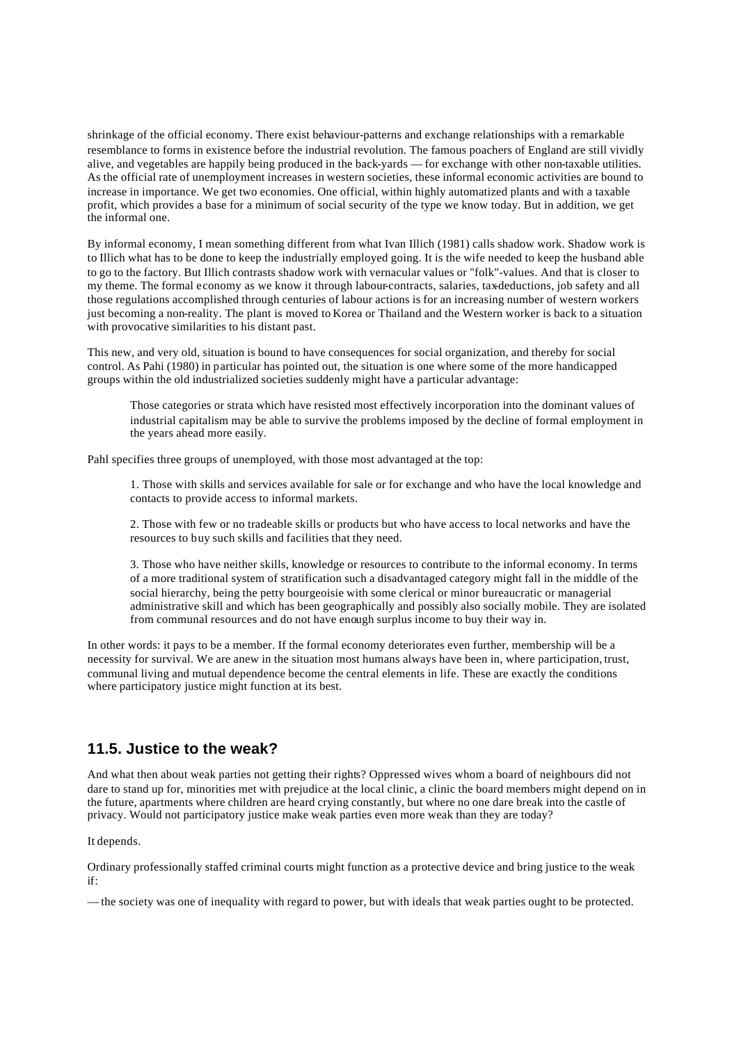shrinkage of the official economy. There exist behaviour-patterns and exchange relationships with a remarkable resemblance to forms in existence before the industrial revolution. The famous poachers of England are still vividly alive, and vegetables are happily being produced in the back-yards — for exchange with other non-taxable utilities. As the official rate of unemployment increases in western societies, these informal economic activities are bound to increase in importance. We get two economies. One official, within highly automatized plants and with a taxable profit, which provides a base for a minimum of social security of the type we know today. But in addition, we get the informal one.

By informal economy, I mean something different from what Ivan Illich (1981) calls shadow work. Shadow work is to Illich what has to be done to keep the industrially employed going. It is the wife needed to keep the husband able to go to the factory. But Illich contrasts shadow work with vernacular values or "folk"-values. And that is closer to my theme. The formal economy as we know it through labour-contracts, salaries, tax-deductions, job safety and all those regulations accomplished through centuries of labour actions is for an increasing number of western workers just becoming a non-reality. The plant is moved to Korea or Thailand and the Western worker is back to a situation with provocative similarities to his distant past.

This new, and very old, situation is bound to have consequences for social organization, and thereby for social control. As Pahi (1980) in particular has pointed out, the situation is one where some of the more handicapped groups within the old industrialized societies suddenly might have a particular advantage:

Those categories or strata which have resisted most effectively incorporation into the dominant values of industrial capitalism may be able to survive the problems imposed by the decline of formal employment in the years ahead more easily.

Pahl specifies three groups of unemployed, with those most advantaged at the top:

1. Those with skills and services available for sale or for exchange and who have the local knowledge and contacts to provide access to informal markets.

2. Those with few or no tradeable skills or products but who have access to local networks and have the resources to buy such skills and facilities that they need.

3. Those who have neither skills, knowledge or resources to contribute to the informal economy. In terms of a more traditional system of stratification such a disadvantaged category might fall in the middle of the social hierarchy, being the petty bourgeoisie with some clerical or minor bureaucratic or managerial administrative skill and which has been geographically and possibly also socially mobile. They are isolated from communal resources and do not have enough surplus income to buy their way in.

In other words: it pays to be a member. If the formal economy deteriorates even further, membership will be a necessity for survival. We are anew in the situation most humans always have been in, where participation, trust, communal living and mutual dependence become the central elements in life. These are exactly the conditions where participatory justice might function at its best.

#### **11.5. Justice to the weak?**

And what then about weak parties not getting their rights? Oppressed wives whom a board of neighbours did not dare to stand up for, minorities met with prejudice at the local clinic, a clinic the board members might depend on in the future, apartments where children are heard crying constantly, but where no one dare break into the castle of privacy. Would not participatory justice make weak parties even more weak than they are today?

It depends.

Ordinary professionally staffed criminal courts might function as a protective device and bring justice to the weak if:

— the society was one of inequality with regard to power, but with ideals that weak parties ought to be protected.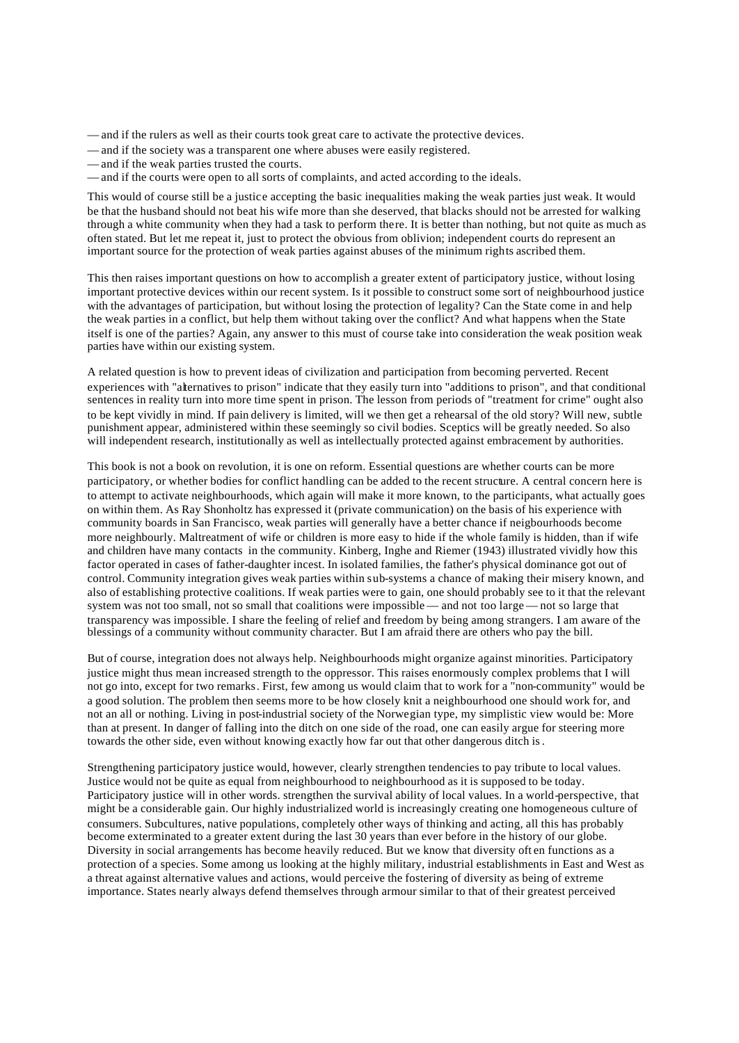- and if the rulers as well as their courts took great care to activate the protective devices.
- and if the society was a transparent one where abuses were easily registered.
- and if the weak parties trusted the courts.
- and if the courts were open to all sorts of complaints, and acted according to the ideals.

This would of course still be a justice accepting the basic inequalities making the weak parties just weak. It would be that the husband should not beat his wife more than she deserved, that blacks should not be arrested for walking through a white community when they had a task to perform there. It is better than nothing, but not quite as much as often stated. But let me repeat it, just to protect the obvious from oblivion; independent courts do represent an important source for the protection of weak parties against abuses of the minimum rights ascribed them.

This then raises important questions on how to accomplish a greater extent of participatory justice, without losing important protective devices within our recent system. Is it possible to construct some sort of neighbourhood justice with the advantages of participation, but without losing the protection of legality? Can the State come in and help the weak parties in a conflict, but help them without taking over the conflict? And what happens when the State itself is one of the parties? Again, any answer to this must of course take into consideration the weak position weak parties have within our existing system.

A related question is how to prevent ideas of civilization and participation from becoming perverted. Recent experiences with "alternatives to prison" indicate that they easily turn into "additions to prison", and that conditional sentences in reality turn into more time spent in prison. The lesson from periods of "treatment for crime" ought also to be kept vividly in mind. If pain delivery is limited, will we then get a rehearsal of the old story? Will new, subtle punishment appear, administered within these seemingly so civil bodies. Sceptics will be greatly needed. So also will independent research, institutionally as well as intellectually protected against embracement by authorities.

This book is not a book on revolution, it is one on reform. Essential questions are whether courts can be more participatory, or whether bodies for conflict handling can be added to the recent structure. A central concern here is to attempt to activate neighbourhoods, which again will make it more known, to the participants, what actually goes on within them. As Ray Shonholtz has expressed it (private communication) on the basis of his experience with community boards in San Francisco, weak parties will generally have a better chance if neigbourhoods become more neighbourly. Maltreatment of wife or children is more easy to hide if the whole family is hidden, than if wife and children have many contacts in the community. Kinberg, Inghe and Riemer (1943) illustrated vividly how this factor operated in cases of father-daughter incest. In isolated families, the father's physical dominance got out of control. Community integration gives weak parties within sub-systems a chance of making their misery known, and also of establishing protective coalitions. If weak parties were to gain, one should probably see to it that the relevant system was not too small, not so small that coalitions were impossible — and not too large — not so large that transparency was impossible. I share the feeling of relief and freedom by being among strangers. I am aware of the blessings of a community without community character. But I am afraid there are others who pay the bill.

But of course, integration does not always help. Neighbourhoods might organize against minorities. Participatory justice might thus mean increased strength to the oppressor. This raises enormously complex problems that I will not go into, except for two remarks. First, few among us would claim that to work for a "non-community" would be a good solution. The problem then seems more to be how closely knit a neighbourhood one should work for, and not an all or nothing. Living in post-industrial society of the Norwegian type, my simplistic view would be: More than at present. In danger of falling into the ditch on one side of the road, one can easily argue for steering more towards the other side, even without knowing exactly how far out that other dangerous ditch is.

Strengthening participatory justice would, however, clearly strengthen tendencies to pay tribute to local values. Justice would not be quite as equal from neighbourhood to neighbourhood as it is supposed to be today. Participatory justice will in other words. strengthen the survival ability of local values. In a world-perspective, that might be a considerable gain. Our highly industrialized world is increasingly creating one homogeneous culture of consumers. Subcultures, native populations, completely other ways of thinking and acting, all this has probably become exterminated to a greater extent during the last 30 years than ever before in the history of our globe. Diversity in social arrangements has become heavily reduced. But we know that diversity oft en functions as a protection of a species. Some among us looking at the highly military, industrial establishments in East and West as a threat against alternative values and actions, would perceive the fostering of diversity as being of extreme importance. States nearly always defend themselves through armour similar to that of their greatest perceived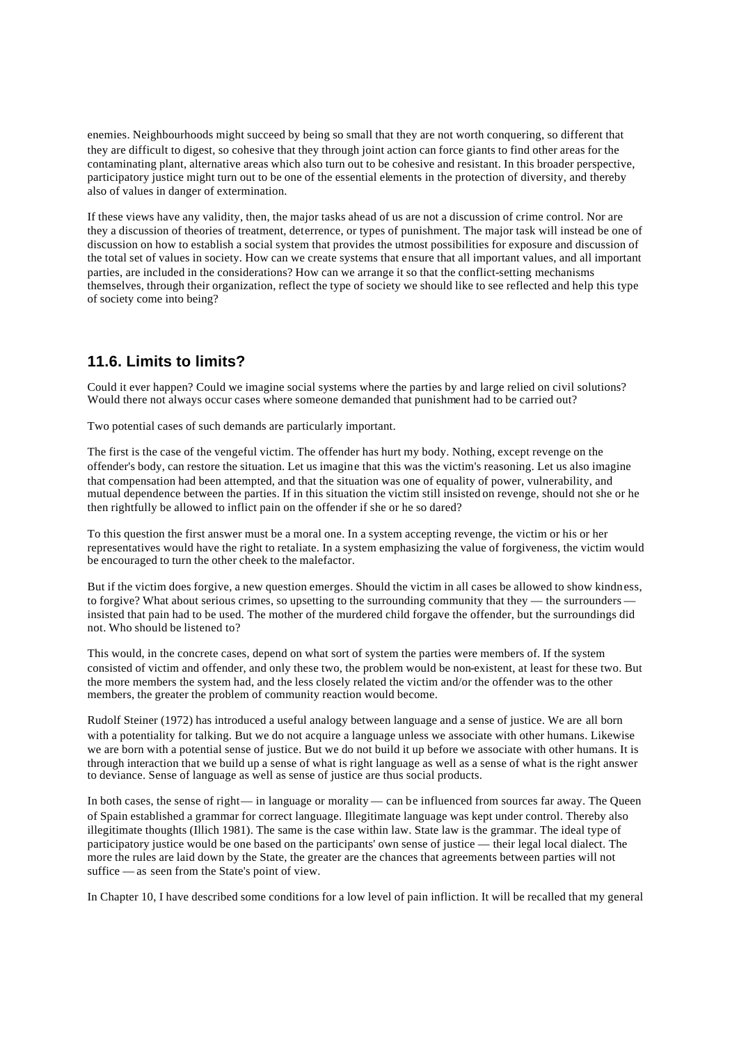enemies. Neighbourhoods might succeed by being so small that they are not worth conquering, so different that they are difficult to digest, so cohesive that they through joint action can force giants to find other areas for the contaminating plant, alternative areas which also turn out to be cohesive and resistant. In this broader perspective, participatory justice might turn out to be one of the essential elements in the protection of diversity, and thereby also of values in danger of extermination.

If these views have any validity, then, the major tasks ahead of us are not a discussion of crime control. Nor are they a discussion of theories of treatment, deterrence, or types of punishment. The major task will instead be one of discussion on how to establish a social system that provides the utmost possibilities for exposure and discussion of the total set of values in society. How can we create systems that ensure that all important values, and all important parties, are included in the considerations? How can we arrange it so that the conflict-setting mechanisms themselves, through their organization, reflect the type of society we should like to see reflected and help this type of society come into being?

### **11.6. Limits to limits?**

Could it ever happen? Could we imagine social systems where the parties by and large relied on civil solutions? Would there not always occur cases where someone demanded that punishment had to be carried out?

Two potential cases of such demands are particularly important.

The first is the case of the vengeful victim. The offender has hurt my body. Nothing, except revenge on the offender's body, can restore the situation. Let us imagine that this was the victim's reasoning. Let us also imagine that compensation had been attempted, and that the situation was one of equality of power, vulnerability, and mutual dependence between the parties. If in this situation the victim still insisted on revenge, should not she or he then rightfully be allowed to inflict pain on the offender if she or he so dared?

To this question the first answer must be a moral one. In a system accepting revenge, the victim or his or her representatives would have the right to retaliate. In a system emphasizing the value of forgiveness, the victim would be encouraged to turn the other cheek to the malefactor.

But if the victim does forgive, a new question emerges. Should the victim in all cases be allowed to show kindness, to forgive? What about serious crimes, so upsetting to the surrounding community that they — the surrounders insisted that pain had to be used. The mother of the murdered child forgave the offender, but the surroundings did not. Who should be listened to?

This would, in the concrete cases, depend on what sort of system the parties were members of. If the system consisted of victim and offender, and only these two, the problem would be non-existent, at least for these two. But the more members the system had, and the less closely related the victim and/or the offender was to the other members, the greater the problem of community reaction would become.

Rudolf Steiner (1972) has introduced a useful analogy between language and a sense of justice. We are all born with a potentiality for talking. But we do not acquire a language unless we associate with other humans. Likewise we are born with a potential sense of justice. But we do not build it up before we associate with other humans. It is through interaction that we build up a sense of what is right language as well as a sense of what is the right answer to deviance. Sense of language as well as sense of justice are thus social products.

In both cases, the sense of right — in language or morality — can be influenced from sources far away. The Queen of Spain established a grammar for correct language. Illegitimate language was kept under control. Thereby also illegitimate thoughts (Illich 1981). The same is the case within law. State law is the grammar. The ideal type of participatory justice would be one based on the participants' own sense of justice — their legal local dialect. The more the rules are laid down by the State, the greater are the chances that agreements between parties will not suffice — as seen from the State's point of view.

In Chapter 10, I have described some conditions for a low level of pain infliction. It will be recalled that my general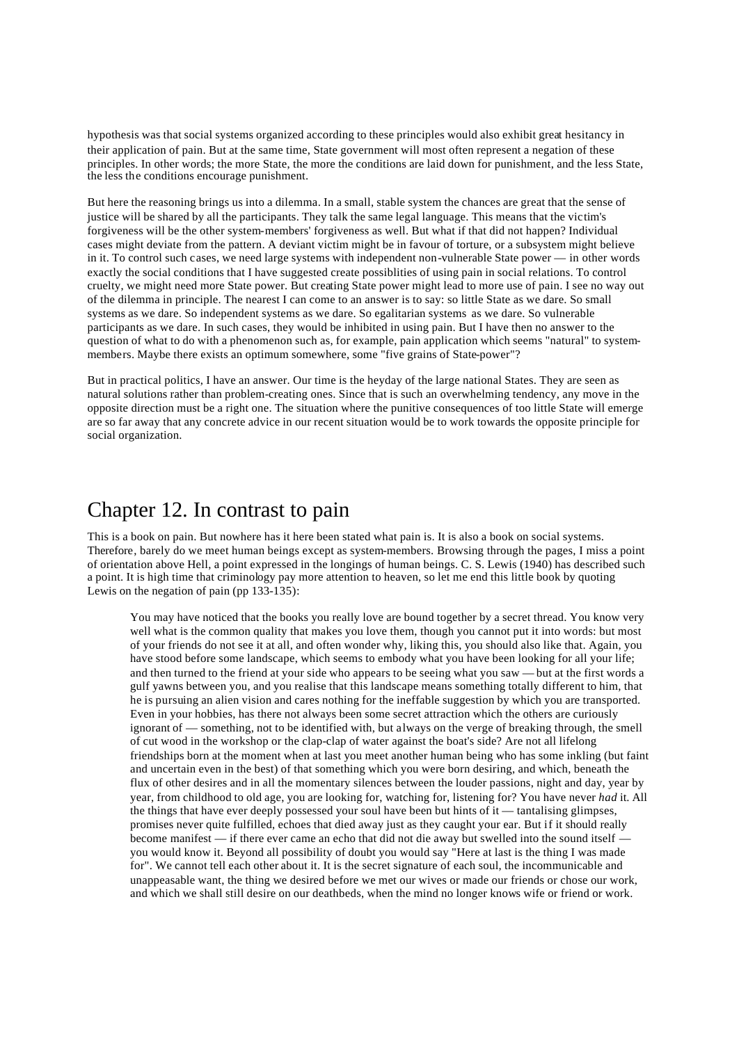hypothesis was that social systems organized according to these principles would also exhibit great hesitancy in their application of pain. But at the same time, State government will most often represent a negation of these principles. In other words; the more State, the more the conditions are laid down for punishment, and the less State, the less the conditions encourage punishment.

But here the reasoning brings us into a dilemma. In a small, stable system the chances are great that the sense of justice will be shared by all the participants. They talk the same legal language. This means that the victim's forgiveness will be the other system-members' forgiveness as well. But what if that did not happen? Individual cases might deviate from the pattern. A deviant victim might be in favour of torture, or a subsystem might believe in it. To control such cases, we need large systems with independent non-vulnerable State power — in other words exactly the social conditions that I have suggested create possiblities of using pain in social relations. To control cruelty, we might need more State power. But creating State power might lead to more use of pain. I see no way out of the dilemma in principle. The nearest I can come to an answer is to say: so little State as we dare. So small systems as we dare. So independent systems as we dare. So egalitarian systems as we dare. So vulnerable participants as we dare. In such cases, they would be inhibited in using pain. But I have then no answer to the question of what to do with a phenomenon such as, for example, pain application which seems "natural" to systemmembers. Maybe there exists an optimum somewhere, some "five grains of State-power"?

But in practical politics, I have an answer. Our time is the heyday of the large national States. They are seen as natural solutions rather than problem-creating ones. Since that is such an overwhelming tendency, any move in the opposite direction must be a right one. The situation where the punitive consequences of too little State will emerge are so far away that any concrete advice in our recent situation would be to work towards the opposite principle for social organization.

# Chapter 12. In contrast to pain

This is a book on pain. But nowhere has it here been stated what pain is. It is also a book on social systems. Therefore, barely do we meet human beings except as system-members. Browsing through the pages, I miss a point of orientation above Hell, a point expressed in the longings of human beings. C. S. Lewis (1940) has described such a point. It is high time that criminology pay more attention to heaven, so let me end this little book by quoting Lewis on the negation of pain (pp 133-135):

You may have noticed that the books you really love are bound together by a secret thread. You know very well what is the common quality that makes you love them, though you cannot put it into words: but most of your friends do not see it at all, and often wonder why, liking this, you should also like that. Again, you have stood before some landscape, which seems to embody what you have been looking for all your life; and then turned to the friend at your side who appears to be seeing what you saw — but at the first words a gulf yawns between you, and you realise that this landscape means something totally different to him, that he is pursuing an alien vision and cares nothing for the ineffable suggestion by which you are transported. Even in your hobbies, has there not always been some secret attraction which the others are curiously ignorant of — something, not to be identified with, but always on the verge of breaking through, the smell of cut wood in the workshop or the clap-clap of water against the boat's side? Are not all lifelong friendships born at the moment when at last you meet another human being who has some inkling (but faint and uncertain even in the best) of that something which you were born desiring, and which, beneath the flux of other desires and in all the momentary silences between the louder passions, night and day, year by year, from childhood to old age, you are looking for, watching for, listening for? You have never *had* it. All the things that have ever deeply possessed your soul have been but hints of it — tantalising glimpses, promises never quite fulfilled, echoes that died away just as they caught your ear. But if it should really become manifest — if there ever came an echo that did not die away but swelled into the sound itself you would know it. Beyond all possibility of doubt you would say "Here at last is the thing I was made for". We cannot tell each other about it. It is the secret signature of each soul, the incommunicable and unappeasable want, the thing we desired before we met our wives or made our friends or chose our work, and which we shall still desire on our deathbeds, when the mind no longer knows wife or friend or work.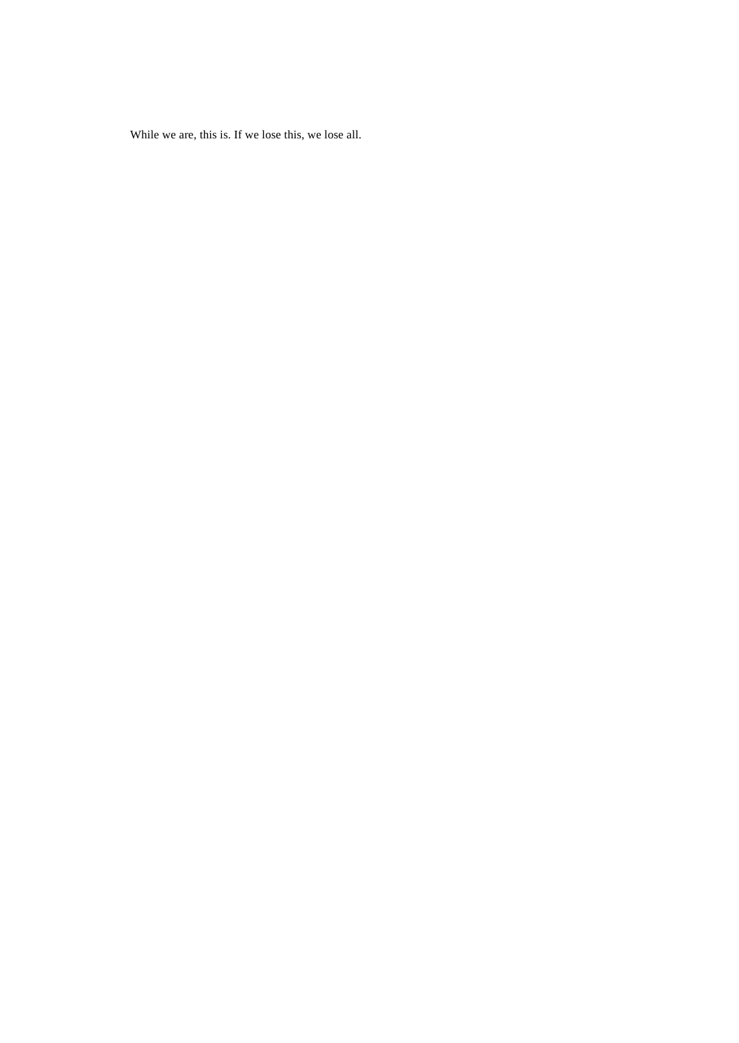While we are, this is. If we lose this, we lose all.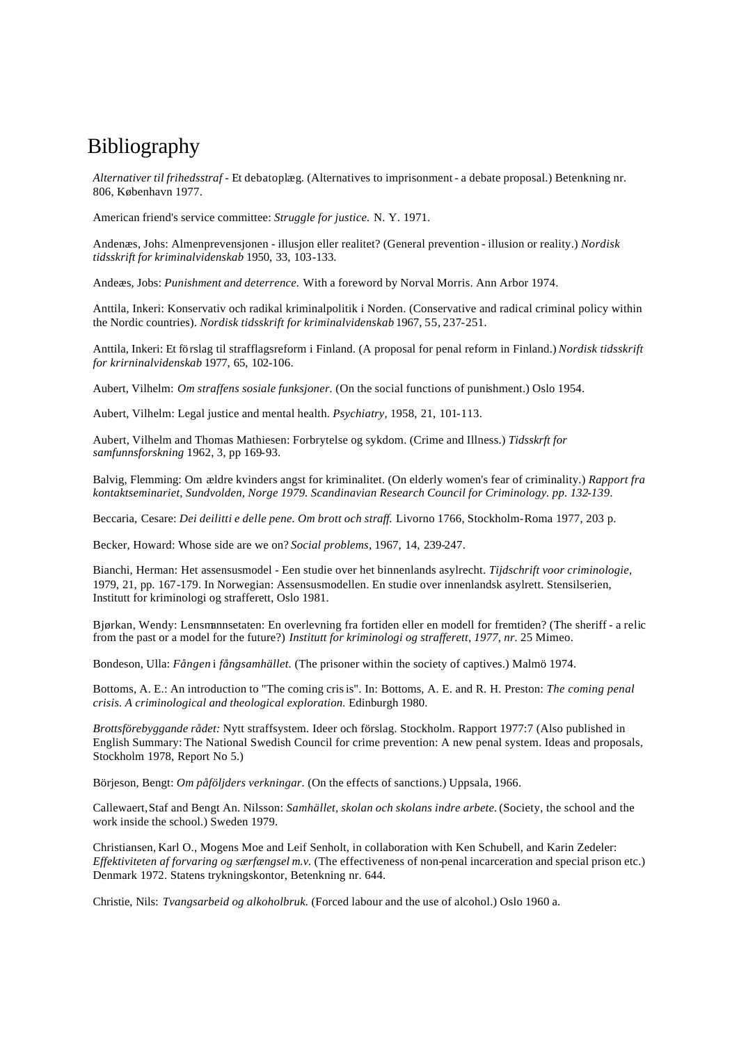# Bibliography

*Alternativer til frihedsstraf* - Et debatoplæg. (Alternatives to imprisonment - a debate proposal.) Betenkning nr. 806, København 1977.

American friend's service committee: *Struggle for justice.* N. Y. 1971.

Andenæs, Johs: Almenprevensjonen - illusjon eller realitet? (General prevention - illusion or reality.) *Nordisk tidsskrift for kriminalvidenskab* 1950, 33, 103-133.

Andeæs, Jobs: *Punishment and deterrence.* With a foreword by Norval Morris. Ann Arbor 1974.

Anttila, Inkeri: Konservativ och radikal kriminalpolitik i Norden. (Conservative and radical criminal policy within the Nordic countries). *Nordisk tidsskrift for kriminalvidenskab* 1967, 55, 237-251.

Anttila, Inkeri: Et förslag til strafflagsreform i Finland. (A proposal for penal reform in Finland.) *Nordisk tidsskrift for krirninalvidenskab* 1977, 65, 102-106.

Aubert, Vilhelm: *Om straffens sosiale funksjoner.* (On the social functions of punishment.) Oslo 1954.

Aubert, Vilhelm: Legal justice and mental health. *Psychiatry,* 1958, 21, 101-113.

Aubert, Vilhelm and Thomas Mathiesen: Forbrytelse og sykdom. (Crime and Illness.) *Tidsskrft for samfunnsforskning* 1962, 3, pp 169-93.

Balvig, Flemming: Om ældre kvinders angst for kriminalitet. (On elderly women's fear of criminality.) *Rapport fra kontaktseminariet, Sundvolden, Norge 1979. Scandinavian Research Council for Criminology. pp. 132-139.*

Beccaria, Cesare: *Dei deilitti e delle pene. Om brott och straff.* Livorno 1766, Stockholm-Roma 1977, 203 p.

Becker, Howard: Whose side are we on? *Social problems,* 1967, 14, 239-247.

Bianchi, Herman: Het assensusmodel - Een studie over het binnenlands asylrecht. *Tijdschrift voor criminologie,*  1979, 21, pp. 167-179. In Norwegian: Assensusmodellen. En studie over innenlandsk asylrett. Stensilserien, Institutt for kriminologi og strafferett, Oslo 1981.

Bjørkan, Wendy: Lensmannsetaten: En overlevning fra fortiden eller en modell for fremtiden? (The sheriff - a relic from the past or a model for the future?) *Institutt for kriminologi og strafferett, 1977, nr.* 25 Mimeo.

Bondeson, Ulla: *Fången* i *fångsamhället.* (The prisoner within the society of captives.) Malmö 1974.

Bottoms, A. E.: An introduction to "The coming crisis". In: Bottoms, A. E. and R. H. Preston: *The coming penal crisis. A criminological and theological exploration.* Edinburgh 1980.

*Brottsförebyggande rådet:* Nytt straffsystem. Ideer och förslag. Stockholm. Rapport 1977:7 (Also published in English Summary: The National Swedish Council for crime prevention: A new penal system. Ideas and proposals, Stockholm 1978, Report No 5.)

Börjeson, Bengt: *Om påföljders verkningar.* (On the effects of sanctions.) Uppsala, 1966.

Callewaert,Staf and Bengt An. Nilsson: *Samhället, skolan och skolans indre arbete.* (Society, the school and the work inside the school.) Sweden 1979.

Christiansen, Karl O., Mogens Moe and Leif Senholt, in collaboration with Ken Schubell, and Karin Zedeler: *Effektiviteten af forvaring og særfængsel m.v.* (The effectiveness of non-penal incarceration and special prison etc.) Denmark 1972. Statens trykningskontor, Betenkning nr. 644.

Christie, Nils: *Tvangsarbeid og alkoholbruk.* (Forced labour and the use of alcohol.) Oslo 1960 a.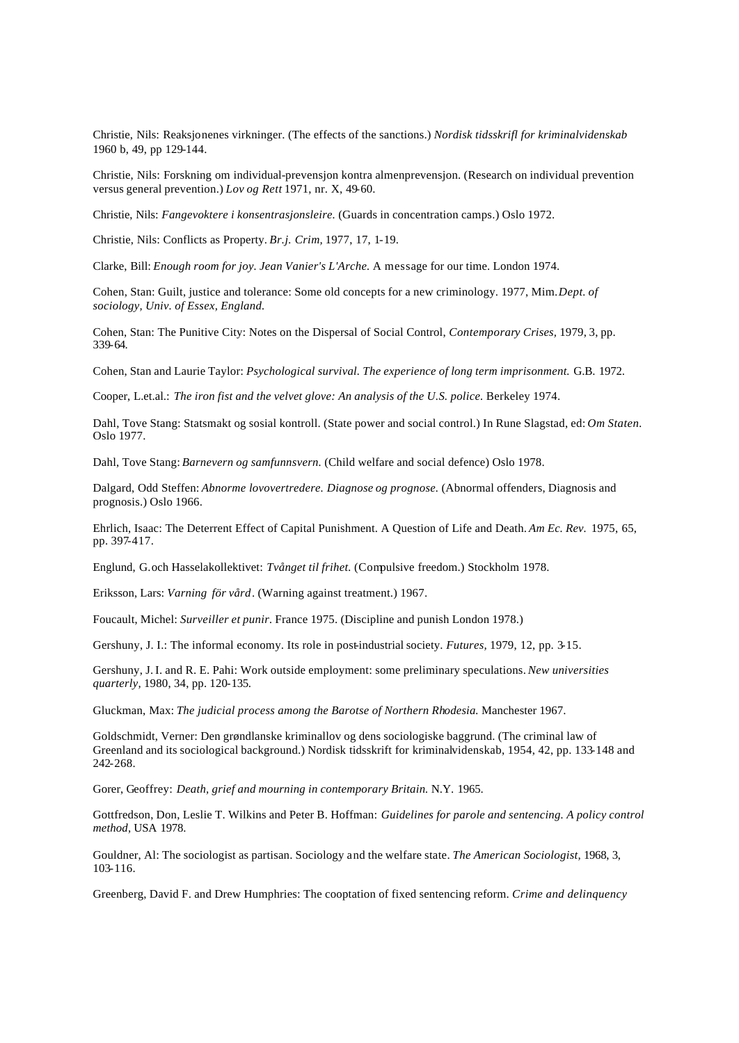Christie, Nils: Reaksjonenes virkninger. (The effects of the sanctions.) *Nordisk tidsskrifl for kriminalvidenskab*  1960 b, 49, pp 129-144.

Christie, Nils: Forskning om individual-prevensjon kontra almenprevensjon. (Research on individual prevention versus general prevention.) *Lov og Rett* 1971, nr. X, 49-60.

Christie, Nils: *Fangevoktere i konsentrasjonsleire.* (Guards in concentration camps.) Oslo 1972.

Christie, Nils: Conflicts as Property. *Br.j. Crim,* 1977, 17, 1-19.

Clarke, Bill: *Enough room for joy. Jean Vanier's L'Arche.* A message for our time. London 1974.

Cohen, Stan: Guilt, justice and tolerance: Some old concepts for a new criminology. 1977, Mim. *Dept. of sociology, Univ. of Essex, England.*

Cohen, Stan: The Punitive City: Notes on the Dispersal of Social Control, *Contemporary Crises,* 1979, 3, pp. 339-64.

Cohen, Stan and Laurie Taylor: *Psychological survival. The experience of long term imprisonment.* G.B. 1972.

Cooper, L.et.al.: *The iron fist and the velvet glove: An analysis of the U.S. police.* Berkeley 1974.

Dahl, Tove Stang: Statsmakt og sosial kontroll. (State power and social control.) In Rune Slagstad, ed: *Om Staten.*  Oslo 1977.

Dahl, Tove Stang: *Barnevern og samfunnsvern.* (Child welfare and social defence) Oslo 1978.

Dalgard, Odd Steffen: *Abnorme lovovertredere. Diagnose og prognose.* (Abnormal offenders, Diagnosis and prognosis.) Oslo 1966.

Ehrlich, Isaac: The Deterrent Effect of Capital Punishment. A Question of Life and Death. *Am Ec. Rev.* 1975, 65, pp. 397-417.

Englund, G.och Hasselakollektivet: *Tvånget til frihet.* (Compulsive freedom.) Stockholm 1978.

Eriksson, Lars: *Varning för vård*. (Warning against treatment.) 1967.

Foucault, Michel: *Surveiller et punir.* France 1975. (Discipline and punish London 1978.)

Gershuny, J. I.: The informal economy. Its role in post-industrial society. *Futures,* 1979, 12, pp. 3-15.

Gershuny, J. I. and R. E. Pahi: Work outside employment: some preliminary speculations. *New universities quarterly,* 1980, 34, pp. 120-135.

Gluckman, Max: *The judicial process among the Barotse of Northern Rhodesia.* Manchester 1967.

Goldschmidt, Verner: Den grøndlanske kriminallov og dens sociologiske baggrund. (The criminal law of Greenland and its sociological background.) Nordisk tidsskrift for kriminalvidenskab, 1954, 42, pp. 133-148 and 242-268.

Gorer, Geoffrey: *Death, grief and mourning in contemporary Britain.* N.Y. 1965.

Gottfredson, Don, Leslie T. Wilkins and Peter B. Hoffman: *Guidelines for parole and sentencing. A policy control method,* USA 1978.

Gouldner, Al: The sociologist as partisan. Sociology and the welfare state. *The American Sociologist,* 1968, 3, 103-116.

Greenberg, David F. and Drew Humphries: The cooptation of fixed sentencing reform. *Crime and delinquency*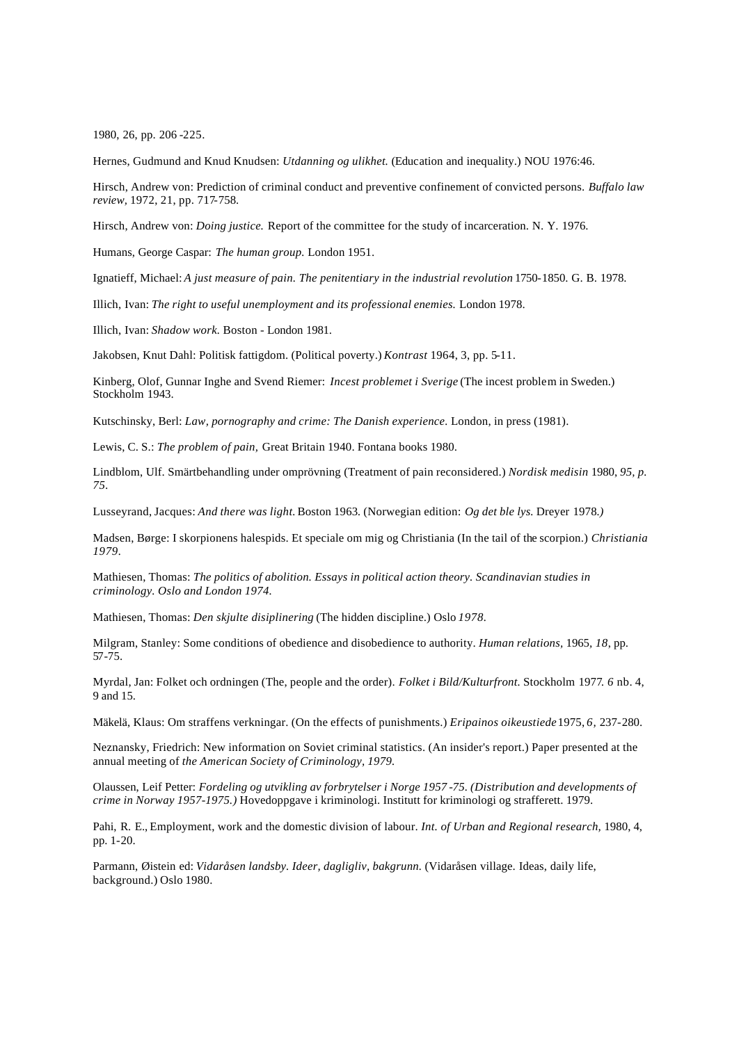1980, 26, pp. 206 -225.

Hernes, Gudmund and Knud Knudsen: *Utdanning og ulikhet.* (Education and inequality.) NOU 1976:46.

Hirsch, Andrew von: Prediction of criminal conduct and preventive confinement of convicted persons. *Buffalo law review,* 1972, 21, pp. 717-758.

Hirsch, Andrew von: *Doing justice.* Report of the committee for the study of incarceration. N. Y. 1976.

Humans, George Caspar: *The human group.* London 1951.

Ignatieff, Michael: *A just measure of pain. The penitentiary in the industrial revolution* 1750-1850. G. B. 1978.

Illich, Ivan: *The right to useful unemployment and its professional enemies.* London 1978.

Illich, Ivan: *Shadow work.* Boston - London 1981.

Jakobsen, Knut Dahl: Politisk fattigdom. (Political poverty.) *Kontrast* 1964, 3, pp. 5-11.

Kinberg, Olof, Gunnar Inghe and Svend Riemer: *Incest problemet i Sverige* (The incest problem in Sweden.) Stockholm 1943.

Kutschinsky, Berl: *Law, pornography and crime: The Danish experience.* London, in press (1981).

Lewis, C. S.: *The problem of pain,* Great Britain 1940. Fontana books 1980.

Lindblom, Ulf. Smärtbehandling under omprövning (Treatment of pain reconsidered.) *Nordisk medisin* 1980, *95, p. 75.*

Lusseyrand, Jacques: *And there was light.* Boston 1963*.* (Norwegian edition: *Og det ble lys.* Dreyer 1978*.)*

Madsen, Børge: I skorpionens halespids. Et speciale om mig og Christiania (In the tail of the scorpion.) *Christiania 1979.*

Mathiesen, Thomas: *The politics of abolition. Essays in political action theory. Scandinavian studies in criminology. Oslo and London 1974.*

Mathiesen, Thomas: *Den skjulte disiplinering* (The hidden discipline.) Oslo *1978.*

Milgram, Stanley: Some conditions of obedience and disobedience to authority. *Human relations,* 1965*, 18*, pp. 57-75.

Myrdal, Jan: Folket och ordningen (The, people and the order). *Folket i Bild/Kulturfront.* Stockholm 1977*. 6* nb. 4, 9 and 15.

Mäkelä, Klaus: Om straffens verkningar. (On the effects of punishments.) *Eripainos oikeustiede* 1975, *6,* 237-280.

Neznansky, Friedrich: New information on Soviet criminal statistics. (An insider's report.) Paper presented at the annual meeting of *the American Society of Criminology, 1979.*

Olaussen, Leif Petter: *Fordeling og utvikling av forbrytelser i Norge 1957 -75. (Distribution and developments of crime in Norway 1957-1975.)* Hovedoppgave i kriminologi. Institutt for kriminologi og strafferett. 1979.

Pahi, R. E., Employment, work and the domestic division of labour. *Int. of Urban and Regional research,* 1980, 4, pp. 1-20.

Parmann, Øistein ed: *Vidaråsen landsby. Ideer, dagligliv, bakgrunn.* (Vidaråsen village. Ideas, daily life, background.) Oslo 1980.